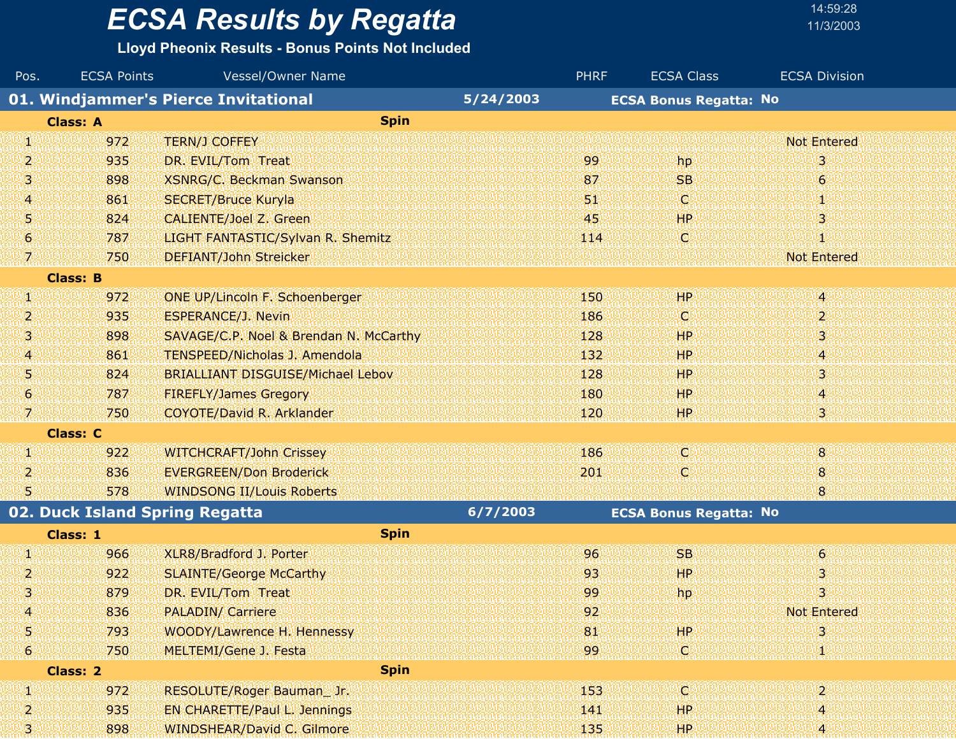#### **Lloyd Pheonix Results - Bonus Points Not Included**

 $FCSA$  Points

| Pos. | <b>ECSA Points</b>             | Vessel/Owner Name                                 |          | <b>PHRF</b> | <b>ECSA Class</b>             | <b>ECSA Division</b>    |
|------|--------------------------------|---------------------------------------------------|----------|-------------|-------------------------------|-------------------------|
|      |                                | 01. Windjammer's Pierce Invitational<br>5/24/2003 |          |             | <b>ECSA Bonus Regatta: No</b> |                         |
|      | <b>Class: A</b>                | <b>Spin</b>                                       |          |             |                               |                         |
| И.   | 972                            | <b>TERN/J COFFEY</b>                              |          |             |                               | <b>Not Entered</b>      |
| 2    | 935                            | DR. EVIL/Tom Treat                                |          | 99          | hp                            | 3                       |
| 3.   | 898                            | <b>XSNRG/C. Beckman Swanson</b>                   |          | 87          | <b>SB</b>                     | 6 <sup>1</sup>          |
| 4    | 861                            | <b>SECRET/Bruce Kuryla</b>                        |          | 51          | IQ.                           | XI.                     |
| 5    | 824                            | CALIENTE/Joel Z. Green                            |          | 45          | <b>HP</b>                     | 3                       |
| 6    | 787                            | LIGHT FANTASTIC/Sylvan R. Shemitz                 |          | 114         | O                             | и                       |
| 7.   | 750                            | <b>DEFIANT/John Streicker</b>                     |          |             |                               | <b>Not Entered</b>      |
|      | <b>Class: B</b>                |                                                   |          |             |                               |                         |
| W.   | 972                            | <b>ONE UP/Lincoln F. Schoenberger</b>             |          | 150         | <b>HP</b>                     | 4                       |
| 2    | 935                            | <b>ESPERANCE/J. Nevin</b>                         |          | 186         | O.                            | $\mathbf{2}$            |
| 3.   | 898                            | SAVAGE/C.P. Noel & Brendan N. McCarthy            |          | 128         | HP.                           | 3                       |
| 4    | 861                            | <b>TENSPEED/Nicholas J. Amendola</b>              |          | 132         | <b>HP</b>                     | 4                       |
| 5    | 824                            | <b>BRIALLIANT DISGUISE/Michael Lebov</b>          |          | 128         | <b>HP</b>                     | 3.                      |
| 6    | 787                            | <b>FIREFLY/James Gregory</b>                      |          | 180         | HР                            | 4                       |
| 7.   | 750                            | <b>COYOTE/David R. Arklander</b>                  |          | 120         | HP                            | 3.                      |
|      | <b>Class: C</b>                |                                                   |          |             |                               |                         |
| И.   | 922                            | <b>WITCHCRAFT/John Crissey</b>                    |          | 186         | O.                            | 8 <sup>°</sup>          |
| 2    | 836                            | <b>EVERGREEN/Don Broderick</b>                    |          | 201         | ¢                             | 8                       |
| 5.   | 578                            | <b>WINDSONG II/Louis Roberts</b>                  |          |             |                               | 8                       |
|      | 02. Duck Island Spring Regatta |                                                   | 6/7/2003 |             | <b>ECSA Bonus Regatta: No</b> |                         |
|      | Class: 1                       | <b>Spin</b>                                       |          |             |                               |                         |
| И.   | 966                            | XLR8/Bradford J. Porter                           |          | 96          | <b>SB</b>                     | $\epsilon$              |
| 2    | 922                            | <b>SLAINTE/George McCarthy</b>                    |          | 93          | HР                            | 3.                      |
| 3    | 879                            | DR. EVIL/Tom Treat                                |          | 99          | hp                            | $\overline{\mathbf{3}}$ |
| 4    | 836                            | <b>PALADIN/ Carriere</b>                          |          | 92          |                               | Not Entered             |
| 5    | 793                            | <b>WOODY/Lawrence H. Hennessy</b>                 |          | 81          | HP.                           | 3                       |
| G)   | 750                            | MELTEMI/Gene J. Festa                             |          | 99          | C,                            |                         |
|      | <b>Class: 2</b>                | <b>Spin</b>                                       |          |             |                               |                         |
| 59   | 972                            | RESOLUTE/Roger Bauman_Jr.                         |          | 153         | Q                             | $\mathbf{2}$            |
| 2    | 935                            | <b>EN CHARETTE/Paul L. Jennings</b>               |          | 141         | HP                            | 14                      |
| 3.   | 898                            | <b>WINDSHEAR/David C. Gilmore</b>                 |          | 135         | HP.                           | W                       |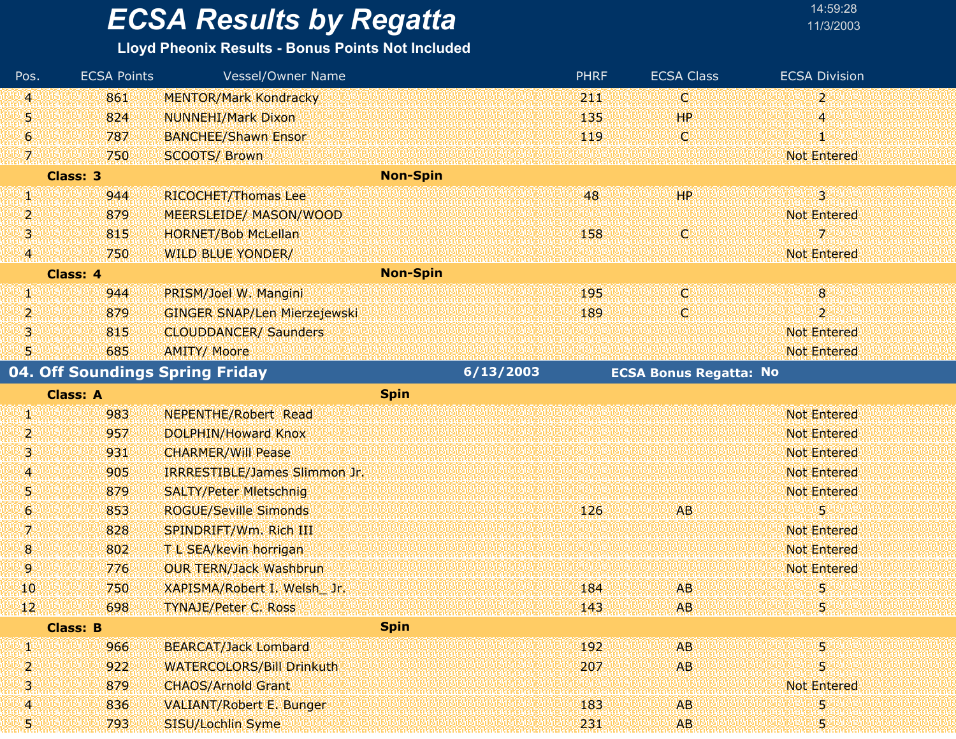#### **Lloyd Pheonix Results - Bonus Points Not Included**

| Pos.         | <b>ECSA Points</b> | Vessel/Owner Name                   |                 |           | <b>PHRF</b> | <b>ECSA Class</b>             | <b>ECSA Division</b> |  |
|--------------|--------------------|-------------------------------------|-----------------|-----------|-------------|-------------------------------|----------------------|--|
| 4            | 861                | <b>MENTOR/Mark Kondracky</b>        |                 |           | 211         | C.                            | $\overline{2}$       |  |
| 51           | 824                | <b>NUNNEHI/Mark Dixon</b>           |                 |           | 135         | HР                            | 4                    |  |
| G.           | 787                | <b>BANCHEE/Shawn Ensor</b>          |                 |           | 119         | W                             | Ю                    |  |
| 7.           | 750                | <b>SCOOTS/ Brown</b>                |                 |           |             |                               | <b>Not Entered</b>   |  |
|              | <b>Class: 3</b>    |                                     | <b>Non-Spin</b> |           |             |                               |                      |  |
| Щ            | 944                | RICOCHET/Thomas Lee                 |                 |           | 48          | <b>HP</b>                     | $\overline{3}$       |  |
| 2            | 879                | <b>MEERSLEIDE/ MASON/WOOD</b>       |                 |           |             |                               | <b>Not Entered</b>   |  |
| 喇            | 815                | <b>HORNET/Bob McLellan</b>          |                 |           | 158         | C)                            | 7.                   |  |
| 4            | 750                | <b>WILD BLUE YONDER/</b>            |                 |           |             |                               | <b>Not Entered</b>   |  |
|              | Class: 4           |                                     | <b>Non-Spin</b> |           |             |                               |                      |  |
| W            | 944                | PRISM/Joel W. Mangini               |                 |           | 195         | W                             | 8 <sup>°</sup>       |  |
| 2            | 879                | <b>GINGER SNAP/Len Mierzejewski</b> |                 |           | 189         | C.                            | $\overline{2}$       |  |
| 31           | 815                | <b>CLOUDDANCER/ Saunders</b>        |                 |           |             |                               | <b>Not Entered</b>   |  |
| 51           | 685                | <b>AMITY/ Moore</b>                 |                 |           |             |                               | <b>Not Entered</b>   |  |
|              |                    | 04. Off Soundings Spring Friday     |                 | 6/13/2003 |             | <b>ECSA Bonus Regatta: No</b> |                      |  |
|              | <b>Class: A</b>    |                                     | <b>Spin</b>     |           |             |                               |                      |  |
| W            | 983                | <b>NEPENTHE/Robert Read</b>         |                 |           |             |                               | <b>Not Entered</b>   |  |
| 2            | 957                | <b>DOLPHIN/Howard Knox</b>          |                 |           |             |                               | <b>Not Entered</b>   |  |
| 3            | 931                | <b>CHARMER/Will Pease</b>           |                 |           |             |                               | <b>Not Entered</b>   |  |
| 4            | 905                | IRRRESTIBLE/James Slimmon Jr.       |                 |           |             |                               | <b>Not Entered</b>   |  |
| 51           | 879                | <b>SALTY/Peter Mietschnig</b>       |                 |           |             |                               | <b>Not Entered</b>   |  |
| 6.           | 853                | <b>ROGUE/Seville Simonds</b>        |                 |           | 126         | AB.                           | 5                    |  |
| 7            | 828                | SPINDRIFT/Wm. Rich III              |                 |           |             |                               | <b>Not Entered</b>   |  |
| $\mathbf{8}$ | 802                | T L SEA/kevin horrigan              |                 |           |             |                               | <b>Not Entered</b>   |  |
| 9            | 776                | <b>OUR TERN/Jack Washbrun</b>       |                 |           |             |                               | <b>Not Entered</b>   |  |
| 10           | 750                | XAPISMA/Robert I. Welsh Jr.         |                 |           | 184         | <b>AB</b>                     | 5                    |  |
| 42           | 698                | TYNAJE/Peter C. Ross                |                 |           | 143         | AB.                           | п                    |  |
|              | <b>Class: B</b>    |                                     | <b>Spin</b>     |           |             |                               |                      |  |
| W            | 966                | <b>BEARCAT/Jack Lombard</b>         |                 |           | 192         | A <sub>B</sub>                | 5                    |  |
| 2            | 922                | <b>WATERCOLORS/Bill Drinkuth</b>    |                 |           | 207         | <b>AB</b>                     | 5                    |  |
| 3            | 879                | <b>CHAOS/Arnold Grant</b>           |                 |           |             |                               | <b>Not Entered</b>   |  |
| 4.           | 836                | <b>VALIANT/Robert E. Bunger</b>     |                 |           | 183         | <b>AB</b>                     | 5                    |  |
| 51           | 793                | SISU/Lochlin Syme                   |                 |           | 231         | AB.                           | 5                    |  |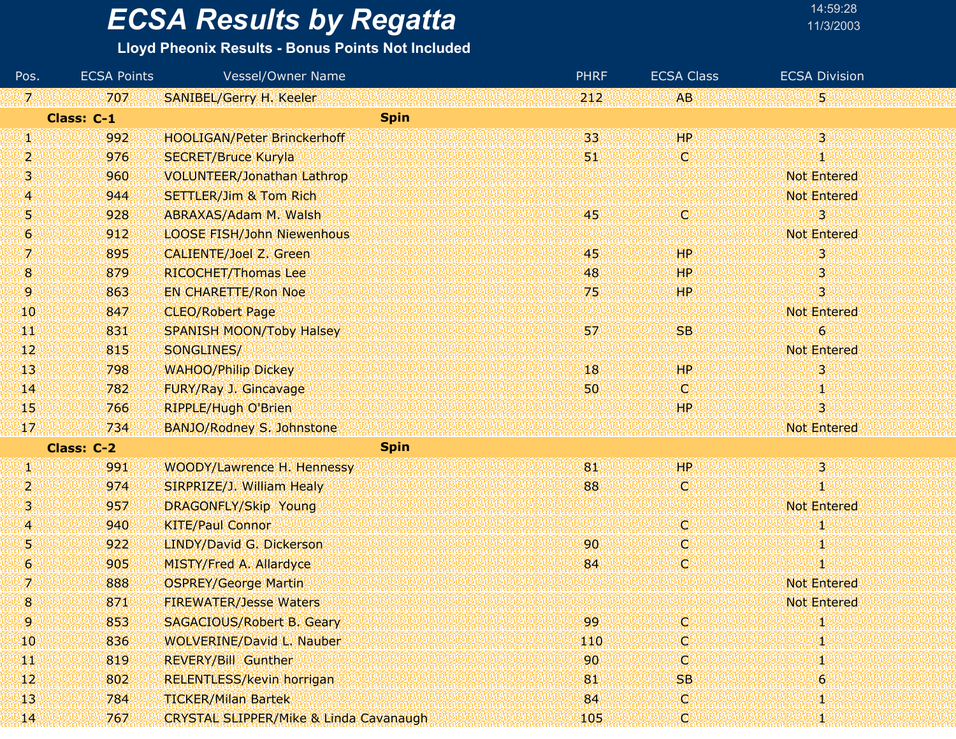### **Lloyd Pheonix Results - Bonus Points Not Included**

| Pos.          | <b>ECSA Points</b> | <b>Vessel/Owner Name</b>                          | <b>PHRF</b> | <b>ECSA Class</b> | <b>ECSA Division</b> |
|---------------|--------------------|---------------------------------------------------|-------------|-------------------|----------------------|
| $\mathcal{I}$ | 707                | <b>SANIBEL/Gerry H. Keeler</b>                    | 212         | AB.               | 5,                   |
|               | Class: C-1         |                                                   | <b>Spin</b> |                   |                      |
| Ø             | 992                | <b>HOOLIGAN/Peter Brinckerhoff</b>                | 33          | <b>HP</b>         | $\overline{3}$       |
| 2             | 976                | <b>SECRET/Bruce Kuryla</b>                        | 51          | C.                | O                    |
| з             | 960                | <b>VOLUNTEER/Jonathan Lathrop</b>                 |             |                   | <b>Not Entered</b>   |
| A             | 944                | <b>SETTLER/Jim &amp; Tom Rich</b>                 |             |                   | <b>Not Entered</b>   |
| 5             | 928                | ABRAXAS/Adam M. Walsh                             | 45          | IO)               | з                    |
| 6             | 912                | <b>LOOSE FISH/John Niewenhous</b>                 |             |                   | <b>Not Entered</b>   |
| 7.            | 895                | <b>CALIENTE/Joel Z. Green</b>                     | 45          | <b>HP</b>         | 3                    |
| 8             | 879                | <b>RICOCHET/Thomas Lee</b>                        | 48          | HР                | 3                    |
| 9.            | 863                | <b>EN CHARETTE/Ron Noe</b>                        | 75          | HР                | 3                    |
| 10            | 847                | <b>CLEO/Robert Page</b>                           |             |                   | <b>Not Entered</b>   |
| ŦT            | 831                | <b>SPANISH MOON/Toby Halsey</b>                   | 57          | <b>SB</b>         | 6                    |
| $ 12\rangle$  | 815                | SONGLINES/                                        |             |                   | <b>Not Entered</b>   |
| 43            | 798                | <b>WAHOO/Philip Dickey</b>                        | 18          | <b>HP</b>         | 3                    |
| 14            | 782                | FURY/Ray J. Gincavage                             | 50          | <b>C</b>          | 1                    |
| 45            | 766                | <b>RIPPLE/Hugh O'Brien</b>                        |             | HP.               | 3                    |
| 17            | 734                | BANJO/Rodney S. Johnstone                         |             |                   | <b>Not Entered</b>   |
|               | Class: C-2         |                                                   | <b>Spin</b> |                   |                      |
| W             | 991                | WOODY/Lawrence H. Hennessy                        | 81          | HP.               | $\overline{3}$       |
| 2             | 974                | SIRPRIZE/J. William Healy                         | 88          | V.                | O                    |
| 13.           | 957                | DRAGONFLY/Skip Young                              |             |                   | <b>Not Entered</b>   |
| A             | 940                | <b>KITE/Paul Connor</b>                           |             | O.                | 41,                  |
| 9             | 922                | LINDY/David G. Dickerson                          | 90          | C)                | Ψ                    |
| 6             | 905                | <b>MISTY/Fred A. Allardyce</b>                    | 84          | W                 | 1                    |
| 7             | 888                | <b>OSPREY/George Martin</b>                       |             |                   | <b>Not Entered</b>   |
| 8             | 871                | <b>FIREWATER/Jesse Waters</b>                     |             |                   | <b>Not Entered</b>   |
| 9.            | 853                | <b>SAGACIOUS/Robert B. Geary</b>                  | 99          | O.                | Ю                    |
| 10            | 836                | <b>WOLVERINE/David L. Nauber</b>                  | 110         | O.                | 1                    |
| ЩF            | 819                | <b>REVERY/Bill Gunther</b>                        | 90          | C.                | Ф                    |
| $\mathbf{12}$ | 802                | RELENTLESS/kevin horrigan                         | 81          | <b>SB</b>         | 6                    |
| 43            | 784                | <b>TICKER/Milan Bartek</b>                        | 84          | O.                | 1                    |
| $\mathbf{H}$  | 767                | <b>CRYSTAL SLIPPER/Mike &amp; Linda Cavanaugh</b> | 105         | C                 | 4                    |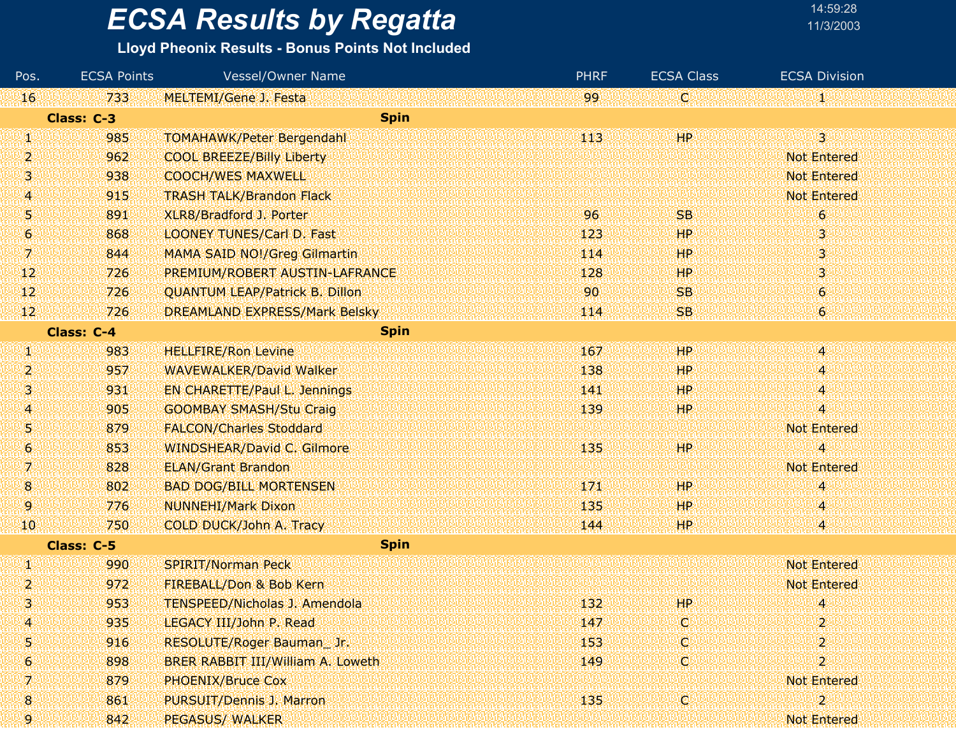### **Lloyd Pheonix Results - Bonus Points Not Included**

| Pos.           | <b>ECSA Points</b> | Vessel/Owner Name                     | <b>PHRF</b> | <b>ECSA Class</b> | <b>ECSA Division</b> |
|----------------|--------------------|---------------------------------------|-------------|-------------------|----------------------|
| 16             | 733                | <b>MELTEMI/Gene J. Festa</b>          | 99.         | W.                | 郷                    |
|                | Class: C-3         | <b>Spin</b>                           |             |                   |                      |
| W              | 985                | <b>TOMAHAWK/Peter Bergendahl</b>      | 443         | HP                | $\overline{3}$       |
| $\overline{2}$ | 962                | <b>COOL BREEZE/Billy Liberty</b>      |             |                   | <b>Not Entered</b>   |
| 3              | 938                | <b>COOCH/WES MAXWELL</b>              |             |                   | <b>Not Entered</b>   |
| 4              | 915                | <b>TRASH TALK/Brandon Flack</b>       |             |                   | <b>Not Entered</b>   |
| W              | 891                | XLR8/Bradford J. Porter               | 96          | <b>SB</b>         | $\boldsymbol{6}$     |
| 6              | 868                | <b>LOONEY TUNES/Carl D. Fast</b>      | 123         | HP                | 3                    |
| 咧              | 844                | MAMA SAID NO!/Greg Gilmartin          | 114         | HP.               | 3                    |
| 12             | 726                | PREMIUM/ROBERT AUSTIN-LAFRANCE        | 128         | <b>HP</b>         | 3                    |
| $\mathbf{12}$  | 726                | <b>QUANTUM LEAP/Patrick B. Dillon</b> | 90          | <b>SB</b>         | 6                    |
| $\mathbf{12}$  | 726                | <b>DREAMLAND EXPRESS/Mark Belsky</b>  | 114         | SB                | $\boldsymbol{6}$     |
|                | <b>Class: C-4</b>  | <b>Spin</b>                           |             |                   |                      |
| W              | 983                | <b>HELLFIRE/Ron Levine</b>            | 167         | 99 P              | 48                   |
| 2              | 957                | <b>WAVEWALKER/David Walker</b>        | 138         | HP                | 4.                   |
| 91             | 931                | <b>EN CHARETTE/Paul L. Jennings</b>   | 141         | HP                | 4                    |
| A              | 905                | <b>GOOMBAY SMASH/Stu Craig</b>        | 139         | HР                | $\overline{4}$       |
| W              | 879                | <b>FALCON/Charles Stoddard</b>        |             |                   | <b>Not Entered</b>   |
| 6              | 853                | <b>WINDSHEAR/David C. Gilmore</b>     | 135         | HP                | 4                    |
| 7.             | 828                | <b>ELAN/Grant Brandon</b>             |             |                   | <b>Not Entered</b>   |
| 8              | 802                | <b>BAD DOG/BILL MORTENSEN</b>         | 171         | HP                | 4                    |
| 9              | 776                | <b>NUNNEHI/Mark Dixon</b>             | 135         | HP                | 4                    |
| 10             | 750                | COLD DUCK/John A. Tracy               | 144         | ΉP                | 4                    |
|                | Class: C-5         | <b>Spin</b>                           |             |                   |                      |
| W              | 990                | <b>SPIRIT/Norman Peck</b>             |             |                   | <b>Not Entered</b>   |
| $\overline{2}$ | 972                | FIREBALL/Don & Bob Kern               |             |                   | <b>Not Entered</b>   |
| 3              | 953                | <b>TENSPEED/Nicholas J. Amendola</b>  | 132         | <b>HP</b>         | 4                    |
| 4              | 935                | LEGACY III/John P. Read               | 147         | Ю                 | $\overline{2}$       |
| 5              | 916                | RESOLUTE/Roger Bauman_Jr.             | 153         | ω                 | 2                    |
| 6              | 898                | BRER RABBIT III/William A. Loweth     | 149         | O                 | 25                   |
| 7.             | 879                | <b>PHOENIX/Bruce Cox</b>              |             |                   | <b>Not Entered</b>   |
| 8              | 861                | PURSUIT/Dennis J. Marron              | 135         | W                 | 2                    |
|                | 842                | <b>PEGASUS/ WALKER</b>                |             |                   | Not Entered          |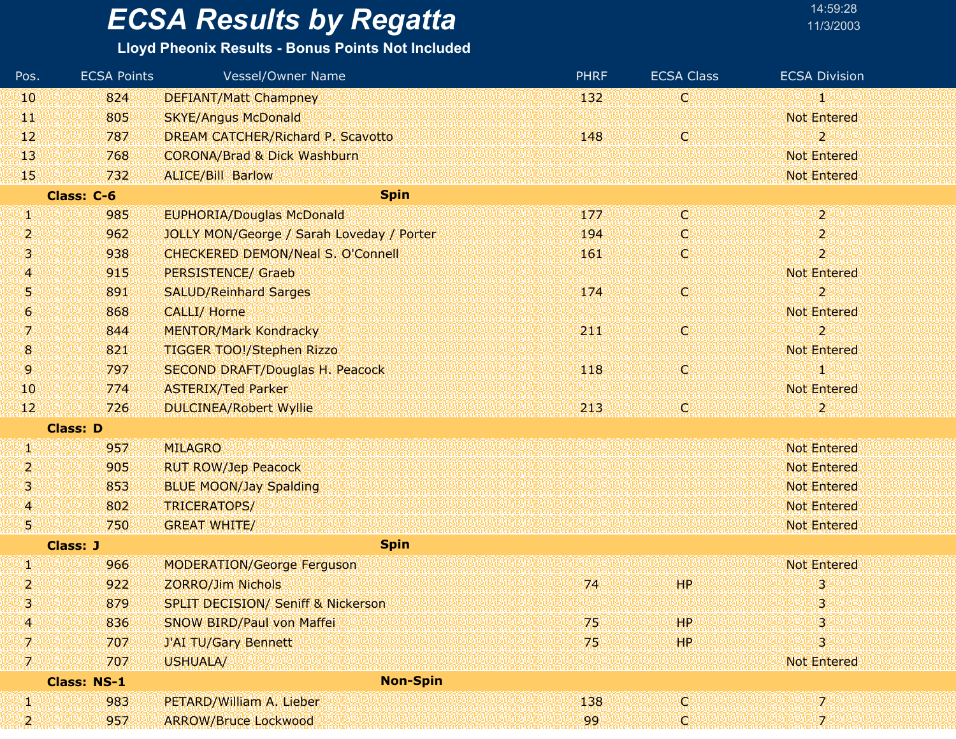#### **Lloyd Pheonix Results - Bonus Points Not Included**

| Pos.          | <b>ECSA Points</b> | Vessel/Owner Name                             | <b>PHRF</b> | <b>ECSA Class</b> | <b>ECSA Division</b> |
|---------------|--------------------|-----------------------------------------------|-------------|-------------------|----------------------|
| 10            | 824                | <b>DEFIANT/Matt Champney</b>                  | 132         | O                 |                      |
| ЩI            | 805                | <b>SKYE/Angus McDonald</b>                    |             |                   | <b>Not Entered</b>   |
| $\mathbf{12}$ | 787                | DREAM CATCHER/Richard P. Scavotto             | 148         | Ø                 | 2                    |
| 13            | 768                | <b>CORONA/Brad &amp; Dick Washburn</b>        |             |                   | <b>Not Entered</b>   |
| 45.           | 732                | <b>ALICE/Bill Barlow</b>                      |             |                   | <b>Not Entered</b>   |
|               | Class: C-6         | <b>Spin</b>                                   |             |                   |                      |
| W             | 985                | <b>EUPHORIA/Douglas McDonald</b>              | 177         | Ø                 | $\overline{2}$       |
| 2             | 962                | JOLLY MON/George / Sarah Loveday / Porter     | 194         | O                 | $\overline{2}$       |
| Ŋ             | 938                | CHECKERED DEMON/Neal S. O'Connell             | 161         | C                 | $\overline{2}$       |
| 4             | 915                | <b>PERSISTENCE/ Graeb</b>                     |             |                   | <b>Not Entered</b>   |
| 51            | 891                | <b>SALUD/Reinhard Sarges</b>                  | 174         | Ο                 | $\overline{2}$       |
| $\mathbf{G}$  | 868                | <b>CALLI/ Horne</b>                           |             |                   | <b>Not Entered</b>   |
| 7.            | 844                | <b>MENTOR/Mark Kondracky</b>                  | 211         | Ο                 | $\overline{2}$       |
| 8             | 821                | <b>TIGGER TOO!/Stephen Rizzo</b>              |             |                   | <b>Not Entered</b>   |
| 9             | 797                | <b>SECOND DRAFT/Douglas H. Peacock</b>        | 118         | C)                |                      |
| 10            | 774                | <b>ASTERIX/Ted Parker</b>                     |             |                   | <b>Not Entered</b>   |
| 12.           | 726                | <b>DULCINEA/Robert Wyllie</b>                 | 213         | O                 | 2                    |
|               | <b>Class: D</b>    |                                               |             |                   |                      |
| W             | 957                | <b>MILAGRO</b>                                |             |                   | <b>Not Entered</b>   |
| 2             | 905                | <b>RUT ROW/Jep Peacock</b>                    |             |                   | <b>Not Entered</b>   |
| 3             | 853                | <b>BLUE MOON/Jay Spalding</b>                 |             |                   | <b>Not Entered</b>   |
| 4             | 802                | TRICERATOPS/                                  |             |                   | <b>Not Entered</b>   |
| 51            | 750                | <b>GREAT WHITE/</b>                           |             |                   | <b>Not Entered</b>   |
|               | <b>Class: J</b>    | <b>Spin</b>                                   |             |                   |                      |
| Ŋ.            | 966                | <b>MODERATION/George Ferguson</b>             |             |                   | <b>Not Entered</b>   |
| 2             | 922                | <b>ZORRO/Jim Nichols</b>                      | 74          | HP.               | 3                    |
| 3.            | 879                | <b>SPLIT DECISION/ Seniff &amp; Nickerson</b> |             |                   | 3                    |
| 4.            | 836                | SNOW BIRD/Paul von Maffei                     | 75          | HP.               | 3                    |
| A             | 707                | <b>J'AI TU/Gary Bennett</b>                   | 75          | HP                | 3                    |
| W             | 707                | USHUALA/                                      |             |                   | <b>Not Entered</b>   |
|               | <b>Class: NS-1</b> | <b>Non-Spin</b>                               |             |                   |                      |
| W             | 983                | PETARD/William A. Lieber                      | 138         | Ø                 | 7.                   |
| 2             | 957                | <b>ARROW/Bruce Lockwood</b>                   | 99          | Ţ.                | 7.                   |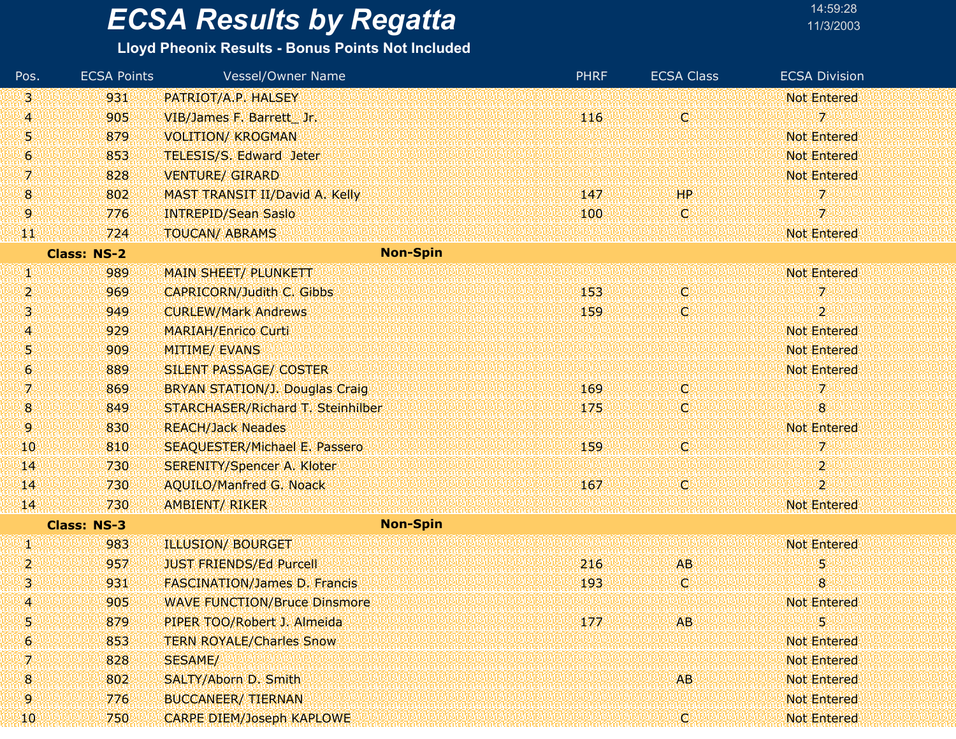#### **Lloyd Pheonix Results - Bonus Points Not Included**

| Pos.             | <b>ECSA Points</b> | <b>Vessel/Owner Name</b>              | <b>PHRF</b> | <b>ECSA Class</b> | <b>ECSA Division</b> |
|------------------|--------------------|---------------------------------------|-------------|-------------------|----------------------|
| 3.               | 931                | PATRIOT/A.P. HALSEY                   |             |                   | <b>Not Entered</b>   |
| 4                | 905                | VIB/James F. Barrett Jr.              | 116         | Φ                 | 7                    |
| 51               | 879                | <b>VOLITION/ KROGMAN</b>              |             |                   | <b>Not Entered</b>   |
| 6.               | 853                | TELESIS/S. Edward Jeter               |             |                   | <b>Not Entered</b>   |
| 7.               | 828                | <b>VENTURE/ GIRARD</b>                |             |                   | <b>Not Entered</b>   |
| $\bf{8}$         | 802                | MAST TRANSIT II/David A. Kelly        | 147         | HP                | 7.                   |
| 9.               | 776                | <b>INTREPID/Sean Saslo</b>            | 100         | IC.               | 7                    |
| 淫犯               | 724                | <b>TOUCAN/ ABRAMS</b>                 |             |                   | <b>Not Entered</b>   |
|                  | <b>Class: NS-2</b> | <b>Non-Spin</b>                       |             |                   |                      |
| W                | 989                | <b>MAIN SHEET/ PLUNKETT</b>           |             |                   | <b>Not Entered</b>   |
| 2                | 969                | <b>CAPRICORN/Judith C. Gibbs</b>      | 153         | W                 | $7^{\circ}$          |
| 131              | 949                | <b>CURLEW/Mark Andrews</b>            | 159         | C.                | $\overline{2}$       |
| 4                | 929                | <b>MARIAH/Enrico Curti</b>            |             |                   | <b>Not Entered</b>   |
| 51               | 909                | <b>MITIME/ EVANS</b>                  |             |                   | <b>Not Entered</b>   |
| $\boldsymbol{6}$ | 889                | SILENT PASSAGE/ COSTER                |             |                   | <b>Not Entered</b>   |
| 71               | 869                | <b>BRYAN STATION/J. Douglas Craig</b> | 169         | (C)               | 7                    |
| 8                | 849                | STARCHASER/Richard T. Steinhilber     | 175         | Ç                 | 8                    |
| 9.               | 830                | <b>REACH/Jack Neades</b>              |             |                   | <b>Not Entered</b>   |
| <b>10</b>        | 810                | <b>SEAQUESTER/Michael E. Passero</b>  | 159         | W                 | 7                    |
| $\mathbf{I}$     | 730                | <b>SERENITY/Spencer A. Kloter</b>     |             |                   | 2                    |
| $\mathbf{14}$    | 730                | <b>AQUILO/Manfred G. Noack</b>        | 167         | о                 | $\overline{2}$       |
| 14               | 730                | AMBIENT/RIKER                         |             |                   | <b>Not Entered</b>   |
|                  | <b>Class: NS-3</b> | <b>Non-Spin</b>                       |             |                   |                      |
| W                | 983                | <b>ILLUSION/ BOURGET</b>              |             |                   | <b>Not Entered</b>   |
| 2                | 957                | <b>JUST FRIENDS/Ed Purcell</b>        | 216         | <b>AB</b>         | 5                    |
| 3                | 931                | <b>FASCINATION/James D. Francis</b>   | 193         | Q                 | $\bf{8}$             |
| 4                | 905                | <b>WAVE FUNCTION/Bruce Dinsmore</b>   |             |                   | <b>Not Entered</b>   |
| 5                | 879                | PIPER TOO/Robert J. Almeida           | 177         | <b>AB</b>         | 5                    |
| 6                | 853                | <b>TERN ROYALE/Charles Snow</b>       |             |                   | <b>Not Entered</b>   |
| 7                | 828                | <b>SESAME/</b>                        |             |                   | <b>Not Entered</b>   |
| 8                | 802                | SALTY/Aborn D. Smith                  |             | AB.               | <b>Not Entered</b>   |
| 9                | 776                | <b>BUCCANEER/ TIERNAN</b>             |             |                   | <b>Not Entered</b>   |
| 10               | 750                | <b>CARPE DIEM/Joseph KAPLOWE</b>      |             | q                 | <b>Not Entered</b>   |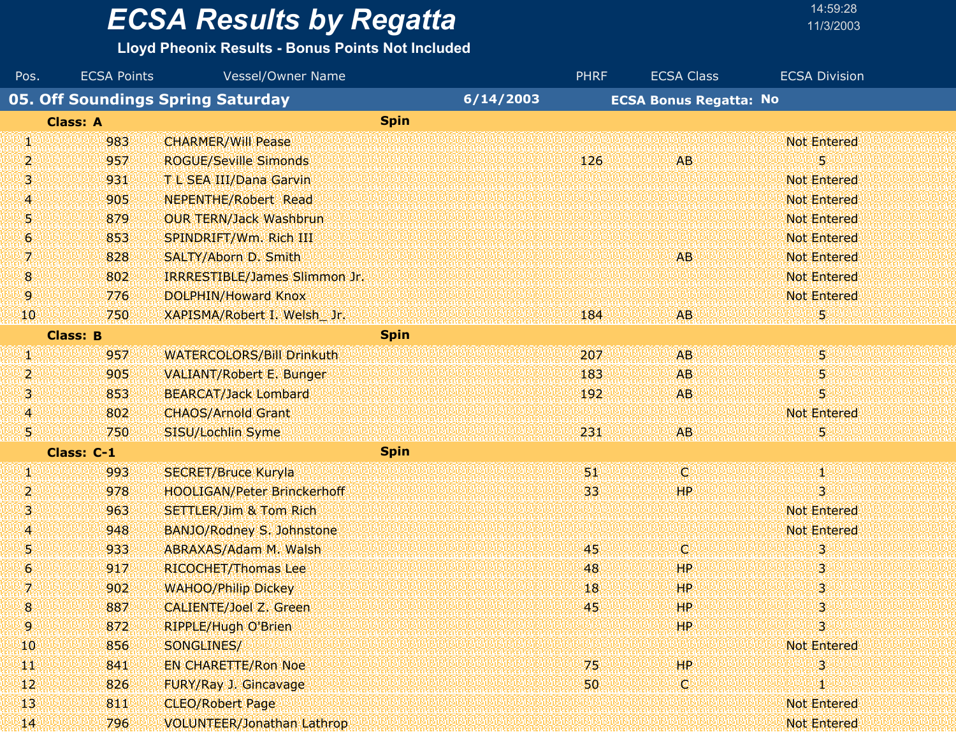#### **Lloyd Pheonix Results - Bonus Points Not Included**

| Pos.             | <b>ECSA Points</b> | Vessel/Owner Name                  |           | <b>PHRF</b> | <b>ECSA Class</b>             | <b>ECSA Division</b> |  |
|------------------|--------------------|------------------------------------|-----------|-------------|-------------------------------|----------------------|--|
|                  |                    | 05. Off Soundings Spring Saturday  | 6/14/2003 |             | <b>ECSA Bonus Regatta: No</b> |                      |  |
|                  | <b>Class: A</b>    | <b>Spin</b>                        |           |             |                               |                      |  |
| W                | 983                | <b>CHARMER/Will Pease</b>          |           |             |                               | <b>Not Entered</b>   |  |
| 2                | 957                | <b>ROGUE/Seville Simonds</b>       |           | 126         | <b>AB</b>                     | 5                    |  |
| 91               | 931                | T L SEA III/Dana Garvin            |           |             |                               | <b>Not Entered</b>   |  |
| 4                | 905                | <b>NEPENTHE/Robert Read</b>        |           |             |                               | <b>Not Entered</b>   |  |
| 5                | 879                | <b>OUR TERN/Jack Washbrun</b>      |           |             |                               | <b>Not Entered</b>   |  |
| 6                | 853                | SPINDRIFT/Wm. Rich III             |           |             |                               | <b>Not Entered</b>   |  |
| 7.               | 828                | SALTY/Aborn D. Smith               |           |             | <b>AB</b>                     | <b>Not Entered</b>   |  |
| 8                | 802                | IRRRESTIBLE/James Slimmon Jr.      |           |             |                               | <b>Not Entered</b>   |  |
| 9.               | 776                | <b>DOLPHIN/Howard Knox</b>         |           |             |                               | <b>Not Entered</b>   |  |
| 10               | 750                | XAPISMA/Robert I. Welsh Jr.        |           | 184         | <b>AB</b>                     | 5                    |  |
|                  | <b>Class: B</b>    | <b>Spin</b>                        |           |             |                               |                      |  |
| 塊                | 957                | <b>WATERCOLORS/Bill Drinkuth</b>   |           | 207         | AB.                           | $5^{\circ}$          |  |
| 2.               | 905                | <b>VALIANT/Robert E. Bunger</b>    |           | 183         | <b>AB</b>                     | 5                    |  |
| 31               | 853                | <b>BEARCAT/Jack Lombard</b>        |           | 192         | <b>AB</b>                     | 5                    |  |
| 4                | 802                | <b>CHAOS/Arnold Grant</b>          |           |             |                               | <b>Not Entered</b>   |  |
| 51               | 750                | SISU/Lochlin Syme                  |           | 231         | AB.                           | 5                    |  |
|                  | Class: C-1         | <b>Spin</b>                        |           |             |                               |                      |  |
| 90               | 993                | <b>SECRET/Bruce Kuryla</b>         |           | 51.         | O)                            | W                    |  |
| 2                | 978                | <b>HOOLIGAN/Peter Brinckerhoff</b> |           | 33          | <b>HP</b>                     | 3                    |  |
| 3                | 963                | <b>SETTLER/Jim &amp; Tom Rich</b>  |           |             |                               | <b>Not Entered</b>   |  |
| 4                | 948                | BANJO/Rodney S. Johnstone          |           |             |                               | <b>Not Entered</b>   |  |
| U)               | 933                | ABRAXAS/Adam M. Walsh              |           | 45          | Ο                             | 3                    |  |
| $\boldsymbol{6}$ | 917                | <b>RICOCHET/Thomas Lee</b>         |           | 48          | <b>HP</b>                     | 3                    |  |
| 7                | 902                | <b>WAHOO/Philip Dickey</b>         |           | 18          | <b>HP</b>                     | 3                    |  |
| 8                | 887                | <b>CALIENTE/Joel Z. Green</b>      |           | 45          | <b>HP</b>                     | 3                    |  |
| 9                | 872                | <b>RIPPLE/Hugh O'Brien</b>         |           |             | HP.                           | 3                    |  |
| 10               | 856                | SONGLINES/                         |           |             |                               | <b>Not Entered</b>   |  |
| щT               | 841                | <b>EN CHARETTE/Ron Noe</b>         |           | 75          | HP                            | 3                    |  |
| 12               | 826                | FURY/Ray J. Gincavage              |           | 50          | C)                            |                      |  |
| 13               | 811                | <b>CLEO/Robert Page</b>            |           |             |                               | <b>Not Entered</b>   |  |
| 14.              | 796                | <b>VOLUNTEER/Jonathan Lathrop</b>  |           |             |                               | <b>Not Entered</b>   |  |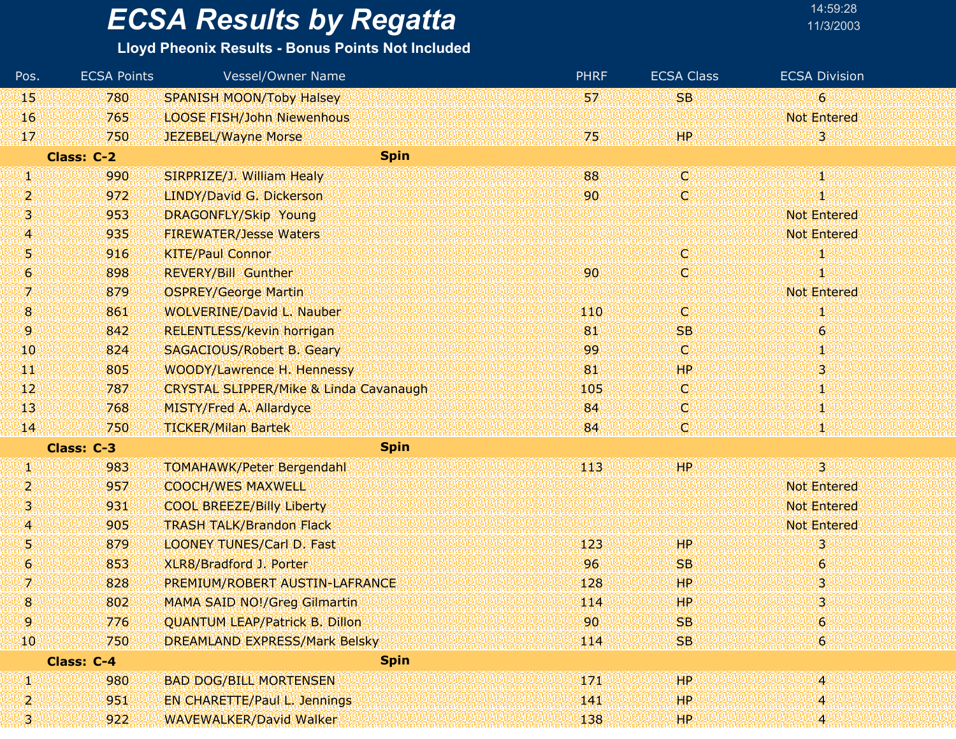### **Lloyd Pheonix Results - Bonus Points Not Included**

| Pos.             | <b>ECSA Points</b> | Vessel/Owner Name                                 | <b>PHRF</b> | <b>ECSA Class</b> | <b>ECSA Division</b> |
|------------------|--------------------|---------------------------------------------------|-------------|-------------------|----------------------|
| 45               | 780                | <b>SPANISH MOON/Toby Halsey</b>                   | 57          | <b>SB</b>         | 6 <sup>°</sup>       |
| 16               | 765                | <b>LOOSE FISH/John Niewenhous</b>                 |             |                   | <b>Not Entered</b>   |
| 17               | 750                | JEZEBEL/Wayne Morse                               | 75          | HP.               | 3                    |
|                  | <b>Class: C-2</b>  | <b>Spin</b>                                       |             |                   |                      |
| W                | 990                | SIRPRIZE/J. William Healy                         | 88          | W                 | Φ                    |
| 2                | 972                | LINDY/David G. Dickerson                          | 90          | C,                | S)                   |
| 31               | 953                | <b>DRAGONFLY/Skip Young</b>                       |             |                   | <b>Not Entered</b>   |
| $\bm{A}$         | 935                | <b>FIREWATER/Jesse Waters</b>                     |             |                   | <b>Not Entered</b>   |
| 51               | 916                | <b>KITE/Paul Connor</b>                           |             | C,                |                      |
| $\boldsymbol{6}$ | 898                | <b>REVERY/Bill Gunther</b>                        | 90          | Ç,                | 1                    |
| 7                | 879                | <b>OSPREY/George Martin</b>                       |             |                   | <b>Not Entered</b>   |
| $\boldsymbol{8}$ | 861                | <b>WOLVERINE/David L. Nauber</b>                  | 110         | C,                | ĶI)                  |
| 9.               | 842                | RELENTLESS/kevin horrigan                         | 81          | <b>SB</b>         | $\theta$             |
| <b>10</b>        | 824                | SAGACIOUS/Robert B. Geary                         | 99          | O.                | 1                    |
| щP               | 805                | WOODY/Lawrence H. Hennessy                        | 81          | HP                | 3                    |
| $\mathbf{12}$    | 787                | <b>CRYSTAL SLIPPER/Mike &amp; Linda Cavanaugh</b> | 105         | O.                | 1                    |
| 13               | 768                | <b>MISTY/Fred A. Allardyce</b>                    | 84          | C,                | 1                    |
| $\mathbf{H}$     | 750                | <b>TICKER/Milan Bartek</b>                        | 84          | C,                |                      |
|                  | Class: C-3         | <b>Spin</b>                                       |             |                   |                      |
| W                | 983                | <b>TOMAHAWK/Peter Bergendahl</b>                  | 113         | HP.               | $3^{\circ}$          |
| 2                | 957                | <b>COOCH/WES MAXWELL</b>                          |             |                   | <b>Not Entered</b>   |
| 91               | 931                | <b>COOL BREEZE/Billy Liberty</b>                  |             |                   | <b>Not Entered</b>   |
| 4.               | 905                | <b>TRASH TALK/Brandon Flack</b>                   |             |                   | <b>Not Entered</b>   |
| 51               | 879                | <b>LOONEY TUNES/Carl D. Fast</b>                  | 123         | <b>HP</b>         | 3                    |
| Ю                | 853                | XLR8/Bradford J. Porter                           | 96          | <b>SB</b>         | 6.                   |
| 7.               | 828                | PREMIUM/ROBERT AUSTIN-LAFRANCE                    | 128         | <b>HP</b>         | 3                    |
| 8                | 802                | <b>MAMA SAID NO!/Greg Gilmartin</b>               | 114         | HP                | 3                    |
| 9.               | 776                | <b>QUANTUM LEAP/Patrick B. Dillon</b>             | 90          | <b>SB</b>         | $\boldsymbol{6}$     |
| 10               | 750                | <b>DREAMLAND EXPRESS/Mark Belsky</b>              | 114         | <b>SB</b>         | 61                   |
|                  | <b>Class: C-4</b>  | <b>Spin</b>                                       |             |                   |                      |
| W                | 980                | <b>BAD DOG/BILL MORTENSEN</b>                     | 171         | HP                | 4                    |
| 2                | 951                | EN CHARETTE/Paul L. Jennings                      | 141         | HP                | 4                    |
| 3)               | 922                | <b>WAVEWALKER/David Walker</b>                    | 138         | <b>HP</b>         | Æ                    |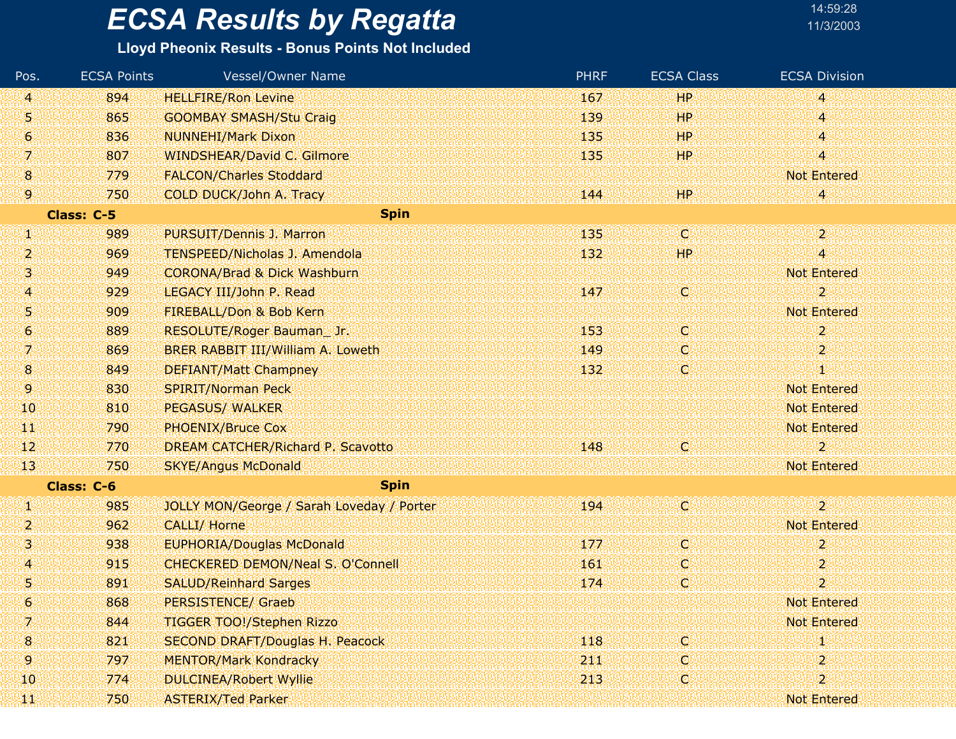### **Lloyd Pheonix Results - Bonus Points Not Included**

| Pos.            | <b>ECSA Points</b> | <b>Vessel/Owner Name</b>                  | <b>PHRF</b> | <b>ECSA Class</b> | <b>ECSA Division</b>      |
|-----------------|--------------------|-------------------------------------------|-------------|-------------------|---------------------------|
| $\vert 4 \vert$ | 894                | <b>HELLFIRE/Ron Levine</b>                | 167         | <b>HP</b>         | 4                         |
| 5               | 865                | <b>GOOMBAY SMASH/Stu Craig</b>            | 139         | <b>HP</b>         | 4                         |
| 6               | 836                | <b>NUNNEHI/Mark Dixon</b>                 | 135         | HP.               | 4                         |
| V,              | 807                | <b>WINDSHEAR/David C. Gilmore</b>         | 135         | HP                | 4                         |
| $\bf{8}$        | 779                | <b>FALCON/Charles Stoddard</b>            |             |                   | <b>Not Entered</b>        |
| 9               | 750                | COLD DUCK/John A. Tracy                   | 144         | HP.               |                           |
|                 | Class: C-5         | <b>Spin</b>                               |             |                   |                           |
| W               | 989                | PURSUIT/Dennis J. Marron                  | 135         | O                 | $\mathbf{2}^{\mathsf{c}}$ |
| 2               | 969                | <b>TENSPEED/Nicholas J. Amendola</b>      | 132         | <b>HP</b>         | 4                         |
| 3               | 949                | <b>CORONA/Brad &amp; Dick Washburn</b>    |             |                   | <b>Not Entered</b>        |
| 41              | 929                | LEGACY III/John P. Read                   | 147         | O                 | $\overline{2}$            |
| 5               | 909                | FIREBALL/Don & Bob Kern                   |             |                   | <b>Not Entered</b>        |
| 6               | 889                | RESOLUTE/Roger Bauman_Jr.                 | 153         | C                 | $\overline{2}$            |
| 7.              | 869                | BRER RABBIT III/William A. Loweth         | 149         | Q                 | 2                         |
| $\mathbf{8}$    | 849                | <b>DEFIANT/Matt Champney</b>              | 132         | d                 | T                         |
| 9.              | 830                | <b>SPIRIT/Norman Peck</b>                 |             |                   | <b>Not Entered</b>        |
| 10              | 810                | <b>PEGASUS/ WALKER</b>                    |             |                   | <b>Not Entered</b>        |
| TЩ              | 790                | <b>PHOENIX/Bruce Cox</b>                  |             |                   | <b>Not Entered</b>        |
| 12              | 770                | DREAM CATCHER/Richard P. Scavotto         | 148         | O                 | 2                         |
| 13              | 750                | <b>SKYE/Angus McDonald</b>                |             |                   | <b>Not Entered</b>        |
|                 | Class: C-6         | <b>Spin</b>                               |             |                   |                           |
| W               | 985                | JOLLY MON/George / Sarah Loveday / Porter | 194         | O)                | $\mathbf{z}$              |
| 2               | 962                | <b>CALLI/ Horne</b>                       |             |                   | <b>Not Entered</b>        |
| 3               | 938                | <b>EUPHORIA/Douglas McDonald</b>          | 177         | C                 | 2                         |
| $\overline{A}$  | 915                | CHECKERED DEMON/Neal S. O'Connell         | 161         | ω                 | 2                         |
| 5               | 891                | <b>SALUD/Reinhard Sarges</b>              | 174         | C                 | $\overline{2}$            |
| 6               | 868                | <b>PERSISTENCE/ Graeb</b>                 |             |                   | <b>Not Entered</b>        |
| 7               | 844                | <b>TIGGER TOO!/Stephen Rizzo</b>          |             |                   | <b>Not Entered</b>        |
| 18.             | 821                | <b>SECOND DRAFT/Douglas H. Peacock</b>    | 118         | O.                |                           |
| 9.              | 797                | <b>MENTOR/Mark Kondracky</b>              | 211         | O                 |                           |
| 10              | 774                | <b>DULCINEA/Robert Wyllie</b>             | 213         | C                 | 2                         |
| 鸜               | 750                | <b>ASTERIX/Ted Parker</b>                 |             |                   | <b>Not Entered</b>        |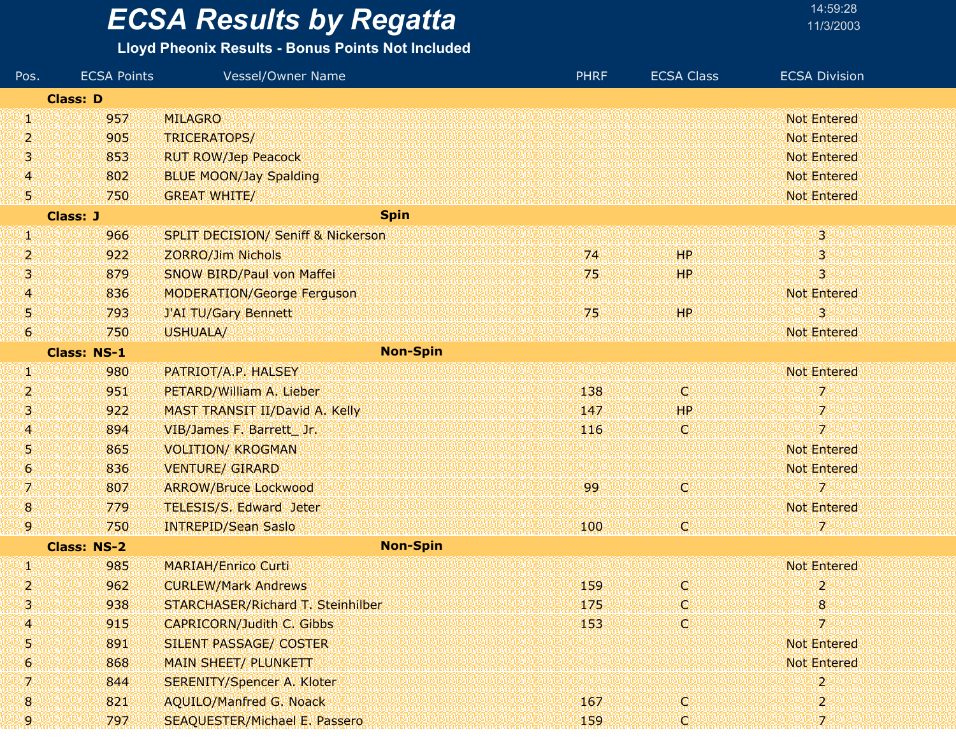|  | 14:59:28  |  |  |
|--|-----------|--|--|
|  | 11/3/2003 |  |  |

| Pos.                | <b>ECSA Points</b> | Vessel/Owner Name                             | <b>PHRF</b> | <b>ECSA Class</b> | <b>ECSA Division</b> |
|---------------------|--------------------|-----------------------------------------------|-------------|-------------------|----------------------|
|                     | <b>Class: D</b>    |                                               |             |                   |                      |
| W                   | 957                | <b>MILAGRO</b>                                |             |                   | <b>Not Entered</b>   |
| 2                   | 905                | TRICERATOPS/                                  |             |                   | <b>Not Entered</b>   |
| 3.                  | 853                | <b>RUT ROW/Jep Peacock</b>                    |             |                   | <b>Not Entered</b>   |
| $\overline{4}$      | 802                | <b>BLUE MOON/Jay Spalding</b>                 |             |                   | Not Entered          |
| 5)                  | 750                | <b>GREAT WHITE/</b>                           |             |                   | <b>Not Entered</b>   |
|                     | <b>Class: J</b>    | <b>Spin</b>                                   |             |                   |                      |
| W                   | 966                | <b>SPLIT DECISION/ Seniff &amp; Nickerson</b> |             |                   | 3 <sup>1</sup>       |
| 2                   | 922                | <b>ZORRO/Jim Nichols</b>                      | 74          | 44P.              | 3                    |
| 3                   | 879                | <b>SNOW BIRD/Paul von Maffei</b>              | 75          | HP.               | $\overline{3}$       |
| 4.                  | 836                | <b>MODERATION/George Ferguson</b>             |             |                   | <b>Not Entered</b>   |
| 5                   | 793                | <b>J'AI TU/Gary Bennett</b>                   | 75          | HP                | 3                    |
| $\ddot{\mathbf{e}}$ | 750                | USHUALA/                                      |             |                   | <b>Not Entered</b>   |
|                     | <b>Class: NS-1</b> | <b>Non-Spin</b>                               |             |                   |                      |
| W                   | 980                | PATRIOT/A.P. HALSEY                           |             |                   | <b>Not Entered</b>   |
| 2                   | 951                | PETARD/William A. Lieber                      | 138         | K.                | 7                    |
| 3.                  | 922                | <b>MAST TRANSIT II/David A. Kelly</b>         | 147         | <b>HP</b>         | 7                    |
| 41                  | 894                | VIB/James F. Barrett Jr.                      | 416         | O                 | 7.                   |
| 5.                  | 865                | <b>VOLITION/ KROGMAN</b>                      |             |                   | <b>Not Entered</b>   |
| $\ddot{\mathbf{e}}$ | 836                | <b>VENTURE/ GIRARD</b>                        |             |                   | <b>Not Entered</b>   |
| 7.                  | 807                | <b>ARROW/Bruce Lockwood</b>                   | 99          | C)                | 7                    |
| $\bf{8}$            | 779                | <b>TELESIS/S. Edward Jeter</b>                |             |                   | <b>Not Entered</b>   |
| 9                   | 750                | <b>INTREPID/Sean Saslo</b>                    | 100         | Ç,                | 7                    |
|                     | <b>Class: NS-2</b> | <b>Non-Spin</b>                               |             |                   |                      |
| W                   | 985                | <b>MARIAH/Enrico Curti</b>                    |             |                   | <b>Not Entered</b>   |
| 2                   | 962                | <b>CURLEW/Mark Andrews</b>                    | 159         | C)                | $\overline{2}$       |
| 3.                  | 938                | STARCHASER/Richard T. Steinhilber             | 175         | ω                 | 8                    |
| 4                   | 915                | <b>CAPRICORN/Judith C. Gibbs</b>              | 153         | o                 | 7                    |
| 5                   | 891                | SILENT PASSAGE/ COSTER                        |             |                   | <b>Not Entered</b>   |
| 6                   | 868                | <b>MAIN SHEET/ PLUNKETT</b>                   |             |                   | <b>Not Entered</b>   |
|                     | 844                | <b>SERENITY/Spencer A. Kloter</b>             |             |                   | 2                    |
| 8                   | 821                | <b>AQUILO/Manfred G. Noack</b>                | 167         | C.                | 2                    |
| 9.                  | 797                | <b>SEAQUESTER/Michael E. Passero</b>          | 159         | O                 | 71                   |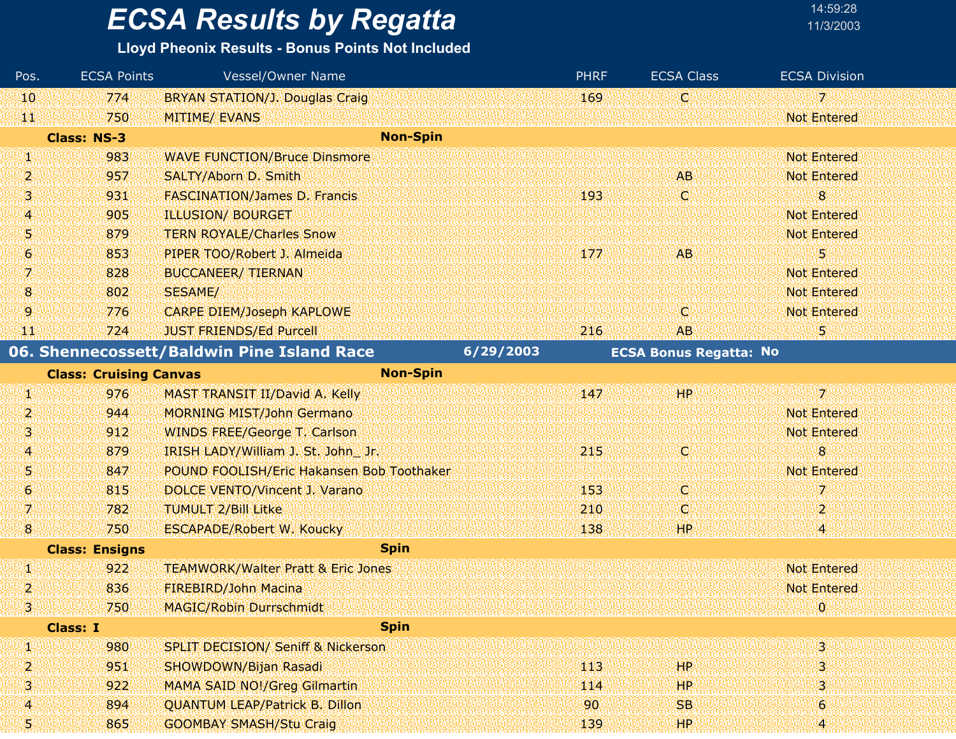**Lloyd Pheonix Results - Bonus Points Not Included**

Pos. ECSA Points

| 10                  | 774                           | <b>BRYAN STATION/J. Douglas Craig</b>         |           | 169 | Ø                             | $7^{\circ}$        |  |
|---------------------|-------------------------------|-----------------------------------------------|-----------|-----|-------------------------------|--------------------|--|
| WЕ                  | 750                           | <b>MITIME/ EVANS</b>                          |           |     |                               | <b>Not Entered</b> |  |
|                     | <b>Class: NS-3</b>            | <b>Non-Spin</b>                               |           |     |                               |                    |  |
| W                   | 983                           | <b>WAVE FUNCTION/Bruce Dinsmore</b>           |           |     |                               | <b>Not Entered</b> |  |
| 2                   | 957                           | SALTY/Aborn D. Smith                          |           |     | <b>AB</b>                     | <b>Not Entered</b> |  |
| 3.                  | 931                           | <b>FASCINATION/James D. Francis</b>           |           | 193 | IC.                           | 8                  |  |
| 4                   | 905                           | <b>ILLUSION/ BOURGET</b>                      |           |     |                               | <b>Not Entered</b> |  |
| 5                   | 879                           | <b>TERN ROYALE/Charles Snow</b>               |           |     |                               | <b>Not Entered</b> |  |
| $\ddot{\mathbf{6}}$ | 853                           | PIPER TOO/Robert J. Almeida                   |           | 177 | <b>AB</b>                     | 5                  |  |
| 71                  | 828                           | <b>BUCCANEER/ TIERNAN</b>                     |           |     |                               | <b>Not Entered</b> |  |
| 8                   | 802                           | SESAME/                                       |           |     |                               | <b>Not Entered</b> |  |
| 9                   | 776                           | <b>CARPE DIEM/Joseph KAPLOWE</b>              |           |     | O                             | <b>Not Entered</b> |  |
| W                   | 724                           | <b>JUST FRIENDS/Ed Purcell</b>                |           | 216 | <b>AB</b>                     | 5                  |  |
|                     |                               | 06. Shennecossett/Baldwin Pine Island Race    | 6/29/2003 |     | <b>ECSA Bonus Regatta: No</b> |                    |  |
|                     | <b>Class: Cruising Canvas</b> | <b>Non-Spin</b>                               |           |     |                               |                    |  |
| щ                   | 976                           | MAST TRANSIT II/David A. Kelly                |           | 147 | HP                            | $\overline{z}$     |  |
| 2                   | 944                           | <b>MORNING MIST/John Germano</b>              |           |     |                               | <b>Not Entered</b> |  |
| 3.                  | 912                           | <b>WINDS FREE/George T. Carlson</b>           |           |     |                               | <b>Not Entered</b> |  |
| 4                   | 879                           | IRISH LADY/William J. St. John Jr.            |           | 215 | <b>O</b>                      | 8                  |  |
| 5                   | 847                           | POUND FOOLISH/Eric Hakansen Bob Toothaker     |           |     |                               | <b>Not Entered</b> |  |
| 6                   | 815                           | DOLCE VENTO/Vincent J. Varano                 |           | 153 | O                             | 7                  |  |
| 7.                  | 782                           | <b>TUMULT 2/Bill Litke</b>                    |           | 210 | O                             | $\overline{2}$     |  |
| $\mathbf{8}$        | 750                           | <b>ESCAPADE/Robert W. Koucky</b>              |           | 138 | <b>HP</b>                     | 4                  |  |
|                     | <b>Class: Ensigns</b>         | <b>Spin</b>                                   |           |     |                               |                    |  |
| Щ.                  | 922                           | <b>TEAMWORK/Walter Pratt &amp; Eric Jones</b> |           |     |                               | <b>Not Entered</b> |  |
| 2                   | 836                           | FIREBIRD/John Macina                          |           |     |                               | <b>Not Entered</b> |  |
| 31                  | 750                           | <b>MAGIC/Robin Durrschmidt</b>                |           |     |                               | $\mathbf{0}$       |  |
|                     | <b>Class: I</b>               | <b>Spin</b>                                   |           |     |                               |                    |  |
| Ф                   | 980                           | <b>SPLIT DECISION/ Seniff &amp; Nickerson</b> |           |     |                               | з                  |  |
| 2                   | 951                           | SHOWDOWN/Bijan Rasadi                         |           | 113 | HP.                           |                    |  |
| 3.                  | 922                           | <b>MAMA SAID NO!/Greg Gilmartin</b>           |           | 114 | <b>HP</b>                     |                    |  |
| 4                   | 894                           | <b>QUANTUM LEAP/Patrick B. Dillon</b>         |           | 90  | <b>SB</b>                     | $\boldsymbol{6}$   |  |
| 5                   | 865                           | <b>GOOMBAY SMASH/Stu Craig</b>                |           | 139 | HP.                           |                    |  |

Vessel/Owner Name **PHRF** ECSA Class ECSA Division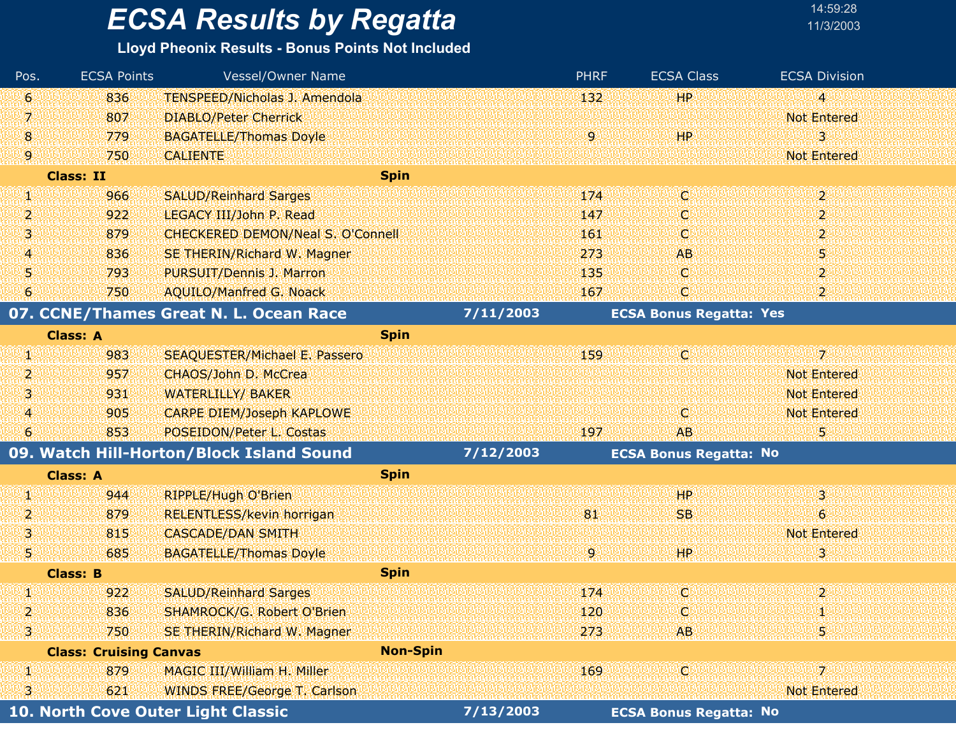#### **Lloyd Pheonix Results - Bonus Points Not Included**

| Pos. | <b>ECSA Points</b>            | Vessel/Owner Name                        |                 |           | <b>PHRF</b> | <b>ECSA Class</b>              | <b>ECSA Division</b>    |
|------|-------------------------------|------------------------------------------|-----------------|-----------|-------------|--------------------------------|-------------------------|
| 6    | 836                           | TENSPEED/Nicholas J. Amendola            |                 |           | 132         | <b>HP</b>                      | $\overline{\mathbf{4}}$ |
| 7    | 807                           | <b>DIABLO/Peter Cherrick</b>             |                 |           |             |                                | <b>Not Entered</b>      |
| 8    | 779                           | <b>BAGATELLE/Thomas Doyle</b>            |                 |           | 9           | 'HP                            | 3                       |
| 9    | 750                           | <b>CALIENTE</b>                          |                 |           |             |                                | <b>Not Entered</b>      |
|      | <b>Class: II</b>              |                                          | <b>Spin</b>     |           |             |                                |                         |
| q,   | 966                           | <b>SALUD/Reinhard Sarges</b>             |                 |           | 174         | IC.                            | $\overline{2}$          |
| 2    | 922                           | LEGACY III/John P. Read                  |                 |           | 147         | O                              | 2                       |
| 3.   | 879                           | <b>CHECKERED DEMON/Neal S. O'Connell</b> |                 |           | 161         | O                              | $\mathbf{2}$            |
| 4    | 836                           | SE THERIN/Richard W. Magner              |                 |           | 273         | <b>AB</b>                      | 9                       |
| 5    | 793                           | PURSUIT/Dennis J. Marron                 |                 |           | 135         | O.                             | $\overline{2}$          |
| 6    | 750                           | <b>AQUILO/Manfred G. Noack</b>           |                 |           | 167         | O                              | $\overline{2}$          |
|      |                               | 07. CCNE/Thames Great N. L. Ocean Race   |                 | 7/11/2003 |             | <b>ECSA Bonus Regatta: Yes</b> |                         |
|      | <b>Class: A</b>               |                                          | <b>Spin</b>     |           |             |                                |                         |
| q,   | 983                           | <b>SEAQUESTER/Michael E. Passero</b>     |                 |           | 159         | Ю                              | $\overline{\lambda}$    |
| 2    | 957                           | CHAOS/John D. McCrea                     |                 |           |             |                                | <b>Not Entered</b>      |
| 3    | 931                           | <b>WATERLILLY/ BAKER</b>                 |                 |           |             |                                | <b>Not Entered</b>      |
| 4    | 905                           | <b>CARPE DIEM/Joseph KAPLOWE</b>         |                 |           |             | C                              | <b>Not Entered</b>      |
| 6    | 853                           | POSEIDON/Peter L. Costas                 |                 |           | 197         | <b>AB</b>                      | 5                       |
|      |                               | 09. Watch Hill-Horton/Block Island Sound |                 | 7/12/2003 |             | <b>ECSA Bonus Regatta: No</b>  |                         |
|      | <b>Class: A</b>               |                                          | <b>Spin</b>     |           |             |                                |                         |
| W    | 944                           | <b>RIPPLE/Hugh O'Brien</b>               |                 |           |             | 'HP                            | 3                       |
| 2    | 879                           | <b>RELENTLESS/kevin horrigan</b>         |                 |           | 81          | <b>SB</b>                      | $\ddot{\mathbf{6}}$     |
| 3    | 815                           | <b>CASCADE/DAN SMITH</b>                 |                 |           |             |                                | <b>Not Entered</b>      |
| 51   | 685                           | <b>BAGATELLE/Thomas Doyle</b>            |                 |           | 9.          | HР                             | з                       |
|      | <b>Class: B</b>               |                                          | <b>Spin</b>     |           |             |                                |                         |
| 90   | 922                           | <b>SALUD/Reinhard Sarges</b>             |                 |           | 174         | ¢                              | $\overline{2}$          |
| 2    | 836                           | SHAMROCK/G. Robert O'Brien               |                 |           | 120         | О                              |                         |
| 31   | 750                           | SE THERIN/Richard W. Magner              |                 |           | 273         | AB                             | 5                       |
|      | <b>Class: Cruising Canvas</b> |                                          | <b>Non-Spin</b> |           |             |                                |                         |
| W,   | 879                           | MAGIC III/William H. Miller              |                 |           | 169         | YQÜ                            | 7.                      |
| 3    | 621                           | <b>WINDS FREE/George T. Carlson</b>      |                 |           |             |                                | <b>Not Entered</b>      |
|      |                               | 10. North Cove Outer Light Classic       |                 | 7/13/2003 |             | <b>ECSA Bonus Regatta: No</b>  |                         |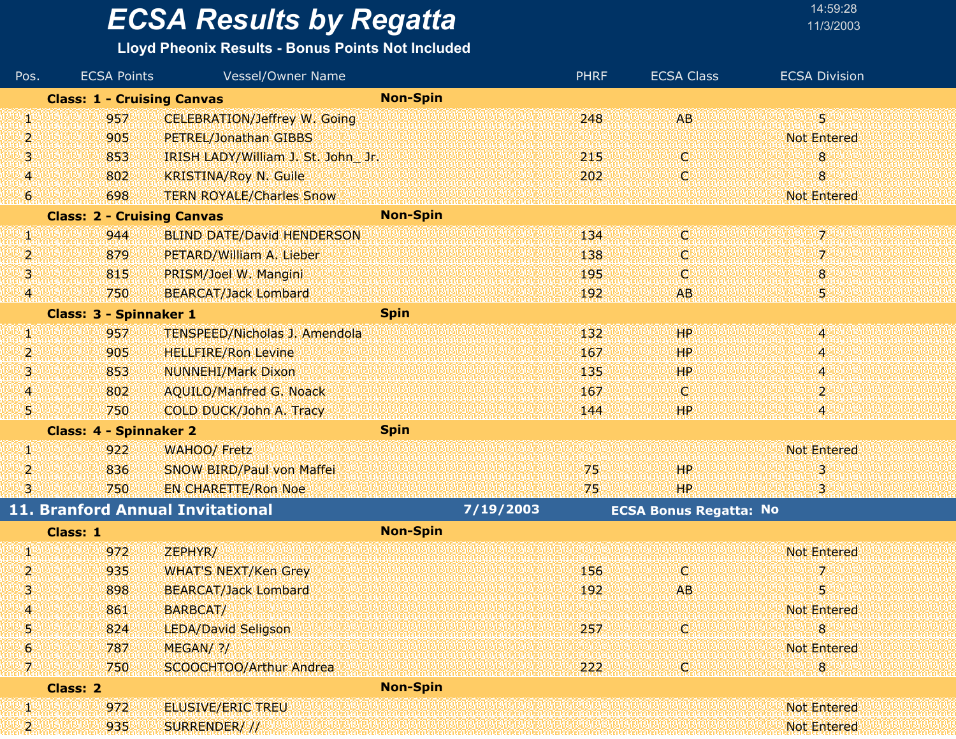### **Lloyd Pheonix Results - Bonus Points Not Included**

| Pos.            | <b>ECSA Points</b>                | Vessel/Owner Name                    |                 | <b>PHRF</b> | <b>ECSA Class</b>             | <b>ECSA Division</b> |
|-----------------|-----------------------------------|--------------------------------------|-----------------|-------------|-------------------------------|----------------------|
|                 | <b>Class: 1 - Cruising Canvas</b> |                                      | <b>Non-Spin</b> |             |                               |                      |
| VI.             | 957                               | <b>CELEBRATION/Jeffrey W. Going</b>  |                 | 248         | <b>AB</b>                     | 30                   |
| 2               | 905                               | PETREL/Jonathan GIBBS                |                 |             |                               | <b>Not Entered</b>   |
| 3               | 853                               | IRISH LADY/William J. St. John Jr.   |                 | 215         | Q                             | 8                    |
| $\overline{A}$  | 802                               | <b>KRISTINA/Roy N. Guile</b>         |                 | 202         | C                             | 8                    |
| $\bullet$       | 698                               | <b>TERN ROYALE/Charles Snow</b>      |                 |             |                               | <b>Not Entered</b>   |
|                 | <b>Class: 2 - Cruising Canvas</b> |                                      | <b>Non-Spin</b> |             |                               |                      |
| yr.             | 944                               | <b>BLIND DATE/David HENDERSON</b>    |                 | 134         | C                             | 7.                   |
| 2               | 879                               | PETARD/William A. Lieber             |                 | 138         | Q                             | 7.                   |
| 31              | 815                               | PRISM/Joel W. Mangini                |                 | 195         | Q                             | 8                    |
| $ 4\rangle$     | 750                               | <b>BEARCAT/Jack Lombard</b>          |                 | 192         | <b>AB</b>                     | 5                    |
|                 | <b>Class: 3 - Spinnaker 1</b>     |                                      | <b>Spin</b>     |             |                               |                      |
| g,              | 957                               | <b>TENSPEED/Nicholas J. Amendola</b> |                 | 132         | <b>HP</b>                     | 4                    |
| 2               | 905                               | <b>HELLFIRE/Ron Levine</b>           |                 | 167         | <b>HP</b>                     | 4                    |
| 3               | 853                               | <b>NUNNEHI/Mark Dixon</b>            |                 | 135         | <b>HP</b>                     | 4                    |
| $\vert 4 \vert$ | 802                               | <b>AQUILO/Manfred G. Noack</b>       |                 | 167         | C                             | $\mathbf{2}$         |
| 県               | 750                               | COLD DUCK/John A. Tracy              |                 | 144         | HP                            | и                    |
|                 | <b>Class: 4 - Spinnaker 2</b>     |                                      | <b>Spin</b>     |             |                               |                      |
| W.              | 922                               | <b>WAHOO/ Fretz</b>                  |                 |             |                               | <b>Not Entered</b>   |
| 2               | 836                               | SNOW BIRD/Paul von Maffei            |                 | 75          | HP                            | 3                    |
| 3.              | 750                               | <b>EN CHARETTE/Ron Noe</b>           |                 | 75          | <b>HP</b>                     | 3.                   |
|                 |                                   | 11. Branford Annual Invitational     | 7/19/2003       |             | <b>ECSA Bonus Regatta: No</b> |                      |
|                 | Class: 1                          |                                      | <b>Non-Spin</b> |             |                               |                      |
| W               | 972                               | ZEPHYR/                              |                 |             |                               | <b>Not Entered</b>   |
| Þ,              | 935                               | <b>WHAT'S NEXT/Ken Grey</b>          |                 | 156         | O                             | 7                    |
| 3               | 898                               | <b>BEARCAT/Jack Lombard</b>          |                 | 192         | AB.                           | 5                    |
| 4               | 861                               | BARBCAT/                             |                 |             |                               | <b>Not Entered</b>   |
| 5               | 824                               | LEDA/David Seligson                  |                 | 257         | Q                             | 8                    |
| 6               | 787                               | MEGAN/ ?/                            |                 |             |                               | <b>Not Entered</b>   |
| 70              | 750                               | SCOOCHTOO/Arthur Andrea              |                 | 222         | C                             | 8                    |
|                 | <b>Class: 2</b>                   |                                      | <b>Non-Spin</b> |             |                               |                      |
| W               | 972                               | <b>ELUSIVE/ERIC TREU</b>             |                 |             |                               | <b>Not Entered</b>   |
| 20              | 935                               | SURRENDER///                         |                 |             |                               | <b>Not Entered</b>   |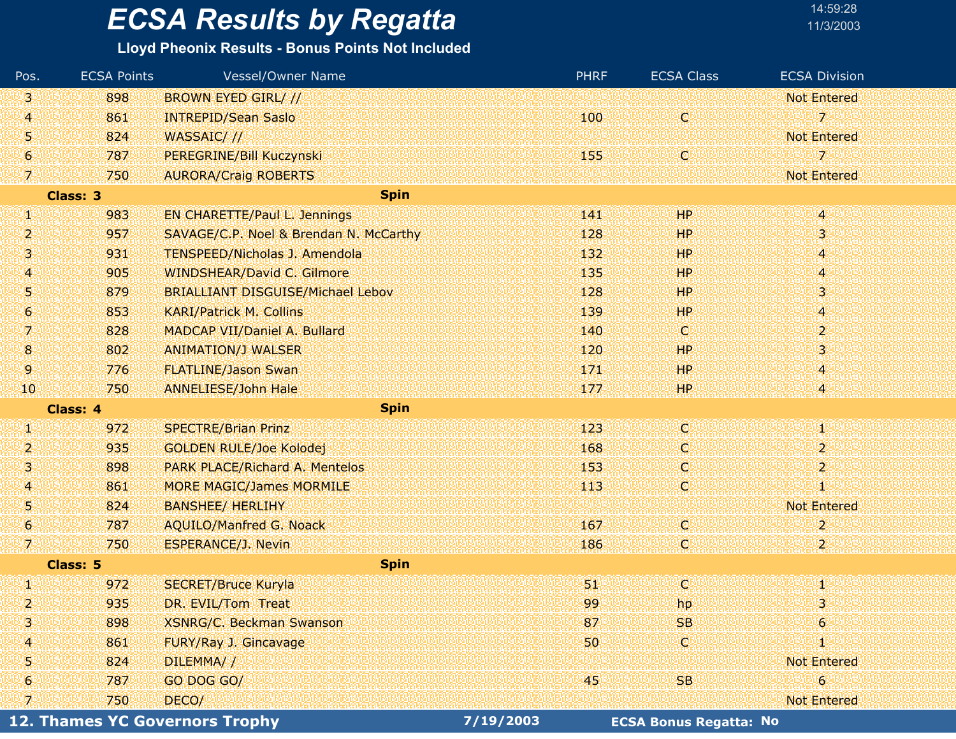#### **Lloyd Pheonix Results - Bonus Points Not Included**

| Pos.                | <b>ECSA Points</b> | <b>Vessel/Owner Name</b>                 |           | <b>PHRF</b> | <b>ECSA Class</b>             | <b>ECSA Division</b>     |
|---------------------|--------------------|------------------------------------------|-----------|-------------|-------------------------------|--------------------------|
| 3.                  | 898                | <b>BROWN EYED GIRL///</b>                |           |             |                               | <b>Not Entered</b>       |
| $\overline{A}$      | 861                | <b>INTREPID/Sean Saslo</b>               |           | 100         | Ø                             | $\overline{\mathcal{L}}$ |
| 5                   | 824                | WASSAIC///                               |           |             |                               | <b>Not Entered</b>       |
| $\ddot{\mathbf{6}}$ | 787                | PEREGRINE/Bill Kuczynski                 |           | 155         | C.                            | 7                        |
| Y.                  | 750                | <b>AURORA/Craig ROBERTS</b>              |           |             |                               | <b>Not Entered</b>       |
|                     | Class: 3           | <b>Spin</b>                              |           |             |                               |                          |
| W                   | 983                | <b>EN CHARETTE/Paul L. Jennings</b>      |           | 141         | <b>HP</b>                     | 4                        |
| 2                   | 957                | SAVAGE/C.P. Noel & Brendan N. McCarthy   |           | 128         | <b>HP</b>                     | 3                        |
| Ŋ                   | 931                | <b>TENSPEED/Nicholas J. Amendola</b>     |           | 132         | <b>HP</b>                     | $\overline{A}$           |
| $\overline{A}$      | 905                | <b>WINDSHEAR/David C. Gilmore</b>        |           | 135         | <b>HP</b>                     | 4                        |
| Ŋ                   | 879                | <b>BRIALLIANT DISGUISE/Michael Lebov</b> |           | 128         | <b>HP</b>                     | 3                        |
| 6                   | 853                | <b>KARI/Patrick M. Collins</b>           |           | 139         | <b>HP</b>                     | $\overline{A}$           |
| A                   | 828                | MADCAP VII/Daniel A. Bullard             |           | 140         | (C)                           | $\overline{2}$           |
| 8                   | 802                | <b>ANIMATION/J WALSER</b>                |           | 120         | <b>HP</b>                     | 3 <sup>1</sup>           |
| 9                   | 776                | <b>FLATLINE/Jason Swan</b>               |           | 171         | <b>HP</b>                     | $\overline{4}$           |
| 10                  | 750                | <b>ANNELIESE/John Hale</b>               |           | 177         | HP.                           | $\overline{\mathbf{4}}$  |
|                     | <b>Class: 4</b>    | <b>Spin</b>                              |           |             |                               |                          |
| W                   | 972                | <b>SPECTRE/Brian Prinz</b>               |           | 123         | C                             | W                        |
| 2                   | 935                | <b>GOLDEN RULE/Joe Kolodej</b>           |           | 168         | o                             | $\overline{2}$           |
| 3                   | 898                | <b>PARK PLACE/Richard A. Mentelos</b>    |           | 153         | O.                            | $\overline{\mathbf{2}}$  |
| 4                   | 861                | <b>MORE MAGIC/James MORMILE</b>          |           | 113         | C.                            | Φ                        |
| Ŋ                   | 824                | <b>BANSHEE/ HERLIHY</b>                  |           |             |                               | <b>Not Entered</b>       |
| $\ddot{\mathbf{6}}$ | 787                | <b>AQUILO/Manfred G. Noack</b>           |           | 167         | O.                            | $\overline{2}$           |
| 7                   | 750                | <b>ESPERANCE/J. Nevin</b>                |           | 186         | Ç,                            | $\overline{2}$           |
|                     | Class: 5           | <b>Spin</b>                              |           |             |                               |                          |
| W                   | 972                | <b>SECRET/Bruce Kuryla</b>               |           | UI.         | (C)                           | 90                       |
| 2                   | 935                | DR. EVIL/Tom Treat                       |           | 99          | hp                            | 3                        |
| 3                   | 898                | <b>XSNRG/C. Beckman Swanson</b>          |           | 87          | <b>SB</b>                     | 6                        |
| 4                   | 861                | FURY/Ray J. Gincavage                    |           | 50          | ω                             | Ю                        |
| 5                   | 824                | DILEMMA//                                |           |             |                               | <b>Not Entered</b>       |
| 6                   | 787                | GO DOG GO/                               |           | 45          | <b>SB</b>                     | 6                        |
| 7                   | 750                | DECO/                                    |           |             |                               | <b>Not Entered</b>       |
|                     |                    | <b>12. Thames YC Governors Trophy</b>    | 7/19/2003 |             | <b>ECSA Bonus Regatta: No</b> |                          |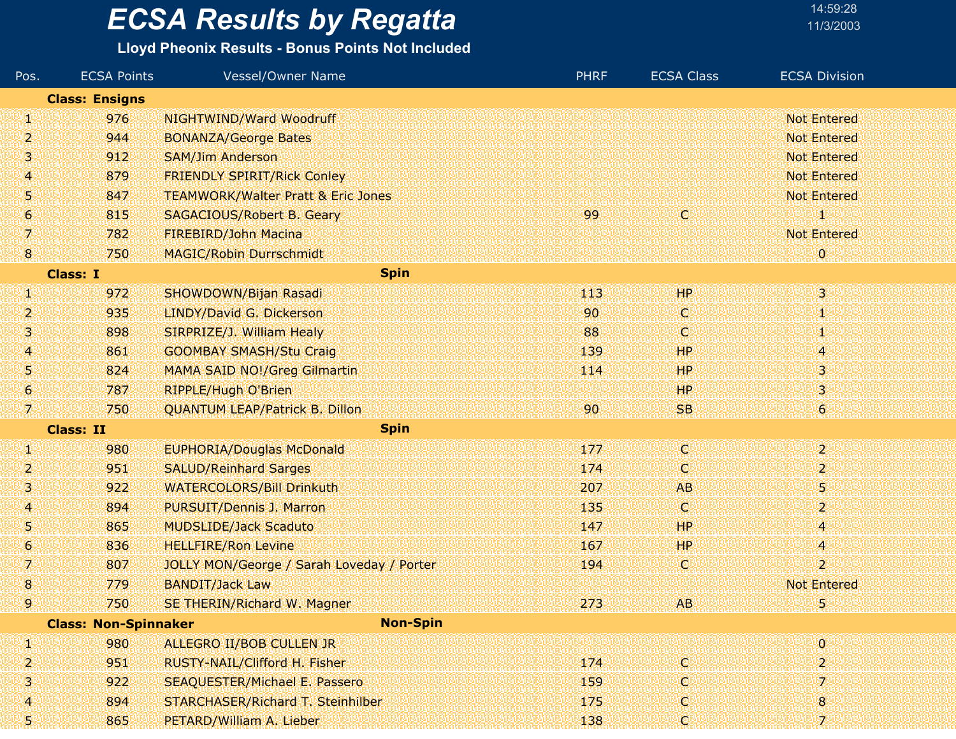### **Lloyd Pheonix Results - Bonus Points Not Included**

| Pos. | <b>ECSA Points</b>          | <b>Vessel/Owner Name</b>                      | <b>PHRF</b> | <b>ECSA Class</b> | <b>ECSA Division</b>    |
|------|-----------------------------|-----------------------------------------------|-------------|-------------------|-------------------------|
|      | <b>Class: Ensigns</b>       |                                               |             |                   |                         |
| W    | 976                         | NIGHTWIND/Ward Woodruff                       |             |                   | <b>Not Entered</b>      |
| 2    | 944                         | <b>BONANZA/George Bates</b>                   |             |                   | <b>Not Entered</b>      |
| 3    | 912                         | <b>SAM/Jim Anderson</b>                       |             |                   | <b>Not Entered</b>      |
| 4    | 879                         | <b>FRIENDLY SPIRIT/Rick Conley</b>            |             |                   | <b>Not Entered</b>      |
| 5    | 847                         | <b>TEAMWORK/Walter Pratt &amp; Eric Jones</b> |             |                   | <b>Not Entered</b>      |
| 6    | 815                         | SAGACIOUS/Robert B. Geary                     | 99          | O                 |                         |
| 7.   | 782                         | FIREBIRD/John Macina                          |             |                   | <b>Not Entered</b>      |
| 18.  | 750                         | <b>MAGIC/Robin Durrschmidt</b>                |             |                   | $\mathbf{0}$            |
|      | <b>Class: I</b>             | <b>Spin</b>                                   |             |                   |                         |
| W    | 972                         | SHOWDOWN/Bijan Rasadi                         | 113         | <b>HP</b>         | $\overline{\mathbf{3}}$ |
| 2    | 935                         | LINDY/David G. Dickerson                      | 90          | O                 |                         |
| 3    | 898                         | SIRPRIZE/J. William Healy                     | 88          | C                 |                         |
| 4    | 861                         | <b>GOOMBAY SMASH/Stu Craig</b>                | 139         | HP.               | 45                      |
| 5    | 824                         | <b>MAMA SAID NO!/Greg Gilmartin</b>           | 114         | HP                | 3                       |
| 6    | 787                         | <b>RIPPLE/Hugh O'Brien</b>                    |             | <b>HP</b>         | 3                       |
| 7    | 750                         | <b>QUANTUM LEAP/Patrick B. Dillon</b>         | 90          | SB.               | 6 <sup>1</sup>          |
|      | <b>Class: II</b>            | <b>Spin</b>                                   |             |                   |                         |
| W    | 980                         | <b>EUPHORIA/Douglas McDonald</b>              | 177         | d                 | $\boldsymbol{z}$        |
| 2    | 951                         | <b>SALUD/Reinhard Sarges</b>                  | 174         | C                 | 2                       |
| S.   | 922                         | <b>WATERCOLORS/Bill Drinkuth</b>              | 207         | <b>AB</b>         | 5                       |
| 4    | 894                         | PURSUIT/Dennis J. Marron                      | 135         | O.                | 2                       |
| 5    | 865                         | <b>MUDSLIDE/Jack Scaduto</b>                  | 147         | HP                | 4                       |
| 6    | 836                         | <b>HELLFIRE/Ron Levine</b>                    | 167         | HР                | 4                       |
| 7.   | 807                         | JOLLY MON/George / Sarah Loveday / Porter     | 194         | C                 | $\mathbf{2}^{\prime}$   |
| 8    | 779                         | <b>BANDIT/Jack Law</b>                        |             |                   | <b>Not Entered</b>      |
| 9    | 750                         | SE THERIN/Richard W. Magner                   | 273         | <b>AB</b>         | 5                       |
|      | <b>Class: Non-Spinnaker</b> | <b>Non-Spin</b>                               |             |                   |                         |
| ш    | 980                         | ALLEGRO II/BOB CULLEN JR                      |             |                   | $\overline{0}$          |
| 2    | 951                         | RUSTY-NAIL/Clifford H. Fisher                 | 174         | O                 | 2                       |
| 3    | 922                         | <b>SEAQUESTER/Michael E. Passero</b>          | 159         | O                 |                         |
| 4    | 894                         | <b>STARCHASER/Richard T. Steinhilber</b>      | 175         | O.                | 8                       |
| 51   | 865                         | PETARD/William A. Lieber                      | 138         | Q                 | 7.                      |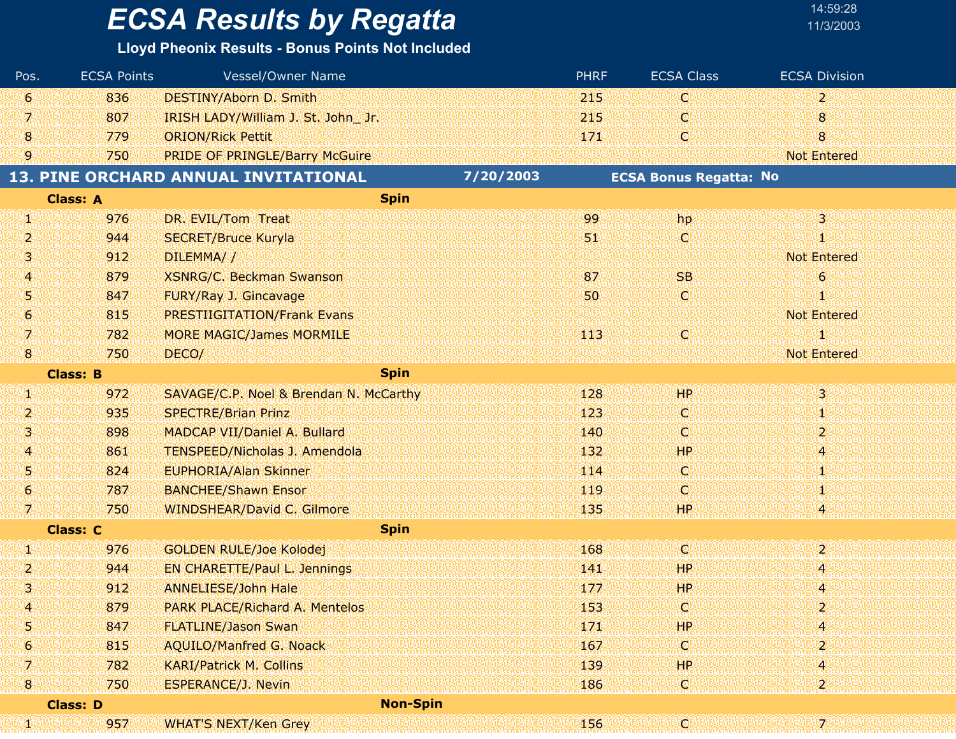| 14:59:28  |  |
|-----------|--|
| 11/3/2003 |  |

| Pos.                | <b>ECSA Points</b> | <b>Vessel/Owner Name</b>               |           | <b>PHRF</b> | <b>ECSA Class</b>             | <b>ECSA Division</b>  |
|---------------------|--------------------|----------------------------------------|-----------|-------------|-------------------------------|-----------------------|
| 6                   | 836                | <b>DESTINY/Aborn D. Smith</b>          |           | 215         | C                             | $\mathbf{2}^{\prime}$ |
| 7                   | 807                | IRISH LADY/William J. St. John Jr.     |           | 215         | O                             | 8                     |
| $\boldsymbol{8}$    | 779                | <b>ORION/Rick Pettit</b>               |           | 171         | O                             | 8 <sub>o</sub>        |
| 9.                  | 750                | <b>PRIDE OF PRINGLE/Barry McGuire</b>  |           |             |                               | <b>Not Entered</b>    |
|                     |                    | 13. PINE ORCHARD ANNUAL INVITATIONAL   | 7/20/2003 |             | <b>ECSA Bonus Regatta: No</b> |                       |
|                     | <b>Class: A</b>    | <b>Spin</b>                            |           |             |                               |                       |
| W                   | 976                | DR. EVIL/Tom Treat                     |           | 99          | hp                            | $3^{\circ}$           |
| 2                   | 944                | <b>SECRET/Bruce Kuryla</b>             |           | W.          | O                             | Т                     |
| 3                   | 912                | DILEMMA//                              |           |             |                               | <b>Not Entered</b>    |
| $\overline{4}$      | 879                | <b>XSNRG/C. Beckman Swanson</b>        |           | 87          | <b>SB</b>                     | $\epsilon$            |
| 5                   | 847                | FURY/Ray J. Gincavage                  |           | 50          | O                             |                       |
| $\ddot{\mathbf{6}}$ | 815                | <b>PRESTIIGITATION/Frank Evans</b>     |           |             |                               | <b>Not Entered</b>    |
| 呶                   | 782                | <b>MORE MAGIC/James MORMILE</b>        |           | 413         | ΙQΙ                           |                       |
| $\boldsymbol{8}$    | 750                | DECO/                                  |           |             |                               | <b>Not Entered</b>    |
|                     | <b>Class: B</b>    | <b>Spin</b>                            |           |             |                               |                       |
| W                   | 972                | SAVAGE/C.P. Noel & Brendan N. McCarthy |           | 128         | HP <sup>1</sup>               | $3^{\circ}$           |
| 2                   | 935                | <b>SPECTRE/Brian Prinz</b>             |           | 123         | C                             | 娰                     |
| 3                   | 898                | MADCAP VII/Daniel A. Bullard           |           | 140         | ω                             | $\mathbf{2}$          |
| 4                   | 861                | <b>TENSPEED/Nicholas J. Amendola</b>   |           | 132         | HP                            | 4                     |
| Ŋ                   | 824                | <b>EUPHORIA/Alan Skinner</b>           |           | 114         | C.                            | 31,                   |
| 6                   | 787                | <b>BANCHEE/Shawn Ensor</b>             |           | 119         | ω                             |                       |
| 7.                  | 750                | <b>WINDSHEAR/David C. Gilmore</b>      |           | 135         | <b>HP</b>                     |                       |
|                     | <b>Class: C</b>    | <b>Spin</b>                            |           |             |                               |                       |
| W                   | 976                | <b>GOLDEN RULE/Joe Kolodej</b>         |           | 168         | Ø                             | $\overline{2}$        |
| 2                   | 944                | EN CHARETTE/Paul L. Jennings           |           | 141         | ЖP                            | 4                     |
| 3                   | 912                | <b>ANNELIESE/John Hale</b>             |           | 177         | <b>HP</b>                     | 4                     |
| Δ                   | 879                | <b>PARK PLACE/Richard A. Mentelos</b>  |           | 153         | W                             | וכ                    |
| 5                   | 847                | <b>FLATLINE/Jason Swan</b>             |           | 171         | <b>HP</b>                     | 4                     |
| 6                   | 815                | <b>AQUILO/Manfred G. Noack</b>         |           | 167         | Q                             | 2                     |
| 7.                  | 782                | <b>KARI/Patrick M. Collins</b>         |           | 139         | HP.                           | 4                     |
| $\bf{8}$            | 750                | <b>ESPERANCE/J. Nevin</b>              |           | 186         | C                             | $\mathbf{2}$          |
|                     | <b>Class: D</b>    | <b>Non-Spin</b>                        |           |             |                               |                       |
| iaha<br>Man         | 957                | <b>WHAT'S NEXT/Ken Grey</b>            |           | 156         |                               | 7                     |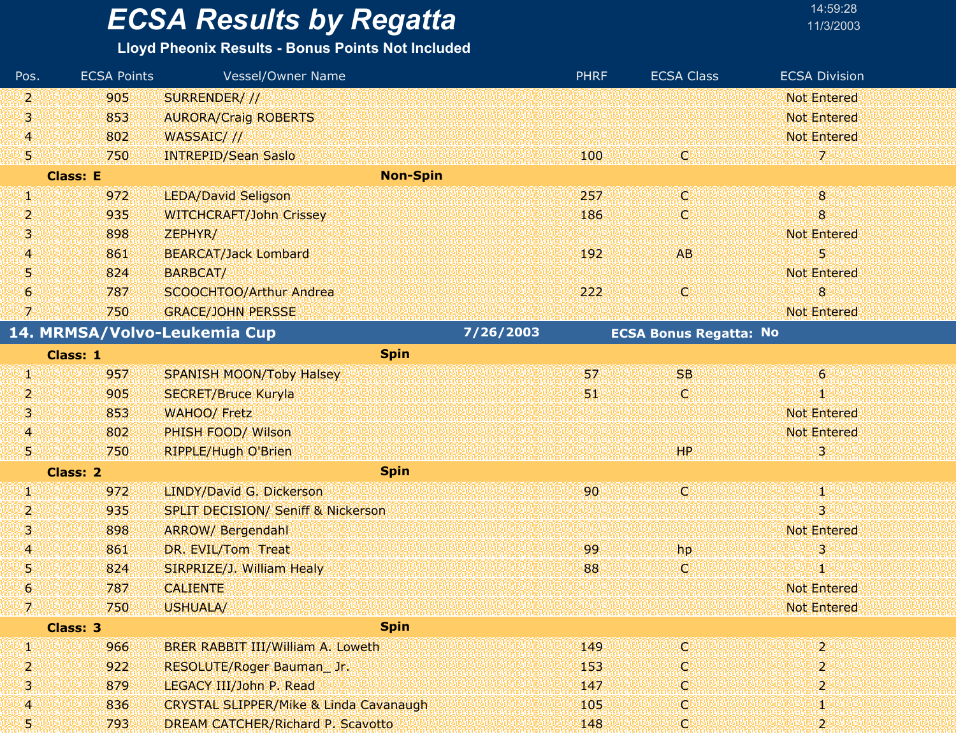### **Lloyd Pheonix Results - Bonus Points Not Included**

| Pos.                            | <b>ECSA Points</b> | <b>Vessel/Owner Name</b>                          |           | <b>PHRF</b> | <b>ECSA Class</b>             | <b>ECSA Division</b> |
|---------------------------------|--------------------|---------------------------------------------------|-----------|-------------|-------------------------------|----------------------|
| 2                               | 905                | SURRENDER/ //                                     |           |             |                               | <b>Not Entered</b>   |
| 3                               | 853                | <b>AURORA/Craig ROBERTS</b>                       |           |             |                               | <b>Not Entered</b>   |
| 4                               | 802                | WASSAIC///                                        |           |             |                               | <b>Not Entered</b>   |
| 51                              | 750                | <b>INTREPID/Sean Saslo</b>                        |           | 100         | ЮĿ                            | 72                   |
|                                 | <b>Class: E</b>    | <b>Non-Spin</b>                                   |           |             |                               |                      |
| g,                              | 972                | <b>LEDA/David Seligson</b>                        |           | 257         | Cl                            | $\bf{8}$             |
| 2                               | 935                | <b>WITCHCRAFT/John Crissey</b>                    |           | 186         | W                             | 8                    |
| 3.                              | 898                | ZEPHYR/                                           |           |             |                               | <b>Not Entered</b>   |
| $\overline{4}$                  | 861                | <b>BEARCAT/Jack Lombard</b>                       |           | 192         | AB.                           | 5                    |
| Ŋ                               | 824                | BARBCAT/                                          |           |             |                               | <b>Not Entered</b>   |
| 6                               | 787                | SCOOCHTOO/Arthur Andrea                           |           | 222         | Ο                             | 8                    |
| V,                              | 750                | <b>GRACE/JOHN PERSSE</b>                          |           |             |                               | <b>Not Entered</b>   |
|                                 |                    | 14. MRMSA/Volvo-Leukemia Cup                      | 7/26/2003 |             | <b>ECSA Bonus Regatta: No</b> |                      |
|                                 | <b>Class: 1</b>    | <b>Spin</b>                                       |           |             |                               |                      |
| Ŋ.                              | 957                | <b>SPANISH MOON/Toby Halsey</b>                   |           | 57          | <b>SB</b>                     | $\mathbf 6$          |
| 2                               | 905                | <b>SECRET/Bruce Kuryla</b>                        |           | 57          | O                             | 1                    |
| Ŋ                               | 853                | <b>WAHOO/ Fretz</b>                               |           |             |                               | <b>Not Entered</b>   |
| 4                               | 802                | PHISH FOOD/ Wilson                                |           |             |                               | <b>Not Entered</b>   |
| 51                              | 750                | RIPPLE/Hugh O'Brien                               |           |             | <b>HP</b>                     | з                    |
|                                 | <b>Class: 2</b>    | <b>Spin</b>                                       |           |             |                               |                      |
| W                               | 972                | LINDY/David G. Dickerson                          |           | 90          | <b>Ci</b>                     | ă.                   |
| 2                               | 935                | <b>SPLIT DECISION/ Seniff &amp; Nickerson</b>     |           |             |                               | 3                    |
| 3                               | 898                | <b>ARROW/ Bergendahl</b>                          |           |             |                               | <b>Not Entered</b>   |
| 4                               | 861                | DR. EVIL/Tom Treat                                |           | 99          | hp                            | 3                    |
| 5                               | 824                | SIRPRIZE/J. William Healy                         |           | 88          | C.                            | 90                   |
| 6                               | 787                | <b>CALIENTE</b>                                   |           |             |                               | <b>Not Entered</b>   |
| de temperatur.<br>El temperatur | 750                | USHUALA/                                          |           |             |                               | <b>Not Entered</b>   |
|                                 | Class: 3           | <b>Spin</b>                                       |           |             |                               |                      |
| W                               | 966                | BRER RABBIT III/William A. Loweth                 |           | 149         | <b>ICI</b>                    | $\overline{2}$       |
| 2                               | 922                | RESOLUTE/Roger Bauman_Jr.                         |           | 153         | C.                            | $\overline{2}$       |
| 3.                              | 879                | LEGACY III/John P. Read                           |           | 147         | O.                            | 2                    |
| 4                               | 836                | <b>CRYSTAL SLIPPER/Mike &amp; Linda Cavanaugh</b> |           | 105         | O.                            | 1                    |
| 5.                              | 793                | DREAM CATCHER/Richard P. Scavotto                 |           | 148         | C)                            | $\overline{2}$       |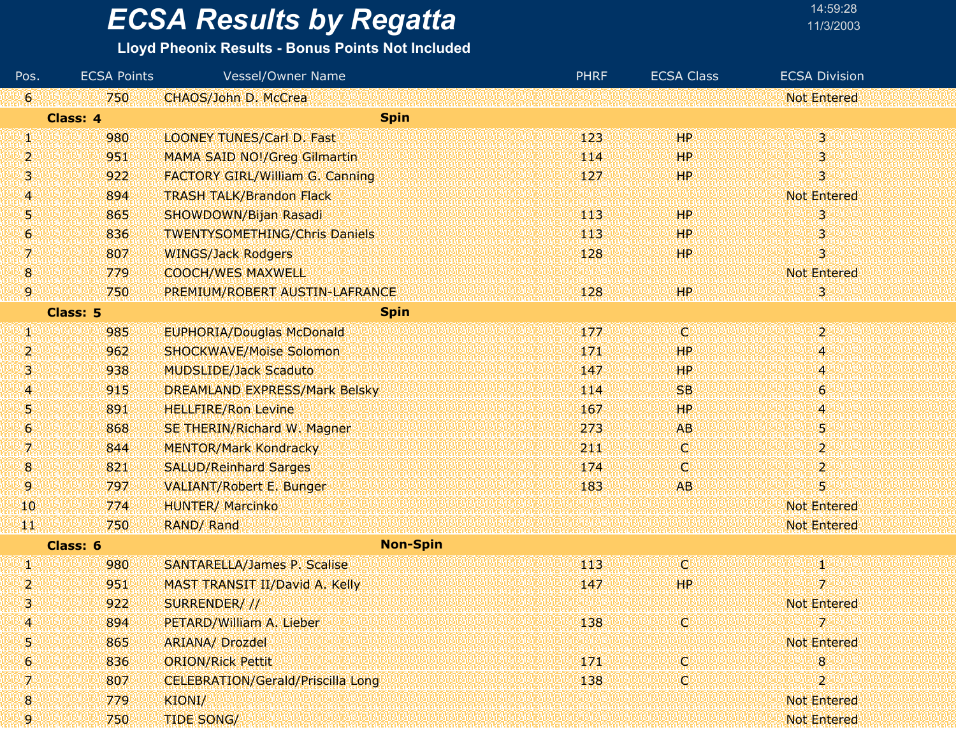#### **Lloyd Pheonix Results - Bonus Points Not Included**

| Pos.             | <b>ECSA Points</b> | Vessel/Owner Name                        | <b>PHRF</b> | <b>ECSA Class</b> | <b>ECSA Division</b>      |
|------------------|--------------------|------------------------------------------|-------------|-------------------|---------------------------|
| Ι6Ι              | 750                | CHAOS/John D. McCrea                     |             |                   | <b>Not Entered</b>        |
|                  | Class: 4           | <b>Spin</b>                              |             |                   |                           |
| W                | 980                | <b>LOONEY TUNES/Carl D. Fast</b>         | 123         | HP                | $\overline{\mathbf{3}}$   |
| 2                | 951                | <b>MAMA SAID NO!/Greg Gilmartin</b>      | 114         | HР                | 3                         |
| 3                | 922                | <b>FACTORY GIRL/William G. Canning</b>   | 127         | HР                | 3                         |
| 4                | 894                | <b>TRASH TALK/Brandon Flack</b>          |             |                   | <b>Not Entered</b>        |
| 5                | 865                | SHOWDOWN/Bijan Rasadi                    | -113        | HР                | 3                         |
| 6                | 836                | <b>TWENTYSOMETHING/Chris Daniels</b>     | 113         | <b>HP</b>         | 3                         |
| 7                | 807                | <b>WINGS/Jack Rodgers</b>                | 128         | HP.               | 3                         |
| $\boldsymbol{8}$ | 779                | <b>COOCH/WES MAXWELL</b>                 |             |                   | <b>Not Entered</b>        |
| 9.               | 750                | PREMIUM/ROBERT AUSTIN-LAFRANCE           | 128         | HP.               | 3                         |
|                  | <b>Class: 5</b>    | <b>Spin</b>                              |             |                   |                           |
| S)               | 985                | <b>EUPHORIA/Douglas McDonald</b>         | 177         | O.                | $\mathbf{2}^{\mathbb{C}}$ |
| 2,               | 962                | <b>SHOCKWAVE/Moise Solomon</b>           | 171         | HP                | 4                         |
| 3                | 938                | <b>MUDSLIDE/Jack Scaduto</b>             | 147         | <b>HP</b>         | 4                         |
| 4                | 915                | <b>DREAMLAND EXPRESS/Mark Belsky</b>     | 114         | <b>SB</b>         | $\boldsymbol{6}$          |
| 5                | 891                | <b>HELLFIRE/Ron Levine</b>               | 167         | HP                | 4                         |
| 6                | 868                | SE THERIN/Richard W. Magner              | 273         | <b>AB</b>         | 5                         |
| 7                | 844                | <b>MENTOR/Mark Kondracky</b>             | 2110        | C.                | $\boldsymbol{2}$          |
| 18.              | 821                | <b>SALUD/Reinhard Sarges</b>             | 174         | C.                | 2                         |
| 9                | 797                | <b>VALIANT/Robert E. Bunger</b>          | 183         | <b>AB</b>         | 5                         |
| 10               | 774                | <b>HUNTER/ Marcinko</b>                  |             |                   | <b>Not Entered</b>        |
| TЩ               | 750                | RAND/ Rand                               |             |                   | <b>Not Entered</b>        |
|                  | Class: 6           | <b>Non-Spin</b>                          |             |                   |                           |
| W                | 980                | <b>SANTARELLA/James P. Scalise</b>       | 113         | C,                | 41                        |
| 2                | 951                | MAST TRANSIT II/David A. Kelly           | 147         | HР                | 7.                        |
| 3                | 922                | SURRENDER///                             |             |                   | <b>Not Entered</b>        |
| 4                | 894                | PETARD/William A. Lieber                 | 138         | C                 | 7                         |
| 5                | 865                | <b>ARIANA/ Drozdel</b>                   |             |                   | <b>Not Entered</b>        |
| 6.               | 836                | <b>ORION/Rick Pettit</b>                 | 171         | C.                | 8                         |
| 7                | 807                | <b>CELEBRATION/Gerald/Priscilla Long</b> | 138         | C.                | 2                         |
| 8                | 779                | KIONI/                                   |             |                   | <b>Not Entered</b>        |
| 9.               | 750                | <b>TIDE SONG/</b>                        |             |                   | Not Entered               |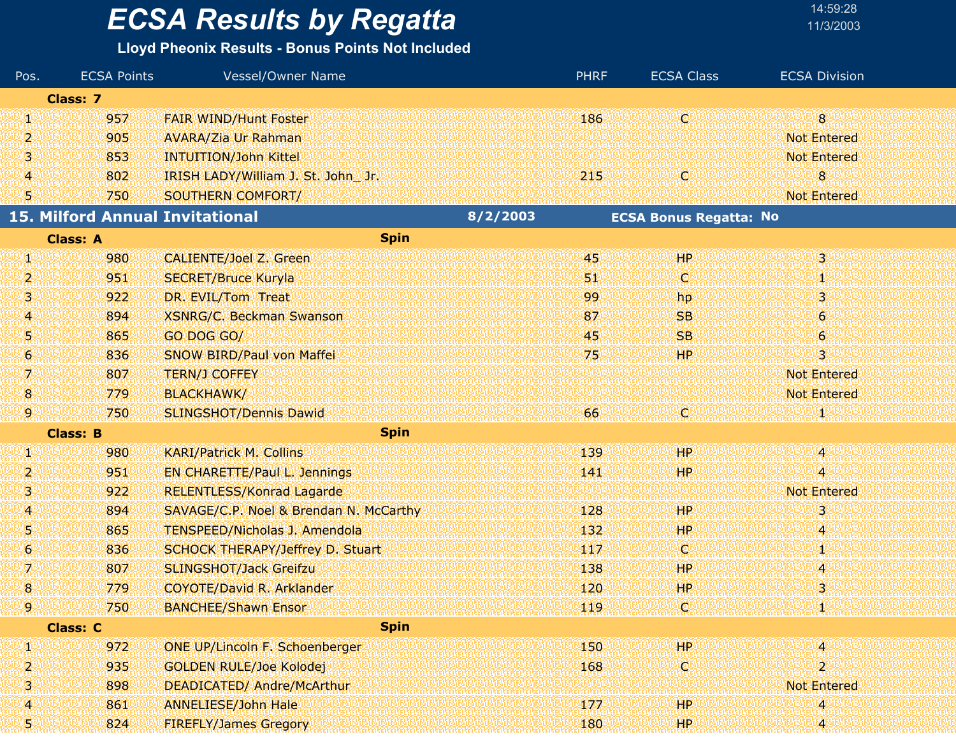### **Lloyd Pheonix Results - Bonus Points Not Included**

| Pos.             | <b>ECSA Points</b> | Vessel/Owner Name                      |          | <b>PHRF</b> | <b>ECSA Class</b>             | <b>ECSA Division</b>      |  |
|------------------|--------------------|----------------------------------------|----------|-------------|-------------------------------|---------------------------|--|
|                  | <b>Class: 7</b>    |                                        |          |             |                               |                           |  |
| W                | 957                | <b>FAIR WIND/Hunt Foster</b>           |          | 186         | lÇ)                           | 8 <sup>°</sup>            |  |
| 2                | 905                | <b>AVARA/Zia Ur Rahman</b>             |          |             |                               | <b>Not Entered</b>        |  |
| 3                | 853                | <b>INTUITION/John Kittel</b>           |          |             |                               | <b>Not Entered</b>        |  |
| $\boldsymbol{A}$ | 802                | IRISH LADY/William J. St. John Jr.     |          | 215         | Q                             | 8                         |  |
| 5                | 750                | SOUTHERN COMFORT/                      |          |             |                               | <b>Not Entered</b>        |  |
|                  |                    | <b>15. Milford Annual Invitational</b> | 8/2/2003 |             | <b>ECSA Bonus Regatta: No</b> |                           |  |
|                  | <b>Class: A</b>    | <b>Spin</b>                            |          |             |                               |                           |  |
| W                | 980                | <b>CALIENTE/Joel Z. Green</b>          |          | 45          | HP <sup>1</sup>               | $\mathbf{3}^{\mathbb{C}}$ |  |
| 2                | 951                | <b>SECRET/Bruce Kuryla</b>             |          | 51          | Q                             | 拠                         |  |
| 3                | 922                | DR. EVIL/Tom Treat                     |          | 99          | hp                            | 3                         |  |
| 4                | 894                | <b>XSNRG/C. Beckman Swanson</b>        |          | 87          | <b>SB</b>                     | $\boldsymbol{6}$          |  |
| 5                | 865                | GO DOG GO/                             |          | 45          | <b>SB</b>                     | $\boldsymbol{6}$          |  |
| $\boldsymbol{6}$ | 836                | <b>SNOW BIRD/Paul von Maffei</b>       |          | 75          | ΉP                            | 3                         |  |
| 7.               | 807                | <b>TERN/J COFFEY</b>                   |          |             |                               | <b>Not Entered</b>        |  |
| $\mathbf{8}$     | 779                | <b>BLACKHAWK/</b>                      |          |             |                               | <b>Not Entered</b>        |  |
| 9,               | 750                | <b>SLINGSHOT/Dennis Dawid</b>          |          | 66          | C)                            |                           |  |
|                  | <b>Class: B</b>    | <b>Spin</b>                            |          |             |                               |                           |  |
| U).              | 980                | <b>KARI/Patrick M. Collins</b>         |          | 139         | <b>HP</b>                     | 49                        |  |
| 2                | 951                | <b>EN CHARETTE/Paul L. Jennings</b>    |          | 141         | HP.                           | 4                         |  |
| 3                | 922                | <b>RELENTLESS/Konrad Lagarde</b>       |          |             |                               | <b>Not Entered</b>        |  |
| 4                | 894                | SAVAGE/C.P. Noel & Brendan N. McCarthy |          | 128         | <b>HP</b>                     | 3                         |  |
| Ņ                | 865                | <b>TENSPEED/Nicholas J. Amendola</b>   |          | 132         | HP.                           | 4                         |  |
| 6                | 836                | SCHOCK THERAPY/Jeffrey D. Stuart       |          | 117         | Q                             | Ψ                         |  |
| 7.               | 807                | <b>SLINGSHOT/Jack Greifzu</b>          |          | 138         | HР                            | 4                         |  |
| 8                | 779                | <b>COYOTE/David R. Arklander</b>       |          | 120         | HP                            | 3                         |  |
| 9.               | 750                | <b>BANCHEE/Shawn Ensor</b>             |          | 119         | icil                          |                           |  |
|                  | <b>Class: C</b>    | <b>Spin</b>                            |          |             |                               |                           |  |
| Л                | 972                | ONE UP/Lincoln F. Schoenberger         |          | 150         | HP.                           | 4                         |  |
| $\overline{2}$   | 935                | <b>GOLDEN RULE/Joe Kolodej</b>         |          | 168         | C)                            | $\overline{2}$            |  |
| з                | 898                | DEADICATED/ Andre/McArthur             |          |             |                               | <b>Not Entered</b>        |  |
| 4                | 861                | <b>ANNELIESE/John Hale</b>             |          | 177         | HP.                           | 4                         |  |
| 51               | 824                | <b>FIREFLY/James Gregory</b>           |          | 180         | HP.                           | 4                         |  |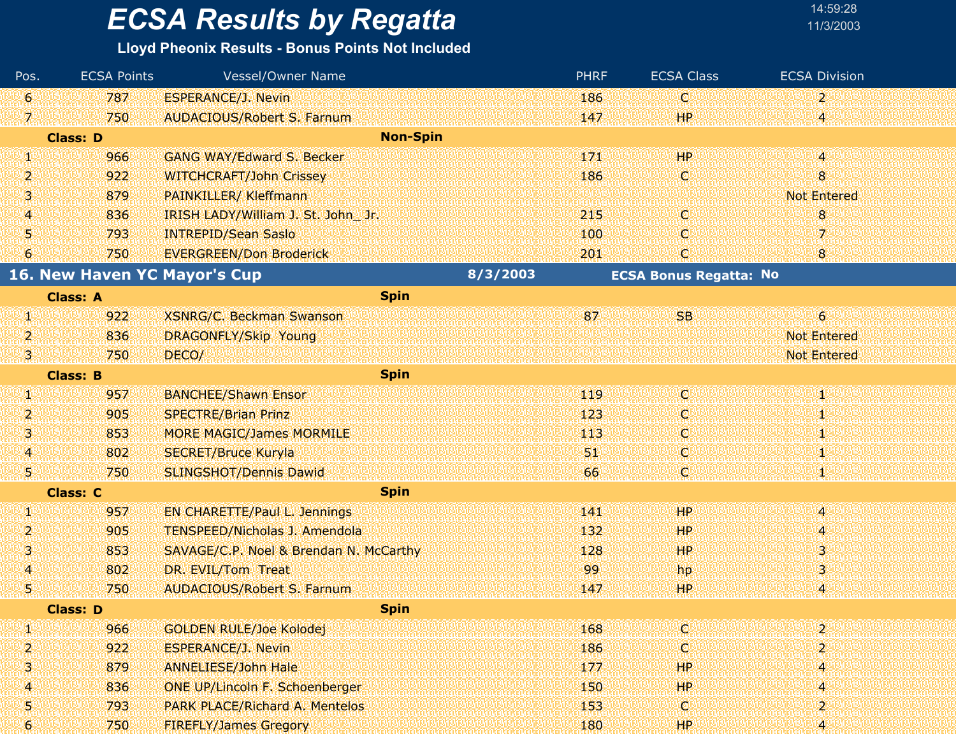| Pos.             | <b>ECSA Points</b> | Vessel/Owner Name                      |          | <b>PHRF</b> | <b>ECSA Class</b>             | <b>ECSA Division</b> |  |
|------------------|--------------------|----------------------------------------|----------|-------------|-------------------------------|----------------------|--|
| Ι6Ι              | 787                | <b>ESPERANCE/J. Nevin</b>              |          | 186         | C                             | $\mathbf{2}$         |  |
| W                | 750                | <b>AUDACIOUS/Robert S. Farnum</b>      |          | 147         | HP.                           | 4                    |  |
|                  | <b>Class: D</b>    | <b>Non-Spin</b>                        |          |             |                               |                      |  |
| W                | 966                | <b>GANG WAY/Edward S. Becker</b>       |          | 171         | HP                            | 4                    |  |
| 2.               | 922                | <b>WITCHCRAFT/John Crissey</b>         |          | 186         | O                             | 8                    |  |
| ISI.             | 879                | <b>PAINKILLER/ Kleffmann</b>           |          |             |                               | <b>Not Entered</b>   |  |
| 4                | 836                | IRISH LADY/William J. St. John Jr.     |          | 215         | O                             | 8                    |  |
| 5                | 793                | <b>INTREPID/Sean Saslo</b>             |          | 100         | O                             | 7                    |  |
| 6                | 750                | <b>EVERGREEN/Don Broderick</b>         |          | 201         | C)                            | 8                    |  |
|                  |                    | <b>16. New Haven YC Mayor's Cup</b>    | 8/3/2003 |             | <b>ECSA Bonus Regatta: No</b> |                      |  |
|                  | <b>Class: A</b>    | <b>Spin</b>                            |          |             |                               |                      |  |
| W.               | 922                | XSNRG/C. Beckman Swanson               |          | 87          | <b>SB</b>                     | $\overline{6}$       |  |
| 2.               | 836                | DRAGONFLY/Skip Young                   |          |             |                               | <b>Not Entered</b>   |  |
| 131              | 750                | DECO/                                  |          |             |                               | <b>Not Entered</b>   |  |
|                  | <b>Class: B</b>    | <b>Spin</b>                            |          |             |                               |                      |  |
| W                | 957                | <b>BANCHEE/Shawn Ensor</b>             |          | 119         | O                             | M)                   |  |
| 2                | 905                | <b>SPECTRE/Brian Prinz</b>             |          | 123         | o                             | 80                   |  |
| 3                | 853                | <b>MORE MAGIC/James MORMILE</b>        |          | 113         | O                             | 40                   |  |
| $\boldsymbol{A}$ | 802                | <b>SECRET/Bruce Kuryla</b>             |          | 51          | C                             | Ą,                   |  |
| 51               | 750                | <b>SLINGSHOT/Dennis Dawid</b>          |          | 66          | C                             | 80                   |  |
|                  | <b>Class: C</b>    | <b>Spin</b>                            |          |             |                               |                      |  |
| W                | 957                | <b>EN CHARETTE/Paul L. Jennings</b>    |          | 141         | HР                            | 74                   |  |
| 2                | 905                | <b>TENSPEED/Nicholas J. Amendola</b>   |          | 132         | HР                            | 4                    |  |
| 3                | 853                | SAVAGE/C.P. Noel & Brendan N. McCarthy |          | 128         | <b>HP</b>                     | 3.                   |  |
| 4                | 802                | DR. EVIL/Tom Treat                     |          | 99          | hp                            | 3                    |  |
| 51               | 750                | <b>AUDACIOUS/Robert S. Farnum</b>      |          | 147         | HP.                           | 4                    |  |
|                  | <b>Class: D</b>    | <b>Spin</b>                            |          |             |                               |                      |  |
| W                | 966                | <b>GOLDEN RULE/Joe Kolodej</b>         |          | 168         | C                             | $\overline{2}$       |  |
| 2                | 922                | <b>ESPERANCE/J. Nevin</b>              |          | 186         | C                             | $\overline{2}$       |  |
| 3                | 879                | <b>ANNELIESE/John Hale</b>             |          | 177         | <b>HP</b>                     | 4                    |  |
| 4                | 836                | ONE UP/Lincoln F. Schoenberger         |          | 150         | HP                            | 4                    |  |
| 5.               | 793                | <b>PARK PLACE/Richard A. Mentelos</b>  |          | 153         | C.                            | 2                    |  |
| 6                | 750                | <b>FIREFLY/James Gregory</b>           |          | 180         | HP.                           | 4                    |  |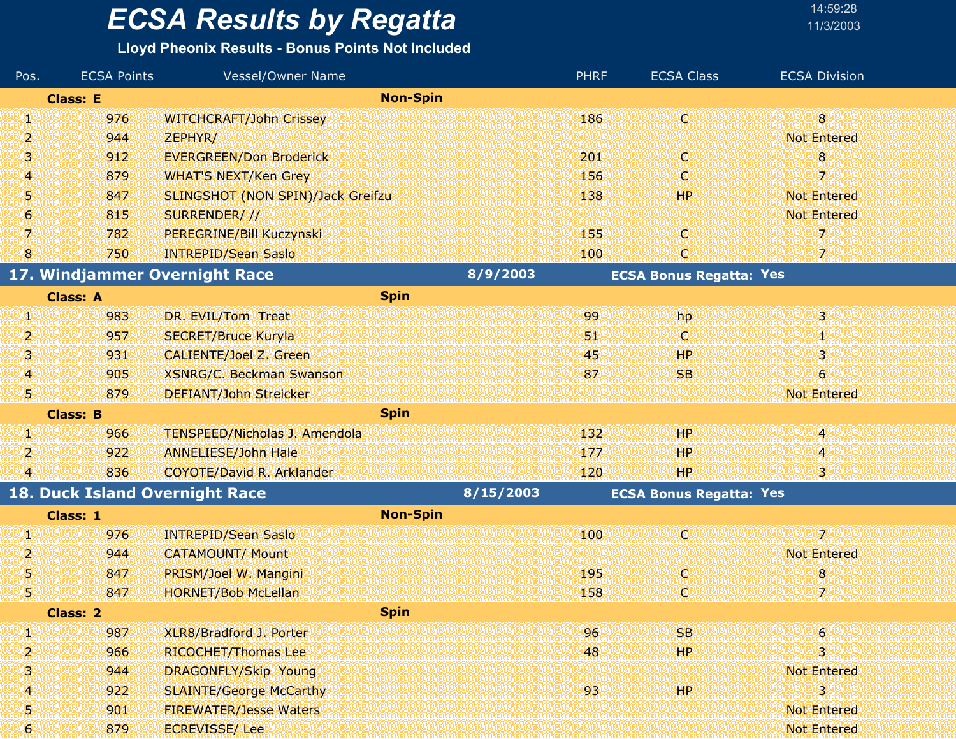| 14:59:28  |  |
|-----------|--|
| 11/3/200: |  |

| Pos.                    | <b>ECSA Points</b> | <b>Vessel/Owner Name</b>             |                 | <b>PHRF</b> | <b>ECSA Class</b>              | <b>ECSA Division</b> |
|-------------------------|--------------------|--------------------------------------|-----------------|-------------|--------------------------------|----------------------|
|                         | <b>Class: E</b>    |                                      | <b>Non-Spin</b> |             |                                |                      |
| SI.                     | 976                | <b>WITCHCRAFT/John Crissey</b>       |                 | 186         | O                              | 8 <sup>°</sup>       |
| 2                       | 944                | ZEPHYR/                              |                 |             |                                | <b>Not Entered</b>   |
| 3                       | 912                | <b>EVERGREEN/Don Broderick</b>       |                 | 201         | O                              | 8                    |
| 4                       | 879                | <b>WHAT'S NEXT/Ken Grey</b>          |                 | 156         | C                              | 7                    |
| 5                       | 847                | SLINGSHOT (NON SPIN)/Jack Greifzu    |                 | 138         | HP.                            | <b>Not Entered</b>   |
| 6                       | 815                | SURRENDER///                         |                 |             |                                | <b>Not Entered</b>   |
| 7                       | 782                | PEREGRINE/Bill Kuczynski             |                 | 155         | C.                             | 7                    |
| 8                       | 750                | <b>INTREPID/Sean Saslo</b>           |                 | 100         | C.                             | 7.                   |
|                         |                    | 17. Windjammer Overnight Race        | 8/9/2003        |             | <b>ECSA Bonus Regatta: Yes</b> |                      |
|                         | <b>Class: A</b>    | <b>Spin</b>                          |                 |             |                                |                      |
| W,                      | 983                | DR. EVIL/Tom Treat                   |                 | 99          | hp                             | 3                    |
| 2                       | 957                | <b>SECRET/Bruce Kuryla</b>           |                 | 51          | O                              | Ψ                    |
| 3                       | 931                | <b>CALIENTE/Joel Z. Green</b>        |                 | 45          | HР                             | 3                    |
| 4                       | 905                | <b>XSNRG/C. Beckman Swanson</b>      |                 | 87          | <b>SB</b>                      | 6                    |
| W                       | 879                | <b>DEFIANT/John Streicker</b>        |                 |             |                                | <b>Not Entered</b>   |
|                         | <b>Class: B</b>    | <b>Spin</b>                          |                 |             |                                |                      |
| W.                      | 966                | <b>TENSPEED/Nicholas J. Amendola</b> |                 | 132         | HP <sup>1</sup>                | 4                    |
| 2                       | 922                | <b>ANNELIESE/John Hale</b>           |                 | 177         | HP.                            | 4                    |
| $\overline{\mathbf{4}}$ | 836                | <b>COYOTE/David R. Arklander</b>     |                 | 120         | HP <sup>1</sup>                | 3                    |
|                         |                    | 18. Duck Island Overnight Race       | 8/15/2003       |             | <b>ECSA Bonus Regatta: Yes</b> |                      |
|                         | Class: 1           |                                      | <b>Non-Spin</b> |             |                                |                      |
| U)                      | 976                | <b>INTREPID/Sean Saslo</b>           |                 | 100         | Ø                              | 7.                   |
| 2                       | 944                | <b>CATAMOUNT/ Mount</b>              |                 |             |                                | <b>Not Entered</b>   |
| 5                       | 847                | PRISM/Joel W. Mangini                |                 | 195         | O                              | 8                    |
| 5                       | 847                | <b>HORNET/Bob McLellan</b>           |                 | 158         | C,                             | 7                    |
|                         | <b>Class: 2</b>    | <b>Spin</b>                          |                 |             |                                |                      |
| W                       | 987                | XLR8/Bradford J. Porter              |                 | 96          | SB.                            | $\epsilon$           |
| 2                       | 966                | RICOCHET/Thomas Lee                  |                 | 48          | HP.                            | 3                    |
| 3                       | 944                | DRAGONFLY/Skip Young                 |                 |             |                                | <b>Not Entered</b>   |
| 4                       | 922                | <b>SLAINTE/George McCarthy</b>       |                 | 93          | HP <sup>1</sup>                | 3                    |
| 5                       | 901                | <b>FIREWATER/Jesse Waters</b>        |                 |             |                                | <b>Not Entered</b>   |
| 6                       | 879                | <b>ECREVISSE/Lee</b>                 |                 |             |                                | <b>Not Entered</b>   |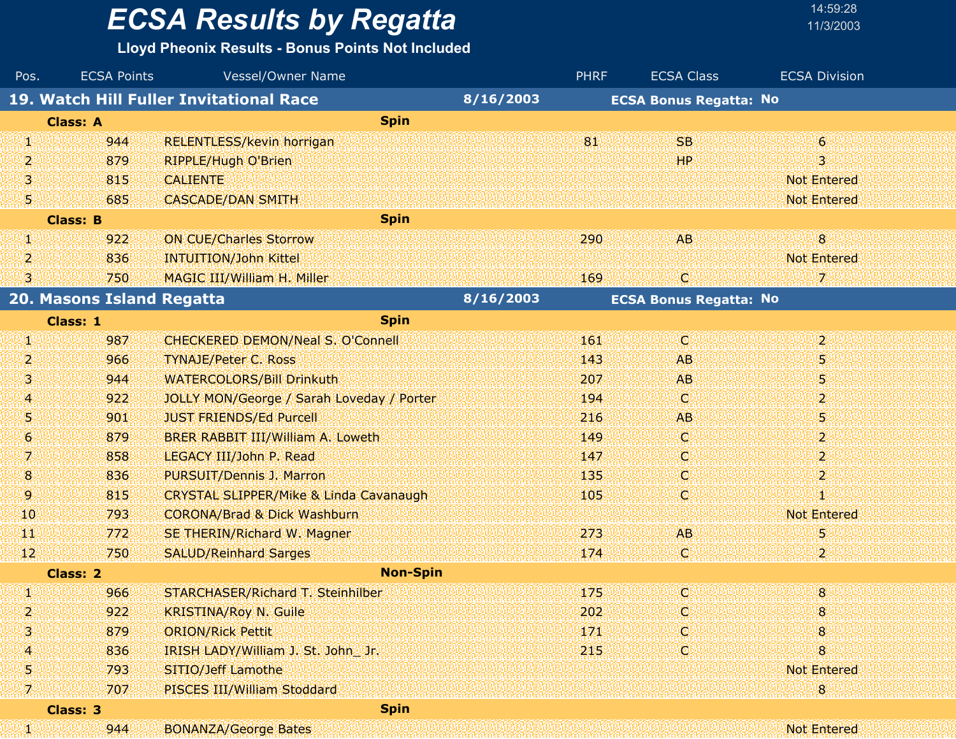| 14:59:28  |  |
|-----------|--|
| 11/3/200: |  |

| Pos.          | <b>ECSA Points</b>        | Vessel/Owner Name                                 |           | <b>PHRF</b> | <b>ECSA Class</b>             | <b>ECSA Division</b>      |
|---------------|---------------------------|---------------------------------------------------|-----------|-------------|-------------------------------|---------------------------|
|               |                           | 19. Watch Hill Fuller Invitational Race           | 8/16/2003 |             | <b>ECSA Bonus Regatta: No</b> |                           |
|               | <b>Class: A</b>           | <b>Spin</b>                                       |           |             |                               |                           |
| Щ             | 944                       | <b>RELENTLESS/kevin horrigan</b>                  |           | 81          | <b>SB</b>                     | $\epsilon$                |
| 2             | 879                       | <b>RIPPLE/Hugh O'Brien</b>                        |           |             | <b>HP</b>                     | 3                         |
| 3             | 815                       | <b>CALIENTE</b>                                   |           |             |                               | <b>Not Entered</b>        |
| 51            | 685                       | <b>CASCADE/DAN SMITH</b>                          |           |             |                               | <b>Not Entered</b>        |
|               | <b>Class: B</b>           | <b>Spin</b>                                       |           |             |                               |                           |
| GN)           | 922                       | <b>ON CUE/Charles Storrow</b>                     |           | 290         | <b>AB</b>                     | $\overline{8}$            |
| 2             | 836                       | <b>INTUITION/John Kittel</b>                      |           |             |                               | <b>Not Entered</b>        |
| 3             | 750                       | MAGIC III/William H. Miller                       |           | 169         | C.                            |                           |
|               | 20. Masons Island Regatta |                                                   | 8/16/2003 |             | <b>ECSA Bonus Regatta: No</b> |                           |
|               | <b>Class: 1</b>           | <b>Spin</b>                                       |           |             |                               |                           |
| q,            | 987                       | CHECKERED DEMON/Neal S. O'Connell                 |           | 161         | C)                            | $2^{\circ}$               |
| 2             | 966                       | <b>TYNAJE/Peter C. Ross</b>                       |           | 143         | <b>AB</b>                     | 5                         |
| 3.            | 944                       | <b>WATERCOLORS/Bill Drinkuth</b>                  |           | 207         | <b>AB</b>                     | 5                         |
| 4             | 922                       | JOLLY MON/George / Sarah Loveday / Porter         |           | 194         | O.                            | 2.                        |
| 5             | 901                       | <b>JUST FRIENDS/Ed Purcell</b>                    |           | 216         | <b>AB</b>                     | 5                         |
| 6             | 879                       | BRER RABBIT III/William A. Loweth                 |           | 149         | O                             | $\overline{2}$            |
| 7             | 858                       | LEGACY III/John P. Read                           |           | 147         | O.                            | $\mathbf{2}$              |
| 8             | 836                       | PURSUIT/Dennis J. Marron                          |           | 135         | O                             | $\mathbf{2}^{\mathsf{r}}$ |
| 9             | 815                       | <b>CRYSTAL SLIPPER/Mike &amp; Linda Cavanaugh</b> |           | 105         | C.                            |                           |
| 10            | 793                       | <b>CORONA/Brad &amp; Dick Washburn</b>            |           |             |                               | <b>Not Entered</b>        |
| щŢ            | 772                       | SE THERIN/Richard W. Magner                       |           | 273         | <b>AB</b>                     | 5                         |
| $\mathbf{12}$ | 750                       | <b>SALUD/Reinhard Sarges</b>                      |           | 174         | O.                            |                           |
|               | Class: 2                  | <b>Non-Spin</b>                                   |           |             |                               |                           |
| W             | 966                       | STARCHASER/Richard T. Steinhilber                 |           | 175         | O                             | 8 <sup>°</sup>            |
| 4             | 922                       | <b>KRISTINA/Roy N. Guile</b>                      |           | 202         |                               | 8                         |
|               | 879                       | <b>ORION/Rick Pettit</b>                          |           | 171         | O                             |                           |
|               | 836                       | IRISH LADY/William J. St. John_ Jr.               |           | 215         | o                             | 8                         |
| 5             | 793                       | SITIO/Jeff Lamothe                                |           |             |                               | <b>Not Entered</b>        |
| W             | 707                       | PISCES III/William Stoddard                       |           |             |                               | 8                         |
|               | Class: 3                  | <b>Spin</b>                                       |           |             |                               |                           |
| 31            | 944                       | <b>BONANZA/George Bates</b>                       |           |             |                               | <b>Not Entered</b>        |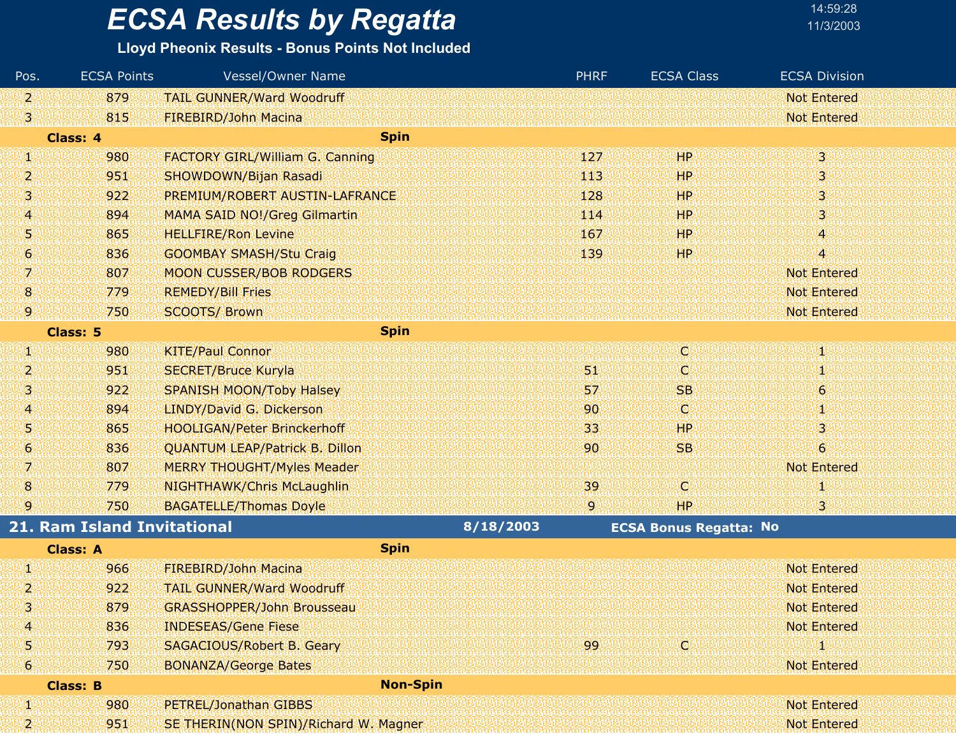| 14:59:28  |
|-----------|
| 11/3/200: |

| Pos.             | <b>ECSA Points</b>                 | <b>Vessel/Owner Name</b>               |           | <b>PHRF</b>     | <b>ECSA Class</b>             | <b>ECSA Division</b>    |
|------------------|------------------------------------|----------------------------------------|-----------|-----------------|-------------------------------|-------------------------|
| V,               | 879                                | <b>TAIL GUNNER/Ward Woodruff</b>       |           |                 |                               | <b>Not Entered</b>      |
| V3.              | 815                                | FIREBIRD/John Macina                   |           |                 |                               | <b>Not Entered</b>      |
|                  | <b>Class: 4</b>                    | <b>Spin</b>                            |           |                 |                               |                         |
| W                | 980                                | <b>FACTORY GIRL/William G. Canning</b> |           | 127             | HP                            | 38                      |
| 2                | 951                                | SHOWDOWN/Bijan Rasadi                  |           | 443             | HP                            | 31                      |
| Ŋ                | 922                                | PREMIUM/ROBERT AUSTIN-LAFRANCE         |           | 128             | HP                            | $\overline{\mathbf{3}}$ |
| 4                | 894                                | <b>MAMA SAID NO!/Greg Gilmartin</b>    |           | 114             | HP                            | 3.                      |
| 5                | 865                                | <b>HELLFIRE/Ron Levine</b>             |           | 167             | HP                            | 4                       |
| 6.               | 836                                | <b>GOOMBAY SMASH/Stu Craig</b>         |           | 139             | <b>HP</b>                     | 4                       |
| 7                | 807                                | <b>MOON CUSSER/BOB RODGERS</b>         |           |                 |                               | <b>Not Entered</b>      |
| $\boldsymbol{8}$ | 779                                | <b>REMEDY/Bill Fries</b>               |           |                 |                               | <b>Not Entered</b>      |
| 19.              | 750                                | <b>SCOOTS/ Brown</b>                   |           |                 |                               | <b>Not Entered</b>      |
|                  | <b>Class: 5</b>                    | <b>Spin</b>                            |           |                 |                               |                         |
| Ø                | 980                                | <b>KITE/Paul Connor</b>                |           |                 | d                             | T                       |
| 2                | 951                                | <b>SECRET/Bruce Kuryla</b>             |           | 51              | O.                            | 30                      |
| 3                | 922                                | <b>SPANISH MOON/Toby Halsey</b>        |           | 57              | <b>SB</b>                     | $\ddot{\mathbf{6}}$     |
| 4.               | 894                                | LINDY/David G. Dickerson               |           | 90 <sub>o</sub> | o                             | šŲ.                     |
| U.               | 865                                | <b>HOOLIGAN/Peter Brinckerhoff</b>     |           | 33              | HР                            | 3                       |
| 6                | 836                                | <b>QUANTUM LEAP/Patrick B. Dillon</b>  |           | 90              | <b>SB</b>                     | $\ddot{\mathbf{6}}$     |
| 7                | 807                                | <b>MERRY THOUGHT/Myles Meader</b>      |           |                 |                               | <b>Not Entered</b>      |
| $\bf{8}$         | 779                                | <b>NIGHTHAWK/Chris McLaughlin</b>      |           | 39              | O                             |                         |
| 9                | 750                                | <b>BAGATELLE/Thomas Doyle</b>          |           | 9.              | HP                            | 3                       |
|                  | <b>21. Ram Island Invitational</b> |                                        | 8/18/2003 |                 | <b>ECSA Bonus Regatta: No</b> |                         |
|                  | <b>Class: A</b>                    | <b>Spin</b>                            |           |                 |                               |                         |
| U)               | 966                                | FIREBIRD/John Macina                   |           |                 |                               | <b>Not Entered</b>      |
| 2                | 922                                | <b>TAIL GUNNER/Ward Woodruff</b>       |           |                 |                               | <b>Not Entered</b>      |
| 3                | 879                                | <b>GRASSHOPPER/John Brousseau</b>      |           |                 |                               | <b>Not Entered</b>      |
| 4                | 836                                | <b>INDESEAS/Gene Fiese</b>             |           |                 |                               | <b>Not Entered</b>      |
| Ŋ                | 793                                | <b>SAGACIOUS/Robert B. Geary</b>       |           | 99.             | O)                            |                         |
| 6                | 750                                | <b>BONANZA/George Bates</b>            |           |                 |                               | <b>Not Entered</b>      |
|                  | <b>Class: B</b>                    | <b>Non-Spin</b>                        |           |                 |                               |                         |
| Ø,               | 980                                | PETREL/Jonathan GIBBS                  |           |                 |                               | <b>Not Entered</b>      |
| 21               | 951                                | SE THERIN(NON SPIN)/Richard W. Magner  |           |                 |                               | <b>Not Entered</b>      |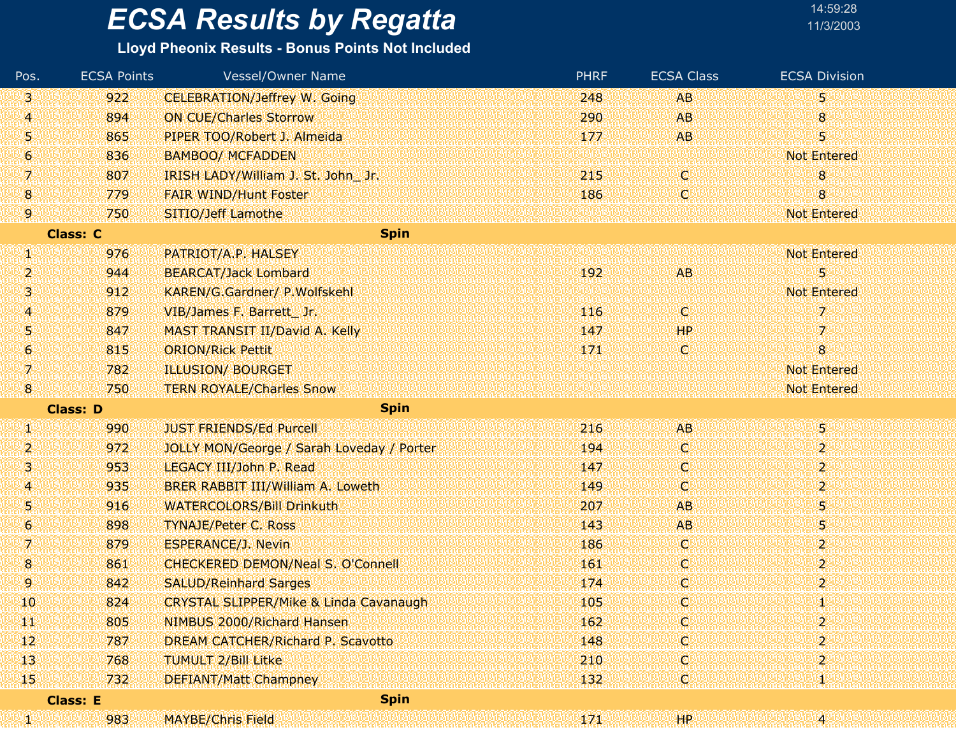### **Lloyd Pheonix Results - Bonus Points Not Included**

| Pos. | <b>ECSA Points</b> | <b>Vessel/Owner Name</b>                          | <b>PHRF</b> | <b>ECSA Class</b> | <b>ECSA Division</b>      |
|------|--------------------|---------------------------------------------------|-------------|-------------------|---------------------------|
| 13.  | 922                | <b>CELEBRATION/Jeffrey W. Going</b>               | 248         | <b>AB</b>         | 5                         |
| 4    | 894                | <b>ON CUE/Charles Storrow</b>                     | 290         | <b>AB</b>         | 8                         |
| 51   | 865                | PIPER TOO/Robert J. Almeida                       | 177         | AB                | 5                         |
| 6    | 836                | <b>BAMBOO/ MCFADDEN</b>                           |             |                   | <b>Not Entered</b>        |
| 7    | 807                | IRISH LADY/William J. St. John Jr.                | 215         | W                 | 8                         |
| 8    | 779                | <b>FAIR WIND/Hunt Foster</b>                      | 186         | Q                 | 8                         |
| 9.   | 750                | SITIO/Jeff Lamothe                                |             |                   | <b>Not Entered</b>        |
|      | <b>Class: C</b>    | <b>Spin</b>                                       |             |                   |                           |
| Ø.   | 976                | PATRIOT/A.P. HALSEY                               |             |                   | <b>Not Entered</b>        |
| 2    | 944                | <b>BEARCAT/Jack Lombard</b>                       | 192         | AB.               | 5                         |
| 3    | 912                | KAREN/G.Gardner/ P.Wolfskehl                      |             |                   | <b>Not Entered</b>        |
| 4    | 879                | VIB/James F. Barrett Jr.                          | 116         | iC)               | 7                         |
| 5    | 847                | MAST TRANSIT II/David A. Kelly                    | 147         | <b>HP</b>         | 7                         |
| 6    | 815                | <b>ORION/Rick Pettit</b>                          | 171         | (C)               | 8                         |
| 7    | 782                | <b>ILLUSION/ BOURGET</b>                          |             |                   | <b>Not Entered</b>        |
| 8    | 750                | <b>TERN ROYALE/Charles Snow</b>                   |             |                   | <b>Not Entered</b>        |
|      | <b>Class: D</b>    | <b>Spin</b>                                       |             |                   |                           |
| W    | 990                | <b>JUST FRIENDS/Ed Purcell</b>                    | 216         | <b>AB</b>         | 5                         |
| 2    | 972                | JOLLY MON/George / Sarah Loveday / Porter         | 194         | O                 | $\overline{2}$            |
| 3    | 953                | LEGACY III/John P. Read                           | 147         | C.                | 2                         |
| 4    | 935                | BRER RABBIT III/William A. Loweth                 | 149         | ¢                 | $\mathbf{2}^{\mathsf{r}}$ |
| 51   | 916                | <b>WATERCOLORS/Bill Drinkuth</b>                  | 207         | <b>AB</b>         | 5                         |
| 6    | 898                | <b>TYNAJE/Peter C. Ross</b>                       | 143         | <b>AB</b>         | 5                         |
| 7    | 879                | <b>ESPERANCE/J. Nevin</b>                         | 186         | C.                | $\overline{2}$            |
| 8    | 861                | <b>CHECKERED DEMON/Neal S. O'Connell</b>          | 161         | Q                 | $\overline{2}$            |
| 9    | 842                | <b>SALUD/Reinhard Sarges</b>                      | 174         | C,                | $\overline{2}$            |
| 10   | 824                | <b>CRYSTAL SLIPPER/Mike &amp; Linda Cavanaugh</b> | 105         | C                 | Ю                         |
| ТV   | 805                | NIMBUS 2000/Richard Hansen                        | 162         | o                 | $\overline{2}$            |
| 12   | 787                | <b>DREAM CATCHER/Richard P. Scavotto</b>          | 148         | C                 | 2                         |
| 13   | 768                | <b>TUMULT 2/Bill Litke</b>                        | 210         | Ç,                | 2                         |
| 15   | 732                | <b>DEFIANT/Matt Champney</b>                      | 132         | Q                 | т                         |
|      | <b>Class: E</b>    | <b>Spin</b>                                       |             |                   |                           |
| UW   | 983                | <b>MAYBE/Chris Field</b>                          | 171         | <b>HP</b>         | 14.                       |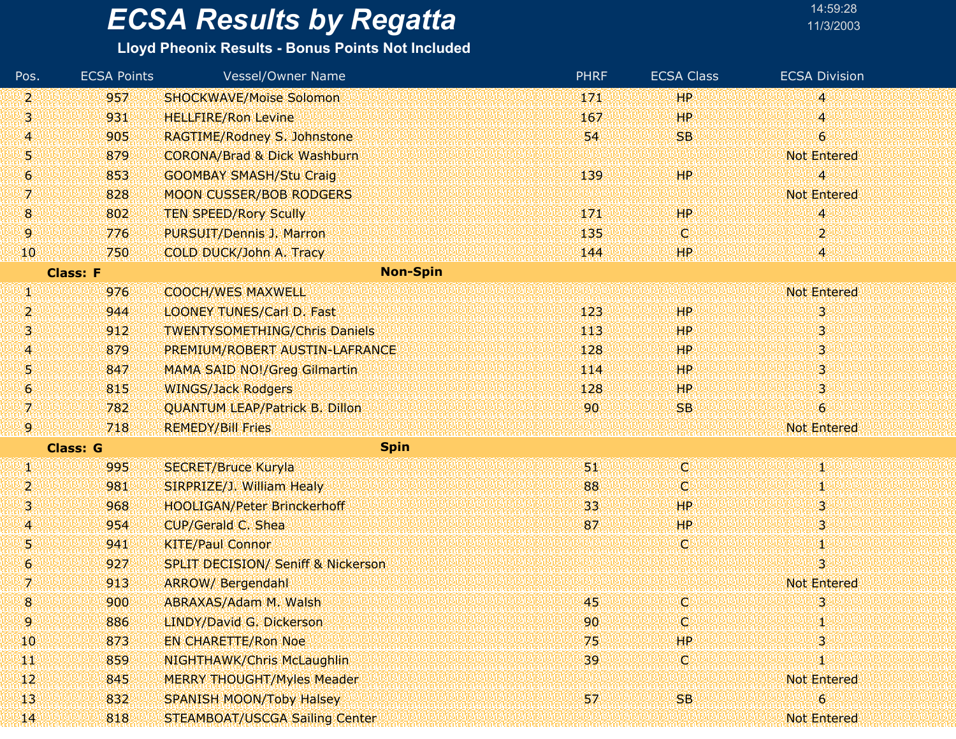### **Lloyd Pheonix Results - Bonus Points Not Included**

| Pos.            | <b>ECSA Points</b> | <b>Vessel/Owner Name</b>                      | <b>PHRF</b> | <b>ECSA Class</b> | <b>ECSA Division</b>      |
|-----------------|--------------------|-----------------------------------------------|-------------|-------------------|---------------------------|
| 2               | 957                | <b>SHOCKWAVE/Moise Solomon</b>                | 171         | <b>HP</b>         | 4                         |
| S.              | 931                | <b>HELLFIRE/Ron Levine</b>                    | 167         | <b>HP</b>         | 4                         |
| 4               | 905                | RAGTIME/Rodney S. Johnstone                   | 54          | <b>SB</b>         | $\overline{6}$            |
| 5               | 879                | <b>CORONA/Brad &amp; Dick Washburn</b>        |             |                   | <b>Not Entered</b>        |
| 6               | 853                | <b>GOOMBAY SMASH/Stu Craig</b>                | 139         | HР                | 4                         |
| 7               | 828                | <b>MOON CUSSER/BOB RODGERS</b>                |             |                   | <b>Not Entered</b>        |
| 8               | 802                | <b>TEN SPEED/Rory Scully</b>                  | 171         | <b>HP</b>         | 4                         |
| 9.              | 776                | PURSUIT/Dennis J. Marron                      | 135         | O                 | $\mathbf{2}^{\mathrm{r}}$ |
| 10              | 750                | COLD DUCK/John A. Tracy                       | 144         | <b>HP</b>         | 48                        |
|                 | <b>Class: F</b>    | <b>Non-Spin</b>                               |             |                   |                           |
| W               | 976                | <b>COOCH/WES MAXWELL</b>                      |             |                   | <b>Not Entered</b>        |
| 2               | 944                | <b>LOONEY TUNES/Carl D. Fast</b>              | 123         | <b>HP</b>         | 3                         |
| 3               | 912                | <b>TWENTYSOMETHING/Chris Daniels</b>          | 113         | <b>HP</b>         | 3                         |
| $\overline{A}$  | 879                | PREMIUM/ROBERT AUSTIN-LAFRANCE                | 128         | <b>HP</b>         | 3                         |
| 5               | 847                | <b>MAMA SAID NO!/Greg Gilmartin</b>           | 114         | <b>HP</b>         | 3                         |
| 6               | 815                | <b>WINGS/Jack Rodgers</b>                     | 128         | <b>HP</b>         | 3                         |
| 7.              | 782                | <b>QUANTUM LEAP/Patrick B. Dillon</b>         | 90          | <b>SB</b>         | $\overline{6}$            |
| 9               | 718                | <b>REMEDY/Bill Fries</b>                      |             |                   | Not Entered               |
|                 | <b>Class: G</b>    | <b>Spin</b>                                   |             |                   |                           |
| UN.             | 995                | <b>SECRET/Bruce Kuryla</b>                    | 51.         | (C)               | XI.                       |
| 2               | 981                | SIRPRIZE/J. William Healy                     | 88          | Q                 | Ψ                         |
| 3               | 968                | <b>HOOLIGAN/Peter Brinckerhoff</b>            | 33          | <b>HP</b>         | 3.                        |
| 4               | 954                | CUP/Gerald C. Shea                            | 87          | <b>HP</b>         | 3                         |
| 5               | 941                | <b>KITE/Paul Connor</b>                       |             | O                 | Ю                         |
| 6               | 927                | <b>SPLIT DECISION/ Seniff &amp; Nickerson</b> |             |                   | $\overline{\mathbf{3}}$   |
| 7               | 913                | <b>ARROW/ Bergendahl</b>                      |             |                   | <b>Not Entered</b>        |
| 8               | 900                | ABRAXAS/Adam M. Walsh                         | 45          | C                 | 3                         |
| 9.              | 886                | LINDY/David G. Dickerson                      | 90          | Q                 | 1                         |
| 10              | 873                | <b>EN CHARETTE/Ron Noe</b>                    | 75          | <b>HP</b>         | 3                         |
| щï              | 859                | <b>NIGHTHAWK/Chris McLaughlin</b>             | 39          | W                 | 1                         |
| 12 <sup>°</sup> | 845                | <b>MERRY THOUGHT/Myles Meader</b>             |             |                   | <b>Not Entered</b>        |
| 13              | 832                | <b>SPANISH MOON/Toby Halsey</b>               | 57          | <b>SB</b>         | 6                         |
| 14.             | 818                | STEAMBOAT/USCGA Sailing Center                |             |                   | Not Entered               |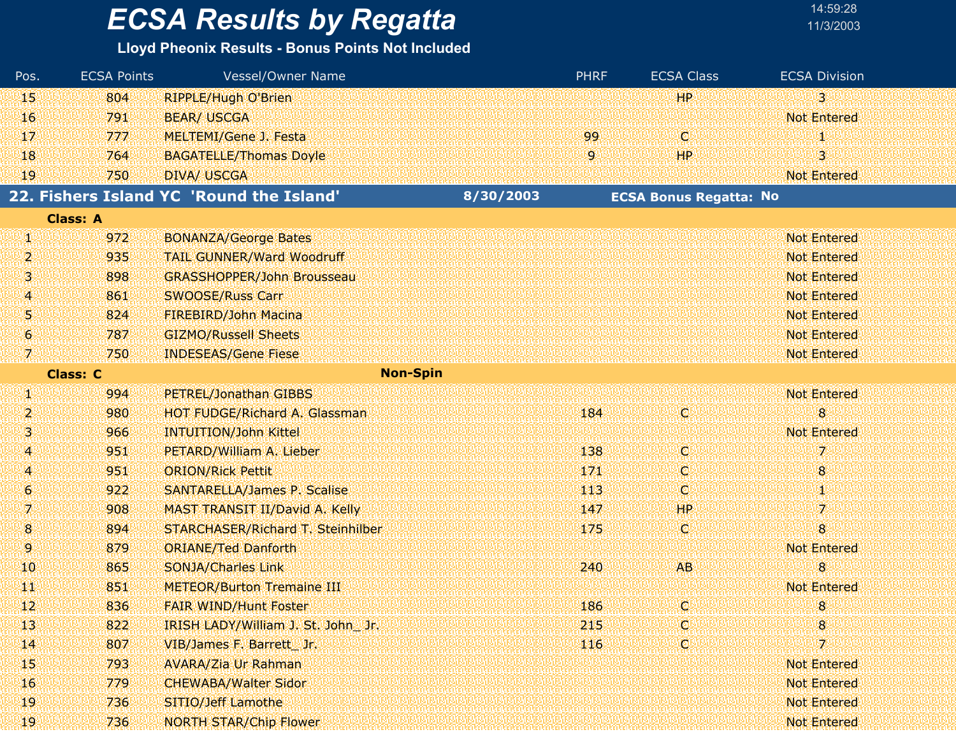#### **Lloyd Pheonix Results - Bonus Points Not Included**

| Pos.                  | <b>ECSA Points</b> | Vessel/Owner Name                        |           | <b>PHRF</b> | <b>ECSA Class</b>             | <b>ECSA Division</b> |
|-----------------------|--------------------|------------------------------------------|-----------|-------------|-------------------------------|----------------------|
| 45                    | 804                | <b>RIPPLE/Hugh O'Brien</b>               |           |             | <b>HP</b>                     | 33                   |
| <b>16</b>             | 791                | <b>BEAR/ USCGA</b>                       |           |             |                               | <b>Not Entered</b>   |
| 47                    | 777                | MELTEMI/Gene J. Festa                    |           | 99          | C.                            |                      |
| 18                    | 764                | <b>BAGATELLE/Thomas Doyle</b>            |           | 9.          | <b>HP</b>                     | 3                    |
| 19                    | 750                | <b>DIVA/ USCGA</b>                       |           |             |                               | <b>Not Entered</b>   |
|                       |                    | 22. Fishers Island YC 'Round the Island' | 8/30/2003 |             | <b>ECSA Bonus Regatta: No</b> |                      |
|                       | <b>Class: A</b>    |                                          |           |             |                               |                      |
| W.                    | 972                | <b>BONANZA/George Bates</b>              |           |             |                               | <b>Not Entered</b>   |
| 2                     | 935                | <b>TAIL GUNNER/Ward Woodruff</b>         |           |             |                               | <b>Not Entered</b>   |
| 3                     | 898                | <b>GRASSHOPPER/John Brousseau</b>        |           |             |                               | <b>Not Entered</b>   |
| 4                     | 861                | <b>SWOOSE/Russ Carr</b>                  |           |             |                               | <b>Not Entered</b>   |
| 5                     | 824                | FIREBIRD/John Macina                     |           |             |                               | <b>Not Entered</b>   |
| $\boldsymbol{\theta}$ | 787                | <b>GIZMO/Russell Sheets</b>              |           |             |                               | <b>Not Entered</b>   |
| 吻                     | 750                | <b>INDESEAS/Gene Fiese</b>               |           |             |                               | Not Entered          |
|                       | <b>Class: C</b>    | <b>Non-Spin</b>                          |           |             |                               |                      |
| 41                    | 994                | PETREL/Jonathan GIBBS                    |           |             |                               | <b>Not Entered</b>   |
| 2                     | 980                | <b>HOT FUDGE/Richard A. Glassman</b>     |           | 184         | V.                            | 8 <sup>2</sup>       |
| 3.                    | 966                | <b>INTUITION/John Kittel</b>             |           |             |                               | <b>Not Entered</b>   |
| 41                    | 951                | PETARD/William A. Lieber                 |           | 138         | о                             | 7.                   |
| 4                     | 951                | <b>ORION/Rick Pettit</b>                 |           | 171         | ņ.                            | 8 <sup>°</sup>       |
| 6                     | 922                | <b>SANTARELLA/James P. Scalise</b>       |           | 443         | O                             | 80                   |
| 7.                    | 908                | MAST TRANSIT II/David A. Kelly           |           | 147         | HP.                           | 7.                   |
| 8                     | 894                | STARCHASER/Richard T. Steinhilber        |           | 175         | W.                            | $\bf{8}$             |
| 9.                    | 879                | <b>ORIANE/Ted Danforth</b>               |           |             |                               | Not Entered          |
| 10                    | 865                | <b>SONJA/Charles Link</b>                |           | 240         | <b>AB</b>                     | 8                    |
| ЩĻ                    | 851                | <b>METEOR/Burton Tremaine III</b>        |           |             |                               | <b>Not Entered</b>   |
| $12 \,$               | 836                | <b>FAIR WIND/Hunt Foster.</b>            |           | 186         | o                             | 8.                   |
| 43                    | 822                | IRISH LADY/William J. St. John Jr.       |           | 215         | о                             | 8                    |
| $\mathbf{H}$          | 807                | VIB/James F. Barrett Jr.                 |           | 116         | ņ.                            | 7                    |
| 45                    | 793                | <b>AVARA/Zia Ur Rahman</b>               |           |             |                               | Not Entered          |
| <sup>16</sup>         | 779                | <b>CHEWABA/Walter Sidor</b>              |           |             |                               | Not Entered          |
| 19                    | 736                | SITIO/Jeff Lamothe                       |           |             |                               | Not Entered          |
| 19.                   | 736                | <b>NORTH STAR/Chip Flower</b>            |           |             |                               | Not Entered          |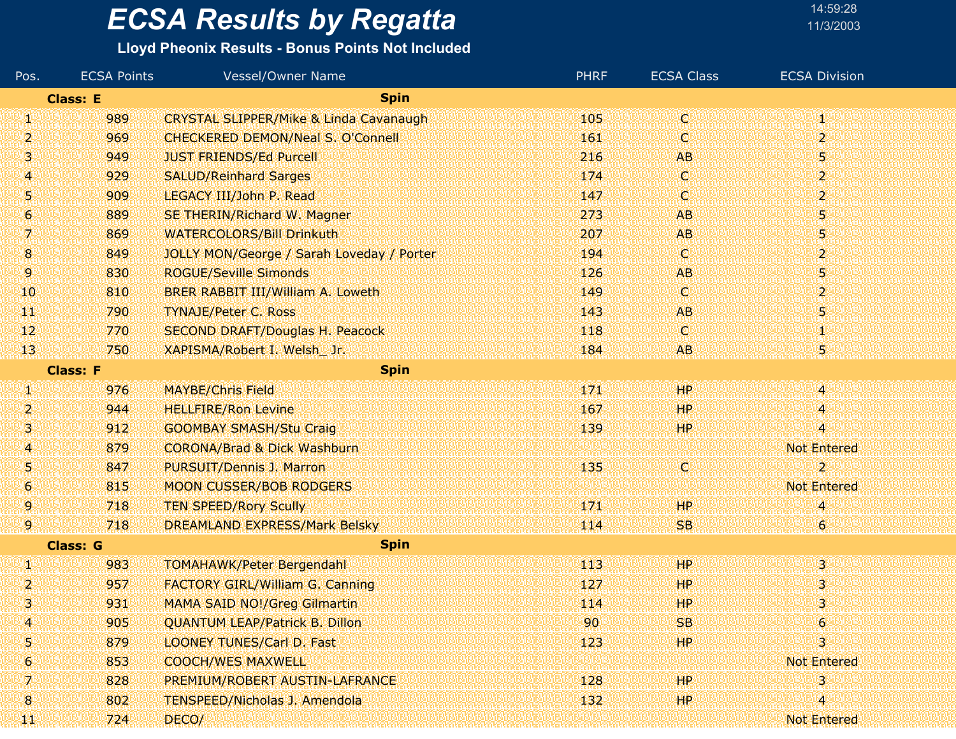| 14:59:28  |  |
|-----------|--|
| 11/3/200: |  |

| Pos. | <b>ECSA Points</b> | Vessel/Owner Name                                 | <b>PHRF</b> | <b>ECSA Class</b> | <b>ECSA Division</b> |
|------|--------------------|---------------------------------------------------|-------------|-------------------|----------------------|
|      | <b>Class: E</b>    | <b>Spin</b>                                       |             |                   |                      |
| VI.  | 989                | <b>CRYSTAL SLIPPER/Mike &amp; Linda Cavanaugh</b> | 105         | d                 | Φ                    |
| 2    | 969                | <b>CHECKERED DEMON/Neal S. O'Connell</b>          | 161         | C.                | $\overline{2}$       |
| 3.   | 949                | <b>JUST FRIENDS/Ed Purcell</b>                    | 216         | <b>AB</b>         | 5.                   |
| 4.   | 929                | <b>SALUD/Reinhard Sarges</b>                      | 174         | O.                | $\mathbf{2}$         |
| Ņ    | 909                | LEGACY III/John P. Read                           | 147         | C.                | $\overline{2}$       |
| 6    | 889                | SE THERIN/Richard W. Magner                       | 273         | <b>AB</b>         | 5.                   |
| 7.   | 869                | <b>WATERCOLORS/Bill Drinkuth</b>                  | 207         | <b>AB</b>         | 5                    |
| 8    | 849                | JOLLY MON/George / Sarah Loveday / Porter         | 194         | O.                | $\mathbf{2}$         |
| 9.   | 830                | <b>ROGUE/Seville Simonds</b>                      | 126         | <b>AB</b>         | 5.                   |
| 10   | 810                | BRER RABBIT III/William A. Loweth                 | 149         | O.                | $\mathbf{2}$         |
| TЩ   | 790                | <b>TYNAJE/Peter C. Ross</b>                       | 143         | AB.               | 5                    |
| 12   | 770                | <b>SECOND DRAFT/Douglas H. Peacock</b>            | 118         | C.                | M)                   |
| 13   | 750                | XAPISMA/Robert I. Welsh Jr.                       | 184         | AB.               | 5                    |
|      | <b>Class: F</b>    | <b>Spin</b>                                       |             |                   |                      |
| W    | 976                | <b>MAYBE/Chris Field</b>                          | 171         | HP                | $\overline{4}$       |
| 2    | 944                | <b>HELLFIRE/Ron Levine</b>                        | 167         | HP                | 4                    |
| 3.   | 912                | <b>GOOMBAY SMASH/Stu Craig</b>                    | 139         | HP.               | 4                    |
| 4    | 879                | <b>CORONA/Brad &amp; Dick Washburn</b>            |             |                   | <b>Not Entered</b>   |
| 5    | 847                | PURSUIT/Dennis J. Marron                          | 135         | C.                | $\overline{2}$       |
| 6    | 815                | <b>MOON CUSSER/BOB RODGERS</b>                    |             |                   | <b>Not Entered</b>   |
| 9.   | 718                | <b>TEN SPEED/Rory Scully</b>                      | 171         | HР                | 4                    |
| 9    | 718                | <b>DREAMLAND EXPRESS/Mark Belsky</b>              | 114         | <b>SB</b>         | $\ddot{\mathbf{6}}$  |
|      | <b>Class: G</b>    | <b>Spin</b>                                       |             |                   |                      |
| W    | 983                | <b>TOMAHAWK/Peter Bergendahl</b>                  | 113         | <b>HP</b>         | $3^{\circ}$          |
| 2    | 957                | <b>FACTORY GIRL/William G. Canning</b>            | 127         | HР                | 3                    |
|      | 931                | <b>MAMA SAID NO!/Greg Gilmartin</b>               | 114         | HР                | 3.                   |
| 4    | 905                | QUANTUM LEAP/Patrick B. Dillon                    | 90          | <b>SB</b>         | 6                    |
| 5    | 879                | <b>LOONEY TUNES/Carl D. Fast</b>                  | 123         | HP                | 3                    |
| 6.   | 853                | <b>COOCH/WES MAXWELL</b>                          |             |                   | Not Entered          |
| 7.   | 828                | PREMIUM/ROBERT AUSTIN-LAFRANCE                    | 128         | HР                | 31                   |
| 8    | 802                | <b>TENSPEED/Nicholas J. Amendola</b>              | 132         | HP.               | 4                    |
| ТT   | 724                | DECO/                                             |             |                   | Not Entered          |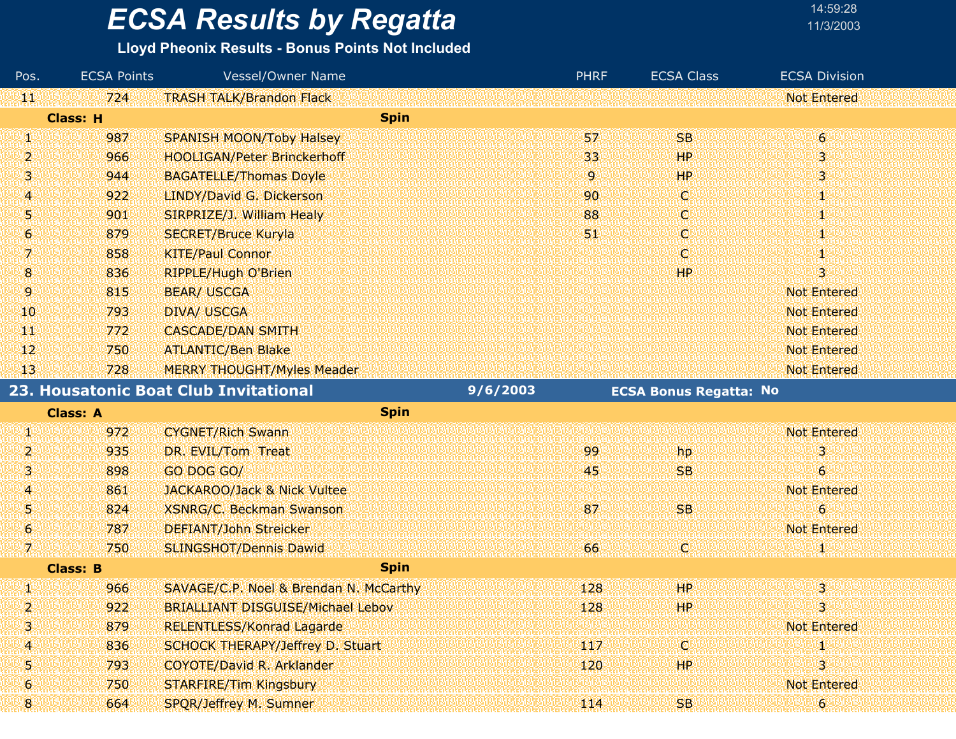#### **Lloyd Pheonix Results - Bonus Points Not Included**

| Pos.                | <b>ECSA Points</b> | Vessel/Owner Name                        | <b>PHRF</b> | <b>ECSA Class</b>             | <b>ECSA Division</b> |  |
|---------------------|--------------------|------------------------------------------|-------------|-------------------------------|----------------------|--|
| 淋状                  | 724                | <b>TRASH TALK/Brandon Flack</b>          |             |                               | <b>Not Entered</b>   |  |
|                     | <b>Class: H</b>    | <b>Spin</b>                              |             |                               |                      |  |
| 49                  | 987                | <b>SPANISH MOON/Toby Halsey</b>          | 57          | <b>SB</b>                     | $\overline{6}$       |  |
| 2                   | 966                | <b>HOOLIGAN/Peter Brinckerhoff</b>       | 33          | HP                            | 3                    |  |
| 31                  | 944                | <b>BAGATELLE/Thomas Doyle</b>            | 9.          | HР                            | 3                    |  |
| 4.                  | 922                | LINDY/David G. Dickerson                 | 90          | O.                            | T                    |  |
| 51                  | 901                | SIRPRIZE/J. William Healy                | 88          | O                             | 1                    |  |
| 6.                  | 879                | <b>SECRET/Bruce Kuryla</b>               | 51          | C                             | Т                    |  |
| 7.                  | 858                | <b>KITE/Paul Connor</b>                  |             | O.                            | T                    |  |
| $\mathbf{8}$        | 836                | <b>RIPPLE/Hugh O'Brien</b>               |             | <b>HP</b>                     | $\overline{3}$       |  |
| 9                   | 815                | <b>BEAR/ USCGA</b>                       |             |                               | <b>Not Entered</b>   |  |
| 10                  | 793                | <b>DIVA/ USCGA</b>                       |             |                               | <b>Not Entered</b>   |  |
| W.                  | 772                | <b>CASCADE/DAN SMITH</b>                 |             |                               | <b>Not Entered</b>   |  |
| 12                  | 750                | <b>ATLANTIC/Ben Blake</b>                |             |                               | <b>Not Entered</b>   |  |
| 13                  | 728                | <b>MERRY THOUGHT/Myles Meader</b>        |             |                               | <b>Not Entered</b>   |  |
|                     |                    | 23. Housatonic Boat Club Invitational    | 9/6/2003    | <b>ECSA Bonus Regatta: No</b> |                      |  |
|                     | <b>Class: A</b>    | <b>Spin</b>                              |             |                               |                      |  |
| W.                  | 972                | <b>CYGNET/Rich Swann</b>                 |             |                               | <b>Not Entered</b>   |  |
| 2                   | 935                | DR. EVIL/Tom Treat                       | 99          | hp                            | 3                    |  |
| 3.                  | 898                | GO DOG GO/                               | 45          | <b>SB</b>                     | $\overline{6}$       |  |
| 4                   | 861                | <b>JACKAROO/Jack &amp; Nick Vultee</b>   |             |                               | <b>Not Entered</b>   |  |
| 51                  | 824                | <b>XSNRG/C. Beckman Swanson</b>          | 87          | <b>SB</b>                     | $\epsilon$           |  |
| $\ddot{\mathbf{6}}$ | 787                | <b>DEFIANT/John Streicker</b>            |             |                               | <b>Not Entered</b>   |  |
| 7.                  | 750                | <b>SLINGSHOT/Dennis Dawid</b>            | 66          | O)                            |                      |  |
|                     | <b>Class: B</b>    | <b>Spin</b>                              |             |                               |                      |  |
| 49                  | 966                | SAVAGE/C.P. Noel & Brendan N. McCarthy   | 128         | HP                            | 3                    |  |
|                     | 922                | <b>BRIALLIANT DISGUISE/Michael Lebov</b> | 128         | HР                            | 3                    |  |
| 31                  | 879                | <b>RELENTLESS/Konrad Lagarde</b>         |             |                               | <b>Not Entered</b>   |  |
| 4                   | 836                | SCHOCK THERAPY/Jeffrey D. Stuart         | 117         | C)                            |                      |  |
| 5.                  | 793                | <b>COYOTE/David R. Arklander</b>         | 120         | HP.                           | 3                    |  |
| 6.                  | 750                | STARFIRE/Tim Kingsbury                   |             |                               | <b>Not Entered</b>   |  |
| 8                   | 664                | SPQR/Jeffrey M. Sumner                   | 114         | <b>SB</b>                     | $\boldsymbol{6}$     |  |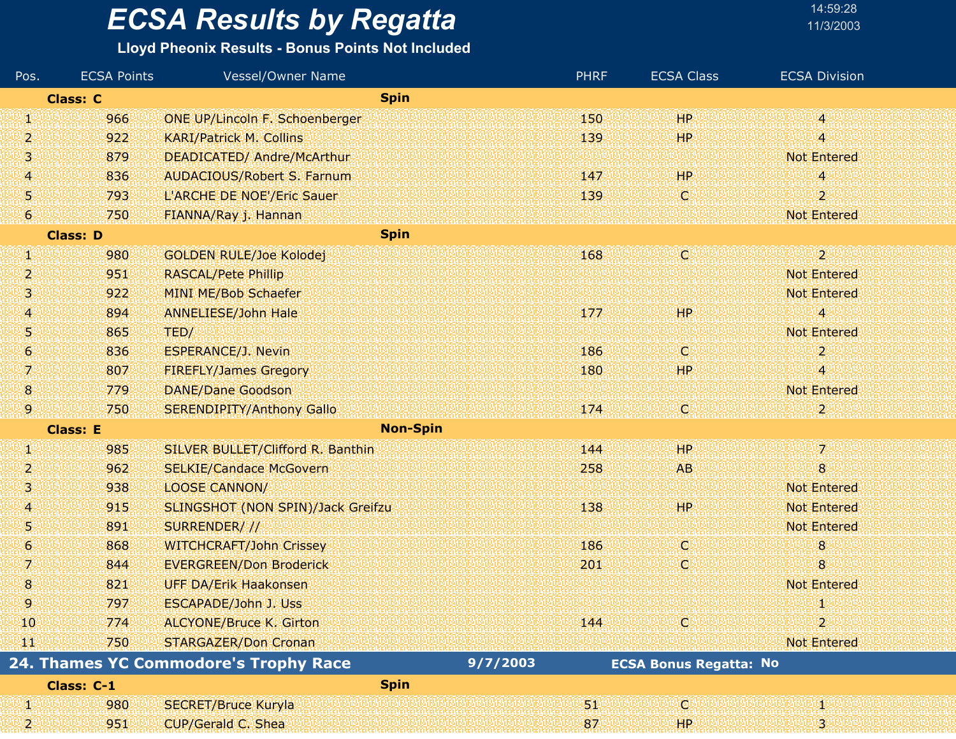#### **Lloyd Pheonix Results - Bonus Points Not Included**

| Pos.             | <b>ECSA Points</b> | <b>Vessel/Owner Name</b>              | <b>PHRF</b> | <b>ECSA Class</b>             | <b>ECSA Division</b> |
|------------------|--------------------|---------------------------------------|-------------|-------------------------------|----------------------|
|                  | <b>Class: C</b>    | <b>Spin</b>                           |             |                               |                      |
| W                | 966                | <b>ONE UP/Lincoln F. Schoenberger</b> | 150         | HP <sup>1</sup>               | 48                   |
| 2                | 922                | <b>KARI/Patrick M. Collins</b>        | 139         | <b>HP</b>                     | 4                    |
| 3                | 879                | <b>DEADICATED/ Andre/McArthur</b>     |             |                               | <b>Not Entered</b>   |
| 4                | 836                | <b>AUDACIOUS/Robert S. Farnum</b>     | 147         | HP                            | 4                    |
| 51               | 793                | L'ARCHE DE NOE'/Eric Sauer            | 139         | O                             | $\overline{2}$       |
| 6                | 750                | FIANNA/Ray j. Hannan                  |             |                               | <b>Not Entered</b>   |
|                  | <b>Class: D</b>    | <b>Spin</b>                           |             |                               |                      |
| W                | 980                | <b>GOLDEN RULE/Joe Kolodej</b>        | 168         | Q                             | $2^{\circ}$          |
| 2                | 951                | <b>RASCAL/Pete Phillip</b>            |             |                               | <b>Not Entered</b>   |
| 3                | 922                | MINI ME/Bob Schaefer                  |             |                               | <b>Not Entered</b>   |
| 4                | 894                | <b>ANNELIESE/John Hale</b>            | 177         | <b>HP</b>                     | 4                    |
| 5                | 865                | TED/                                  |             |                               | <b>Not Entered</b>   |
| $\boldsymbol{6}$ | 836                | <b>ESPERANCE/J. Nevin</b>             | 186         | IC.                           | 2                    |
| 7                | 807                | <b>FIREFLY/James Gregory</b>          | 180         | <b>HP</b>                     | 4                    |
| 8                | 779                | <b>DANE/Dane Goodson</b>              |             |                               | <b>Not Entered</b>   |
| 9                | 750                | <b>SERENDIPITY/Anthony Gallo</b>      | 174         | IC.                           | 2.                   |
|                  | <b>Class: E</b>    | <b>Non-Spin</b>                       |             |                               |                      |
| 41               | 985                | SILVER BULLET/Clifford R. Banthin     | 144         | HР                            | $7^\circ$            |
| 2                | 962                | <b>SELKIE/Candace McGovern</b>        | 258         | <b>AB</b>                     | 8                    |
| 31               | 938                | <b>LOOSE CANNON/</b>                  |             |                               | <b>Not Entered</b>   |
| 4                | 915                | SLINGSHOT (NON SPIN)/Jack Greifzu     | 138         | HP                            | <b>Not Entered</b>   |
| 5                | 891                | SURRENDER///                          |             |                               | <b>Not Entered</b>   |
| 6                | 868                | <b>WITCHCRAFT/John Crissey</b>        | 186         | у.                            | 8                    |
| 7.               | 844                | <b>EVERGREEN/Don Broderick</b>        | 201         | O                             | 8                    |
| 8                | 821                | <b>UFF DA/Erik Haakonsen</b>          |             |                               | <b>Not Entered</b>   |
| 9                | 797                | <b>ESCAPADE/John J. Uss</b>           |             |                               | Щ                    |
| 10               | 774                | <b>ALCYONE/Bruce K. Girton</b>        | 144         | C)                            | $\mathbf{z}$         |
| Щľ               | 750                | STARGAZER/Don Cronan                  |             |                               | <b>Not Entered</b>   |
|                  |                    | 24. Thames YC Commodore's Trophy Race | 9/7/2003    | <b>ECSA Bonus Regatta: No</b> |                      |
|                  | Class: C-1         | <b>Spin</b>                           |             |                               |                      |
| W                | 980                | <b>SECRET/Bruce Kuryla</b>            | 31          | O                             |                      |
| 2.               | 951                | CUP/Gerald C. Shea                    | 87          | HР                            | 3.                   |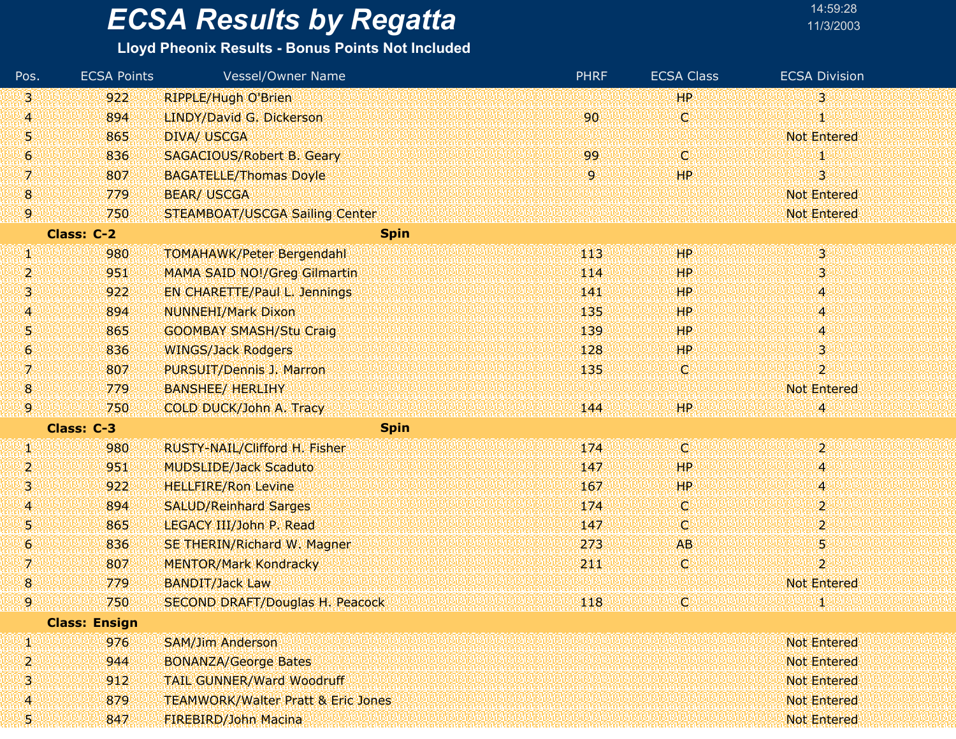#### **Lloyd Pheonix Results - Bonus Points Not Included**

| Pos.             | <b>ECSA Points</b>   | Vessel/Owner Name                             | <b>PHRF</b> | <b>ECSA Class</b> | <b>ECSA Division</b>      |
|------------------|----------------------|-----------------------------------------------|-------------|-------------------|---------------------------|
| 3                | 922                  | <b>RIPPLE/Hugh O'Brien</b>                    |             | <b>HP</b>         | 3                         |
| 4                | 894                  | LINDY/David G. Dickerson                      | 90          | ¢                 |                           |
| 5                | 865                  | <b>DIVA/ USCGA</b>                            |             |                   | <b>Not Entered</b>        |
| $\boldsymbol{6}$ | 836                  | <b>SAGACIOUS/Robert B. Geary</b>              | 99          | C.                |                           |
| 7                | 807                  | <b>BAGATELLE/Thomas Doyle</b>                 | 9           | HP                | 3.                        |
| 8                | 779                  | <b>BEAR/ USCGA</b>                            |             |                   | <b>Not Entered</b>        |
| 9                | 750                  | <b>STEAMBOAT/USCGA Sailing Center</b>         |             |                   | <b>Not Entered</b>        |
|                  | Class: C-2           | <b>Spin</b>                                   |             |                   |                           |
| Ŋ.               | 980                  | <b>TOMAHAWK/Peter Bergendahl</b>              | 413         | <b>HP</b>         | 30                        |
| 2                | 951                  | <b>MAMA SAID NO!/Greg Gilmartin</b>           | 114         | <b>HP</b>         | 3                         |
| 3                | 922                  | <b>EN CHARETTE/Paul L. Jennings</b>           | 141         | 'HP               | 4                         |
| 4                | 894                  | <b>NUNNEHI/Mark Dixon</b>                     | 135         | <b>HP</b>         | 4.                        |
| 5                | 865                  | <b>GOOMBAY SMASH/Stu Craig</b>                | 139         | <b>HP</b>         | 4                         |
| 6                | 836                  | <b>WINGS/Jack Rodgers</b>                     | 128         | <b>HP</b>         | 3                         |
| 7                | 807                  | PURSUIT/Dennis J. Marron                      | 135         | C.                | $\mathbf{2}^{\mathbb{Z}}$ |
| 8                | 779                  | <b>BANSHEE/ HERLIHY</b>                       |             |                   | <b>Not Entered</b>        |
| 9                | 750                  | COLD DUCK/John A. Tracy                       | 144         | HP.               |                           |
|                  | Class: C-3           | <b>Spin</b>                                   |             |                   |                           |
| W.               | 980                  | RUSTY-NAIL/Clifford H. Fisher                 | 174         | ΙCΙ               | 28                        |
| 2                | 951                  | <b>MUDSLIDE/Jack Scaduto</b>                  | 147         | <b>HP</b>         | 4.                        |
| 3                | 922                  | <b>HELLFIRE/Ron Levine</b>                    | 167         | <b>HP</b>         | 4                         |
| 4                | 894                  | <b>SALUD/Reinhard Sarges</b>                  | 174         | O.                | $\overline{2}$            |
| 5                | 865                  | LEGACY III/John P. Read                       | 147         | C.                | $\mathbf{2}^{\prime}$     |
| 6                | 836                  | SE THERIN/Richard W. Magner                   | 273         | <b>AB</b>         | 5                         |
| 7                | 807                  | <b>MENTOR/Mark Kondracky</b>                  | 211         | C.                | $\overline{2}$            |
| 8                | 779                  | <b>BANDIT/Jack Law</b>                        |             |                   | <b>Not Entered</b>        |
| 9                | 750                  | <b>SECOND DRAFT/Douglas H. Peacock</b>        | 118         | C,                |                           |
|                  | <b>Class: Ensign</b> |                                               |             |                   |                           |
| Щ                | 976                  | <b>SAM/Jim Anderson</b>                       |             |                   | <b>Not Entered</b>        |
| 2                | 944                  | <b>BONANZA/George Bates</b>                   |             |                   | <b>Not Entered</b>        |
| 3                | 912                  | <b>TAIL GUNNER/Ward Woodruff</b>              |             |                   | Not Entered               |
| 4                | 879                  | <b>TEAMWORK/Walter Pratt &amp; Eric Jones</b> |             |                   | <b>Not Entered</b>        |
| Ş.               | 847                  | <b>FIREBIRD/John Macina</b>                   |             |                   | Not Entered               |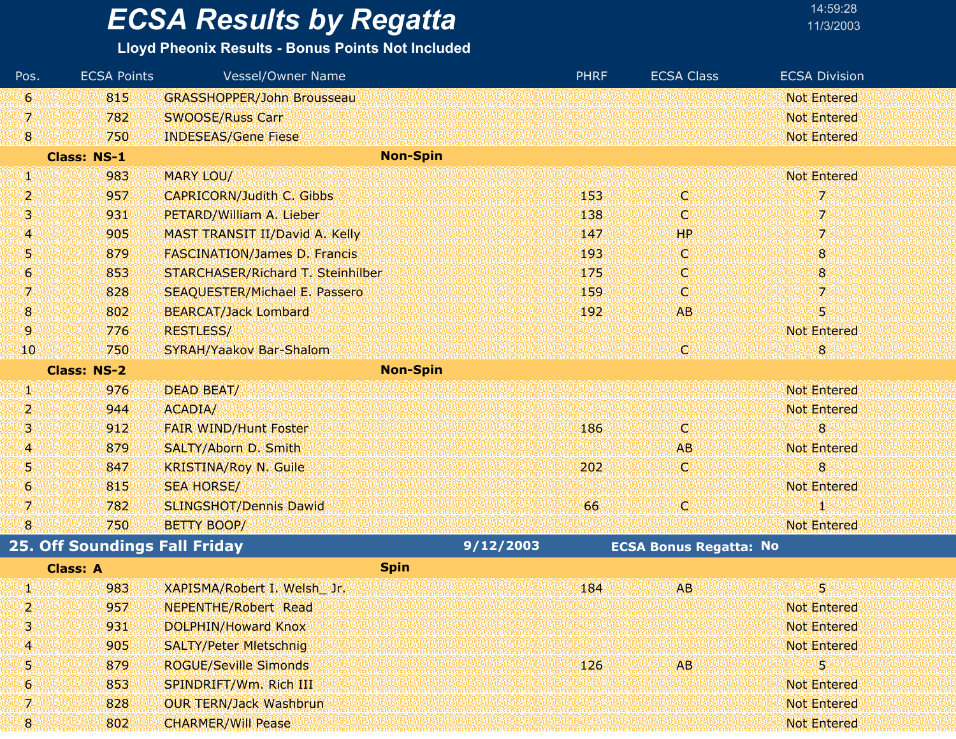**Lloyd Pheonix Results - Bonus Points Not Included**

| Pos.         | <b>ECSA Points</b>                   | <b>Vessel/Owner Name</b>             |           | <b>PHRF</b> | <b>ECSA Class</b>             | <b>ECSA Division</b> |
|--------------|--------------------------------------|--------------------------------------|-----------|-------------|-------------------------------|----------------------|
| 6            | 815                                  | <b>GRASSHOPPER/John Brousseau</b>    |           |             |                               | <b>Not Entered</b>   |
| 7            | 782                                  | <b>SWOOSE/Russ Carr</b>              |           |             |                               | <b>Not Entered</b>   |
| $\mathbf{8}$ | 750                                  | <b>INDESEAS/Gene Fiese</b>           |           |             |                               | <b>Not Entered</b>   |
|              | <b>Class: NS-1</b>                   | <b>Non-Spin</b>                      |           |             |                               |                      |
| UN.          | 983                                  | MARY LOU/                            |           |             |                               | <b>Not Entered</b>   |
| 2            | 957                                  | <b>CAPRICORN/Judith C. Gibbs</b>     |           | 153         | ю                             | 7.                   |
| 3            | 931                                  | PETARD/William A. Lieber             |           | 138         | O                             | 7                    |
| 4            | 905                                  | MAST TRANSIT II/David A. Kelly       |           | 147         | HP                            | 7.                   |
| 5            | 879                                  | <b>FASCINATION/James D. Francis</b>  |           | 193         | 卿                             | 8                    |
| 6            | 853                                  | STARCHASER/Richard T. Steinhilber    |           | 175         | ω                             | 8                    |
| 7.           | 828                                  | <b>SEAQUESTER/Michael E. Passero</b> |           | 159         | (C)                           | 7.                   |
| 18.          | 802                                  | <b>BEARCAT/Jack Lombard</b>          |           | 192         | AB                            | 5                    |
| 9            | 776                                  | <b>RESTLESS/</b>                     |           |             |                               | <b>Not Entered</b>   |
| 40           | 750                                  | SYRAH/Yaakov Bar-Shalom              |           |             | IC.                           | 8                    |
|              | <b>Class: NS-2</b>                   | <b>Non-Spin</b>                      |           |             |                               |                      |
| W            | 976                                  | DEAD BEAT/                           |           |             |                               | <b>Not Entered</b>   |
| 2            | 944                                  | ACADIA/                              |           |             |                               | <b>Not Entered</b>   |
| з            | 912                                  | <b>FAIR WIND/Hunt Foster</b>         |           | 186         | (C)                           | 8                    |
| 4            | 879                                  | SALTY/Aborn D. Smith                 |           |             | <b>AB</b>                     | <b>Not Entered</b>   |
| 5            | 847                                  | <b>KRISTINA/Roy N. Guile</b>         |           | 202         | Q                             | 8                    |
| 6            | 815                                  | <b>SEA HORSE/</b>                    |           |             |                               | <b>Not Entered</b>   |
| 7            | 782                                  | <b>SLINGSHOT/Dennis Dawid</b>        |           | 66          | ïØ.                           | 1                    |
| 8            | 750                                  | <b>BETTY BOOP/</b>                   |           |             |                               | <b>Not Entered</b>   |
|              | <b>25. Off Soundings Fall Friday</b> |                                      | 9/12/2003 |             | <b>ECSA Bonus Regatta: No</b> |                      |
|              | <b>Class: A</b>                      | <b>Spin</b>                          |           |             |                               |                      |
| UN.          | 983                                  | XAPISMA/Robert I. Welsh Jr.          |           | 184         | <b>AB</b>                     | 51                   |
| 2            | 957                                  | <b>NEPENTHE/Robert Read</b>          |           |             |                               | <b>Not Entered</b>   |
| з            | 931                                  | DOLPHIN/Howard Knox                  |           |             |                               | <b>Not Entered</b>   |
| 4            | 905                                  | <b>SALTY/Peter Mietschnig</b>        |           |             |                               | <b>Not Entered</b>   |
| 5            | 879                                  | <b>ROGUE/Seville Simonds</b>         |           | 126         | AB.                           | 5                    |
| 6            | 853                                  | SPINDRIFT/Wm. Rich III               |           |             |                               | <b>Not Entered</b>   |
| 7            | 828                                  | <b>OUR TERN/Jack Washbrun</b>        |           |             |                               | <b>Not Entered</b>   |
| 8            | 802                                  | <b>CHARMER/Will Pease</b>            |           |             |                               | Not Entered          |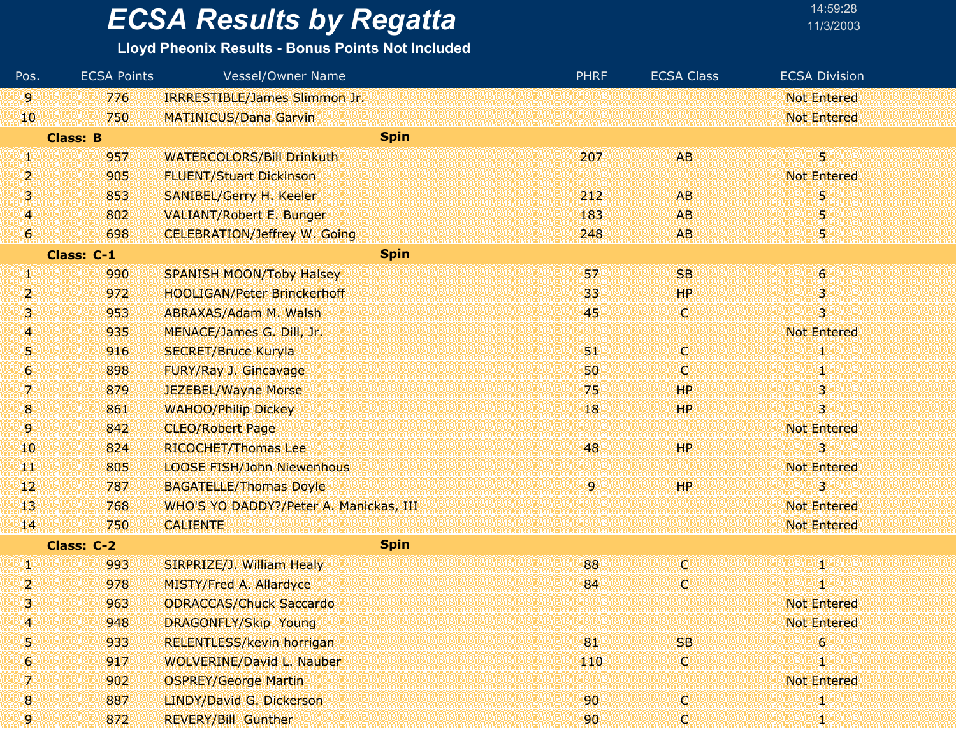#### **Lloyd Pheonix Results - Bonus Points Not Included**

| Pos.            | <b>ECSA Points</b> | <b>Vessel/Owner Name</b>               | <b>PHRF</b> | <b>ECSA Class</b> | <b>ECSA Division</b>      |  |
|-----------------|--------------------|----------------------------------------|-------------|-------------------|---------------------------|--|
| 9.              | 776                | IRRRESTIBLE/James Slimmon Jr.          |             |                   | <b>Not Entered</b>        |  |
| 10              | 750                | <b>MATINICUS/Dana Garvin</b>           |             |                   | <b>Not Entered</b>        |  |
|                 | <b>Class: B</b>    | <b>Spin</b>                            |             |                   |                           |  |
| æ               | 957                | <b>WATERCOLORS/Bill Drinkuth</b>       | 207         | <b>AB</b>         | 5.                        |  |
| 2               | 905                | <b>FLUENT/Stuart Dickinson</b>         |             |                   | <b>Not Entered</b>        |  |
| 3               | 853                | <b>SANIBEL/Gerry H. Keeler</b>         | 212         | <b>AB</b>         | 5                         |  |
| 4               | 802                | <b>VALIANT/Robert E. Bunger</b>        | 183         | <b>AB</b>         | 5                         |  |
| 6               | 698                | <b>CELEBRATION/Jeffrey W. Going</b>    | 248         | <b>AB</b>         | 5,                        |  |
|                 | Class: C-1         | <b>Spin</b>                            |             |                   |                           |  |
| U)              | 990                | <b>SPANISH MOON/Toby Halsey</b>        | 57          | <b>SB</b>         | $\mathbf{6}$              |  |
| 2               | 972                | <b>HOOLIGAN/Peter Brinckerhoff</b>     | 33          | <b>HP</b>         | $\mathbf{3}^{\mathsf{r}}$ |  |
| 3               | 953                | ABRAXAS/Adam M. Walsh                  | 45          | Φ                 | 3                         |  |
| 4               | 935                | MENACE/James G. Dill, Jr.              |             |                   | <b>Not Entered</b>        |  |
| 5               | 916                | <b>SECRET/Bruce Kuryla</b>             | 51,         | iC)               | щ                         |  |
| 6               | 898                | FURY/Ray J. Gincavage                  | 50          | ω                 | 1                         |  |
| 7.              | 879                | JEZEBEL/Wayne Morse                    | 75          | <b>HP</b>         | 3                         |  |
| 8               | 861                | <b>WAHOO/Philip Dickey</b>             | 18          | HР                | 3                         |  |
| 9               | 842                | <b>CLEO/Robert Page</b>                |             |                   | <b>Not Entered</b>        |  |
| 10              | 824                | RICOCHET/Thomas Lee                    | 48          | HP.               | 3                         |  |
| TЩ              | 805                | <b>LOOSE FISH/John Niewenhous</b>      |             |                   | <b>Not Entered</b>        |  |
| 12              | 787                | <b>BAGATELLE/Thomas Doyle</b>          | 9.          | HР                | $\overline{\mathbf{3}}$   |  |
| 13 <sup>°</sup> | 768                | WHO'S YO DADDY?/Peter A. Manickas, III |             |                   | <b>Not Entered</b>        |  |
| 14              | 750                | <b>CALIENTE</b>                        |             |                   | <b>Not Entered</b>        |  |
|                 | <b>Class: C-2</b>  | <b>Spin</b>                            |             |                   |                           |  |
| Щ.              | 993                | SIRPRIZE/J. William Healy              | 88          | (C)               | 41                        |  |
| 2               | 978                | <b>MISTY/Fred A. Allardyce</b>         | 84          | O.                |                           |  |
| 3               | 963                | <b>ODRACCAS/Chuck Saccardo</b>         |             |                   | <b>Not Entered</b>        |  |
| 4               | 948                | <b>DRAGONFLY/Skip Young</b>            |             |                   | <b>Not Entered</b>        |  |
| 5               | 933                | <b>RELENTLESS/kevin horrigan</b>       | 81          | <b>SB</b>         | 6                         |  |
| 6               | 917                | <b>WOLVERINE/David L. Nauber</b>       | 110         | O)                | 1                         |  |
| 7.              | 902                | <b>OSPREY/George Martin</b>            |             |                   | <b>Not Entered</b>        |  |
| 8               | 887                | LINDY/David G. Dickerson               | 90          | LC)               | 1                         |  |
| 9.              | 872                | <b>REVERY/Bill Gunther</b>             | 90          | (d)               | 80                        |  |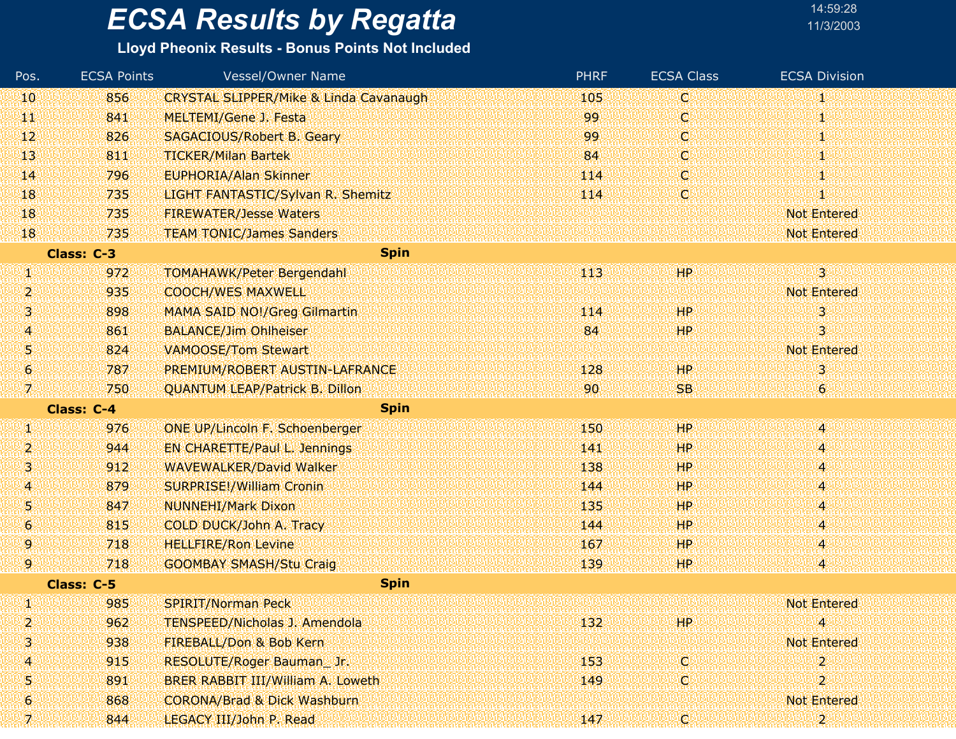| 14:59:28  |  |
|-----------|--|
| 11/3/200: |  |

| Pos.           | <b>ECSA Points</b> | <b>Vessel/Owner Name</b>                          | <b>PHRF</b> | <b>ECSA Class</b> | <b>ECSA Division</b> |
|----------------|--------------------|---------------------------------------------------|-------------|-------------------|----------------------|
| 10             | 856                | <b>CRYSTAL SLIPPER/Mike &amp; Linda Cavanaugh</b> | 105         | C                 | 41,                  |
| Щ              | 841                | <b>MELTEMI/Gene J. Festa</b>                      | 99          | ¢                 | ф                    |
| 12             | 826                | <b>SAGACIOUS/Robert B. Geary</b>                  | 99          | C                 | 80                   |
| 13             | 811                | <b>TICKER/Milan Bartek</b>                        | 84          | d                 | 41                   |
| $\mathbf{I}$   | 796                | <b>EUPHORIA/Alan Skinner</b>                      | 114         | ¢                 | ф                    |
| 18             | 735                | LIGHT FANTASTIC/Sylvan R. Shemitz                 | 114         | ¢                 | 1                    |
| 18             | 735                | <b>FIREWATER/Jesse Waters</b>                     |             |                   | <b>Not Entered</b>   |
| 18             | 735                | <b>TEAM TONIC/James Sanders</b>                   |             |                   | <b>Not Entered</b>   |
|                | Class: C-3         | <b>Spin</b>                                       |             |                   |                      |
| W              | 972                | <b>TOMAHAWK/Peter Bergendahl</b>                  | 113         | HР                | $\overline{3}$       |
| 2              | 935                | <b>COOCH/WES MAXWELL</b>                          |             |                   | <b>Not Entered</b>   |
| 3              | 898                | <b>MAMA SAID NO!/Greg Gilmartin</b>               | 114         | <b>HP</b>         | 3                    |
| 4              | 861                | <b>BALANCE/Jim Ohlheiser</b>                      | 84          | HP.               | 3                    |
| 51             | 824                | <b>VAMOOSE/Tom Stewart</b>                        |             |                   | <b>Not Entered</b>   |
| $\mathbf{G}$   | 787                | PREMIUM/ROBERT AUSTIN-LAFRANCE                    | 128         | HP.               | 3                    |
| 70             | 750                | <b>QUANTUM LEAP/Patrick B. Dillon</b>             | 90          | <b>SB</b>         | 6                    |
|                | Class: C-4         | <b>Spin</b>                                       |             |                   |                      |
| W              | 976                | <b>ONE UP/Lincoln F. Schoenberger</b>             | 150         | HP                | 4                    |
| 2              | 944                | <b>EN CHARETTE/Paul L. Jennings</b>               | 141         | HP.               | 4                    |
| 3              | 912                | <b>WAVEWALKER/David Walker</b>                    | 138         | <b>HP</b>         | 4                    |
| 4              | 879                | <b>SURPRISE!/William Cronin</b>                   | 144         | HP.               | 4                    |
| 51             | 847                | <b>NUNNEHI/Mark Dixon</b>                         | 135         | HP.               | 4                    |
| 6.             | 815                | COLD DUCK/John A. Tracy                           | 144         | HР                | 4                    |
| 9              | 718                | <b>HELLFIRE/Ron Levine</b>                        | 167         | HP.               | 4                    |
| 9.             | 718                | <b>GOOMBAY SMASH/Stu Craig</b>                    | 139         | 'HP.              | 4                    |
|                | Class: C-5         | <b>Spin</b>                                       |             |                   |                      |
| Ŋ.             | 985                | <b>SPIRIT/Norman Peck</b>                         |             |                   | <b>Not Entered</b>   |
| 2              | 962                | <b>TENSPEED/Nicholas J. Amendola</b>              | 132         | HP                | 4                    |
| 3              | 938                | FIREBALL/Don & Bob Kern                           |             |                   | <b>Not Entered</b>   |
| 4              | 915                | RESOLUTE/Roger Bauman_Jr.                         | 153         | $\mathbf{C}^1$    | 2                    |
| 5              | 891                | BRER RABBIT III/William A. Loweth                 | 149         | C.                | 2                    |
| 6 <sup>1</sup> | 868                | <b>CORONA/Brad &amp; Dick Washburn</b>            |             |                   | <b>Not Entered</b>   |
| 70             | 844                | LEGACY III/John P. Read                           | 147         | iel               | $\overline{2}$       |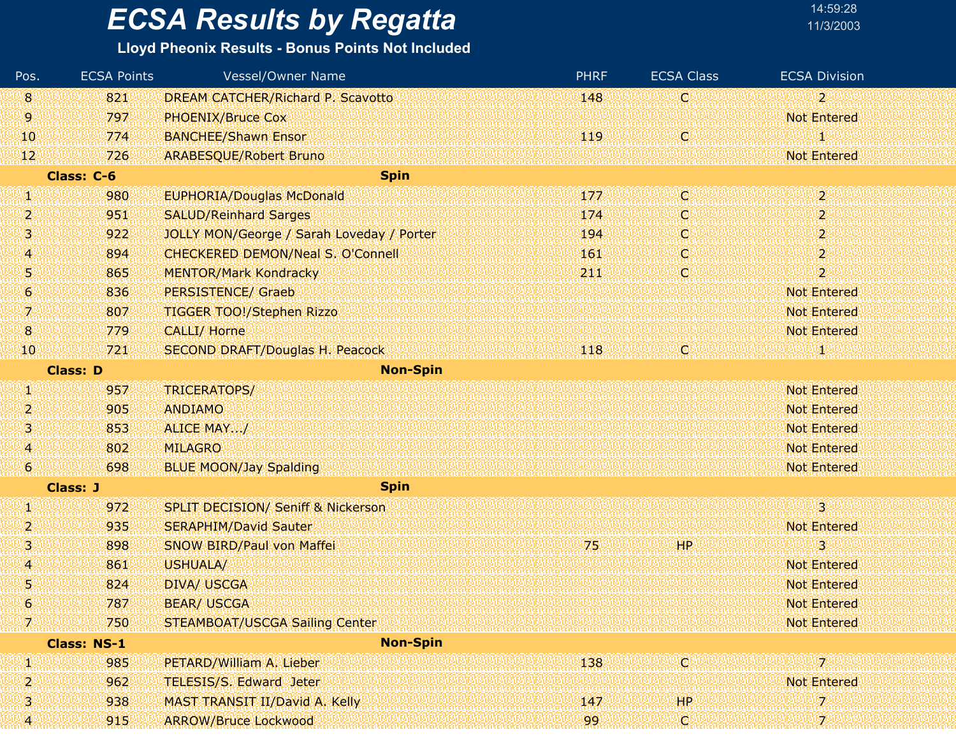### **Lloyd Pheonix Results - Bonus Points Not Included**

| Pos.             | <b>ECSA Points</b> | Vessel/Owner Name                             | <b>PHRF</b> | <b>ECSA Class</b> | <b>ECSA Division</b>      |
|------------------|--------------------|-----------------------------------------------|-------------|-------------------|---------------------------|
| 8                | 821                | <b>DREAM CATCHER/Richard P. Scavotto</b>      | 148         | C.                | $2^{\circ}$               |
| 9.               | 797                | <b>PHOENIX/Bruce Cox</b>                      |             |                   | <b>Not Entered</b>        |
| 10               | 774                | <b>BANCHEE/Shawn Ensor</b>                    | 119         | C                 | 1                         |
| 12               | 726                | <b>ARABESQUE/Robert Bruno</b>                 |             |                   | <b>Not Entered</b>        |
|                  | Class: C-6         | <b>Spin</b>                                   |             |                   |                           |
| W                | 980                | <b>EUPHORIA/Douglas McDonald</b>              | 177         | IC.               | 2.                        |
| 2                | 951                | <b>SALUD/Reinhard Sarges</b>                  | 174         | C                 | $\mathbf{2}^{\circ}$      |
| 3                | 922                | JOLLY MON/George / Sarah Loveday / Porter     | 194         | C                 | $\overline{2}$            |
| 4                | 894                | CHECKERED DEMON/Neal S. O'Connell             | 161         | C                 | $\mathbf{2}^{\mathbb{N}}$ |
| 51               | 865                | <b>MENTOR/Mark Kondracky</b>                  | 211         | iC)               | $\overline{2}$            |
| 6                | 836                | <b>PERSISTENCE/ Graeb</b>                     |             |                   | <b>Not Entered</b>        |
| 7                | 807                | <b>TIGGER TOO!/Stephen Rizzo</b>              |             |                   | <b>Not Entered</b>        |
| $\bf{8}$         | 779                | <b>CALLI/ Horne</b>                           |             |                   | <b>Not Entered</b>        |
| 10               | 721                | <b>SECOND DRAFT/Douglas H. Peacock</b>        | 118         | O                 | 80                        |
|                  | <b>Class: D</b>    | <b>Non-Spin</b>                               |             |                   |                           |
| W                | 957                | TRICERATOPS/                                  |             |                   | <b>Not Entered</b>        |
| 2                | 905                | <b>ANDIAMO</b>                                |             |                   | <b>Not Entered</b>        |
| 31               | 853                | ALICE MAY/                                    |             |                   | <b>Not Entered</b>        |
| $\overline{A}$   | 802                | <b>MILAGRO</b>                                |             |                   | <b>Not Entered</b>        |
| $\boldsymbol{6}$ | 698                | <b>BLUE MOON/Jay Spalding</b>                 |             |                   | <b>Not Entered</b>        |
|                  | <b>Class: J</b>    | <b>Spin</b>                                   |             |                   |                           |
| W                | 972                | <b>SPLIT DECISION/ Seniff &amp; Nickerson</b> |             |                   | $\overline{3}$            |
| 2                | 935                | <b>SERAPHIM/David Sauter</b>                  |             |                   | <b>Not Entered</b>        |
| 3                | 898                | SNOW BIRD/Paul von Maffei                     | 75          | HP                | 3                         |
| 4                | 861                | USHUALA/                                      |             |                   | <b>Not Entered</b>        |
| 5                | 824                | <b>DIVA/ USCGA</b>                            |             |                   | <b>Not Entered</b>        |
| 6                | 787                | <b>BEAR/ USCGA</b>                            |             |                   | <b>Not Entered</b>        |
| 7.               | 750                | <b>STEAMBOAT/USCGA Sailing Center</b>         |             |                   | <b>Not Entered</b>        |
|                  | <b>Class: NS-1</b> | <b>Non-Spin</b>                               |             |                   |                           |
| UN.              | 985                | PETARD/William A. Lieber                      | 138         | œ                 | 7                         |
| 2                | 962                | TELESIS/S. Edward Jeter                       |             |                   | <b>Not Entered</b>        |
| 3                | 938                | <b>MAST TRANSIT II/David A. Kelly</b>         | 147         | <b>HP</b>         | 7                         |
| 4                | 915                | <b>ARROW/Bruce Lockwood</b>                   | 99          | Φ                 | 7                         |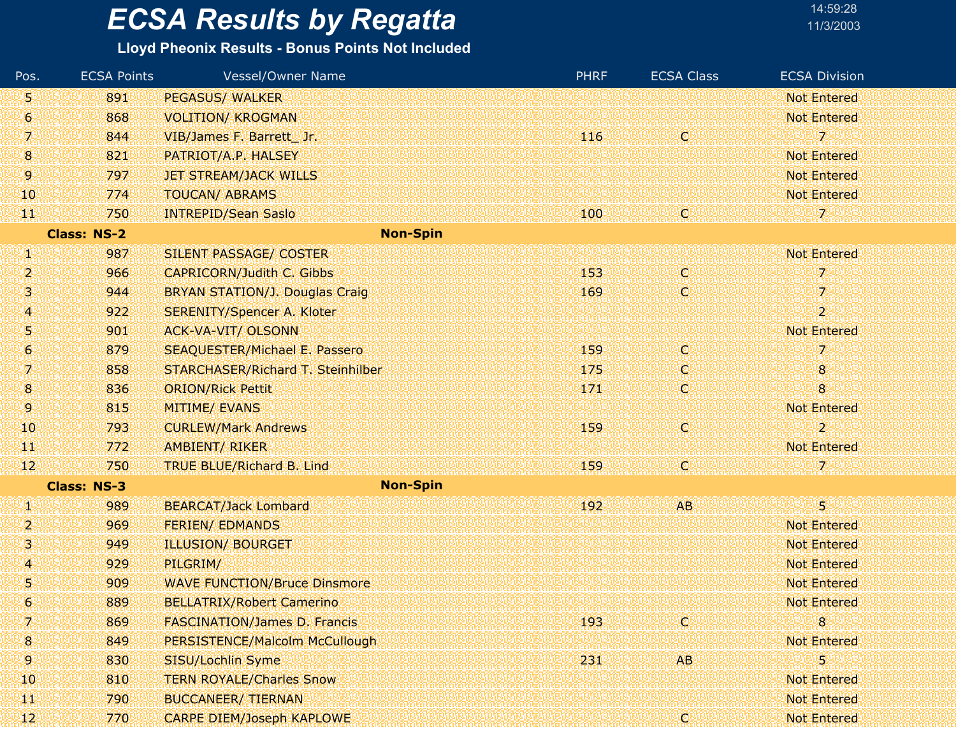### **Lloyd Pheonix Results - Bonus Points Not Included**

| Pos.                | <b>ECSA Points</b> | Vessel/Owner Name                     | <b>PHRF</b> | <b>ECSA Class</b> | <b>ECSA Division</b> |
|---------------------|--------------------|---------------------------------------|-------------|-------------------|----------------------|
| 5                   | 891                | <b>PEGASUS/ WALKER</b>                |             |                   | <b>Not Entered</b>   |
| $\ddot{\mathbf{6}}$ | 868                | <b>VOLITION/ KROGMAN</b>              |             |                   | <b>Not Entered</b>   |
| 7                   | 844                | VIB/James F. Barrett Jr.              | 116         | Ø                 | 7                    |
| 8                   | 821                | PATRIOT/A.P. HALSEY                   |             |                   | <b>Not Entered</b>   |
| 9.                  | 797                | <b>JET STREAM/JACK WILLS</b>          |             |                   | <b>Not Entered</b>   |
| 10                  | 774                | <b>TOUCAN/ ABRAMS</b>                 |             |                   | <b>Not Entered</b>   |
| 似                   | 750                | <b>INTREPID/Sean Saslo</b>            | 100         | IC)               | 72                   |
|                     | <b>Class: NS-2</b> | <b>Non-Spin</b>                       |             |                   |                      |
| Ø                   | 987                | SILENT PASSAGE/ COSTER                |             |                   | <b>Not Entered</b>   |
| 2                   | 966                | <b>CAPRICORN/Judith C. Gibbs</b>      | 153         | W                 | 7.                   |
| з                   | 944                | <b>BRYAN STATION/J. Douglas Craig</b> | 169         | O                 | 7.                   |
| 4.                  | 922                | <b>SERENITY/Spencer A. Kloter</b>     |             |                   | $\overline{2}$       |
| 5                   | 901                | <b>ACK-VA-VIT/ OLSONN</b>             |             |                   | <b>Not Entered</b>   |
| 6                   | 879                | <b>SEAQUESTER/Michael E. Passero</b>  | 159         | Q                 | 7                    |
| 7.                  | 858                | STARCHASER/Richard T. Steinhilber     | 175         | C)                | 8                    |
| $8\phantom{1}$      | 836                | <b>ORION/Rick Pettit</b>              | 171         | O                 | 8                    |
| 9.                  | 815                | <b>MITIME/ EVANS</b>                  |             |                   | <b>Not Entered</b>   |
| 10                  | 793                | <b>CURLEW/Mark Andrews</b>            | 159         | iel               | $\overline{2}$       |
| ТT                  | 772                | AMBIENT/ RIKER                        |             |                   | <b>Not Entered</b>   |
| 12                  | 750                | <b>TRUE BLUE/Richard B. Lind</b>      | 159         | C.                |                      |
|                     | <b>Class: NS-3</b> | <b>Non-Spin</b>                       |             |                   |                      |
| W                   | 989                | <b>BEARCAT/Jack Lombard</b>           | 192         | <b>AB</b>         | 51                   |
| 2                   | 969                | <b>FERIEN/ EDMANDS</b>                |             |                   | <b>Not Entered</b>   |
| з                   | 949                | <b>ILLUSION/ BOURGET</b>              |             |                   | <b>Not Entered</b>   |
| $\overline{A}$      | 929                | PILGRIM/                              |             |                   | <b>Not Entered</b>   |
| 5                   | 909                | <b>WAVE FUNCTION/Bruce Dinsmore</b>   |             |                   | <b>Not Entered</b>   |
| 6                   | 889                | <b>BELLATRIX/Robert Camerino</b>      |             |                   | <b>Not Entered</b>   |
| 7.                  | 869                | <b>FASCINATION/James D. Francis</b>   | 193         | Q                 | 8                    |
| $\bf{8}$            | 849                | PERSISTENCE/Malcolm McCullough        |             |                   | <b>Not Entered</b>   |
| 9.                  | 830                | SISU/Lochlin Syme                     | 231         | AB.               | 5                    |
| 10                  | 810                | <b>TERN ROYALE/Charles Snow</b>       |             |                   | Not Entered          |
| W                   | 790                | <b>BUCCANEER/ TIERNAN</b>             |             |                   | <b>Not Entered</b>   |
| 42.                 | 770                | <b>CARPE DIEM/Joseph KAPLOWE</b>      |             | C                 | <b>Not Entered</b>   |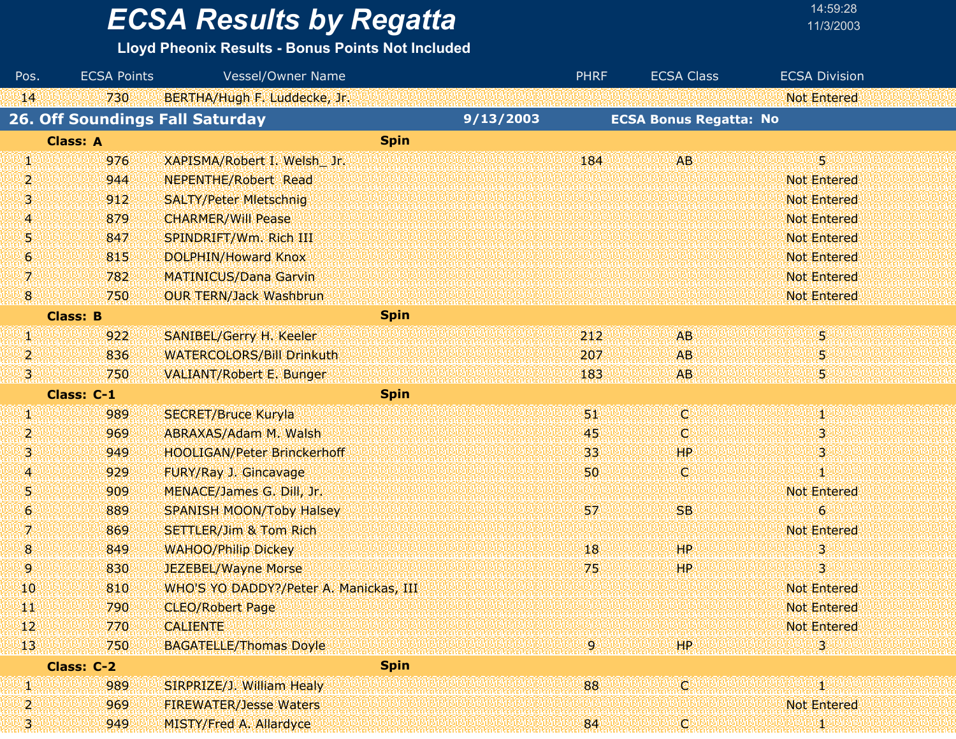**Lloyd Pheonix Results - Bonus Points Not Included**

| Pos.             | <b>ECSA Points</b>                     | Vessel/Owner Name                      |             |           | <b>PHRF</b>        | <b>ECSA Class</b>             | <b>ECSA Division</b> |
|------------------|----------------------------------------|----------------------------------------|-------------|-----------|--------------------|-------------------------------|----------------------|
| 14               | 730                                    | BERTHA/Hugh F. Luddecke, Jr.           |             |           |                    |                               | <b>Not Entered</b>   |
|                  | <b>26. Off Soundings Fall Saturday</b> |                                        |             | 9/13/2003 |                    | <b>ECSA Bonus Regatta: No</b> |                      |
|                  | <b>Class: A</b>                        |                                        | <b>Spin</b> |           |                    |                               |                      |
| Ŋ.               | 976                                    | XAPISMA/Robert I. Welsh Jr.            |             |           | 184                | <b>AB</b>                     | 5                    |
| 2                | 944                                    | <b>NEPENTHE/Robert Read</b>            |             |           |                    |                               | <b>Not Entered</b>   |
| 3                | 912                                    | <b>SALTY/Peter Mietschnig</b>          |             |           |                    |                               | <b>Not Entered</b>   |
| 4                | 879                                    | <b>CHARMER/Will Pease</b>              |             |           |                    |                               | <b>Not Entered</b>   |
| 51               | 847                                    | SPINDRIFT/Wm. Rich III                 |             |           |                    |                               | <b>Not Entered</b>   |
| $\boldsymbol{6}$ | 815                                    | DOLPHIN/Howard Knox                    |             |           |                    |                               | <b>Not Entered</b>   |
| 7                | 782                                    | <b>MATINICUS/Dana Garvin</b>           |             |           |                    |                               | <b>Not Entered</b>   |
| $\mathbf{8}$     | 750                                    | <b>OUR TERN/Jack Washbrun</b>          |             |           |                    |                               | <b>Not Entered</b>   |
|                  | <b>Class: B</b>                        |                                        | <b>Spin</b> |           |                    |                               |                      |
| W.               | 922                                    | SANIBEL/Gerry H. Keeler                |             |           | 212                | <b>AB</b>                     | 5                    |
| 2                | 836                                    | <b>WATERCOLORS/Bill Drinkuth</b>       |             |           | 207                | AB.                           | 5                    |
| Ŗ)               | 750                                    | <b>VALIANT/Robert E. Bunger</b>        |             |           | 183                | AB.                           | 5                    |
|                  | Class: C-1                             |                                        | <b>Spin</b> |           |                    |                               |                      |
| Ф                | 989                                    | <b>SECRET/Bruce Kuryla</b>             |             |           | (50)               | Ο                             | 46                   |
| 2                | 969                                    | ABRAXAS/Adam M. Walsh                  |             |           | 45                 | Ç                             | 3                    |
| 3                | 949                                    | <b>HOOLIGAN/Peter Brinckerhoff</b>     |             |           | 33                 | <b>HP</b>                     | 3                    |
| 4                | 929                                    | FURY/Ray J. Gincavage                  |             |           | 50                 | Q                             | Ю                    |
| 51               | 909                                    | MENACE/James G. Dill, Jr.              |             |           |                    |                               | <b>Not Entered</b>   |
| $\boldsymbol{6}$ | 889                                    | <b>SPANISH MOON/Toby Halsey</b>        |             |           | 57                 | <b>SB</b>                     | $\boldsymbol{6}$     |
| 7                | 869                                    | <b>SETTLER/Jim &amp; Tom Rich</b>      |             |           |                    |                               | <b>Not Entered</b>   |
| $\bf{8}$         | 849                                    | <b>WAHOO/Philip Dickey</b>             |             |           | $^{\prime\prime}8$ | HP.                           | 3                    |
| 9.               | 830                                    | JEZEBEL/Wayne Morse                    |             |           | 75                 | HP.                           | 3                    |
| 10               | 810                                    | WHO'S YO DADDY?/Peter A. Manickas, III |             |           |                    |                               | <b>Not Entered</b>   |
| W                | 790                                    | <b>CLEO/Robert Page</b>                |             |           |                    |                               | <b>Not Entered</b>   |
| 42               | 770                                    | <b>CALIENTE</b>                        |             |           |                    |                               | <b>Not Entered</b>   |
| 13 <sub>1</sub>  | 750                                    | <b>BAGATELLE/Thomas Doyle</b>          |             |           | -9 L               | HP.                           | 3.                   |
|                  | Class: C-2                             |                                        | <b>Spin</b> |           |                    |                               |                      |
| W                | 989                                    | SIRPRIZE/J. William Healy              |             |           | 88                 | ¢                             | Ŧ                    |
| 2                | 969                                    | <b>FIREWATER/Jesse Waters</b>          |             |           |                    |                               | <b>Not Entered</b>   |
| ial.<br>ak       | 949                                    | <b>MISTY/Fred A. Allardyce</b>         |             |           | 84                 | Ç,                            | 80                   |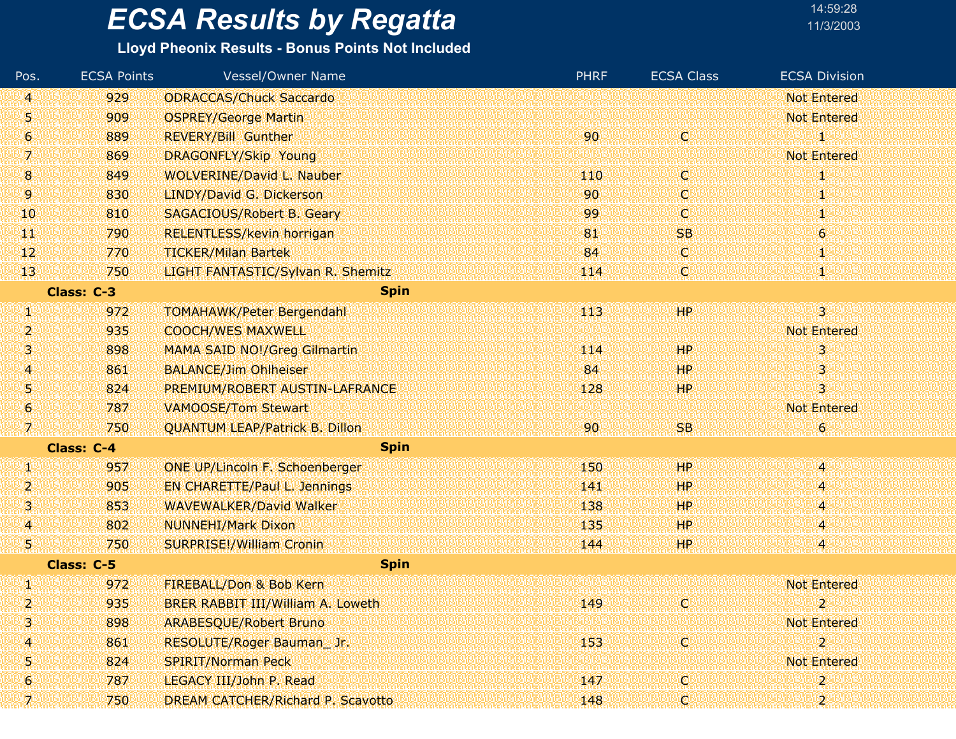#### **Lloyd Pheonix Results - Bonus Points Not Included**

| Pos.           | <b>ECSA Points</b> | <b>Vessel/Owner Name</b>              | <b>PHRF</b> | <b>ECSA Class</b> | <b>ECSA Division</b>    |
|----------------|--------------------|---------------------------------------|-------------|-------------------|-------------------------|
| 41             | 929                | <b>ODRACCAS/Chuck Saccardo</b>        |             |                   | <b>Not Entered</b>      |
| Ŋ              | 909                | <b>OSPREY/George Martin</b>           |             |                   | <b>Not Entered</b>      |
| 6              | 889                | <b>REVERY/Bill Gunther</b>            | 90          | V.                | 1                       |
| 7.             | 869                | DRAGONFLY/Skip Young                  |             |                   | <b>Not Entered</b>      |
| $8\phantom{1}$ | 849                | <b>WOLVERINE/David L. Nauber</b>      | 110         | <b>O</b>          | Ψ                       |
| 9.             | 830                | LINDY/David G. Dickerson              | 90          | C.                | И,                      |
| 10             | 810                | <b>SAGACIOUS/Robert B. Geary</b>      | 99          | O.                | т                       |
| ŦT             | 790                | <b>RELENTLESS/kevin horrigan</b>      | 81          | <b>SB</b>         | $\boldsymbol{6}$        |
| 42             | 770                | <b>TICKER/Milan Bartek</b>            | 84          | <b>C</b>          | Ψ                       |
| 13             | 750                | LIGHT FANTASTIC/Sylvan R. Shemitz     | 114         | O.                | XU.                     |
|                | Class: C-3         | <b>Spin</b>                           |             |                   |                         |
| W.             | 972                | <b>TOMAHAWK/Peter Bergendahl</b>      | 443         | HP                | 31                      |
| 2              | 935                | <b>COOCH/WES MAXWELL</b>              |             |                   | <b>Not Entered</b>      |
| 3              | 898                | MAMA SAID NO!/Greg Gilmartin          | 114         | HP                | 3                       |
| 4              | 861                | <b>BALANCE/Jim Ohlheiser</b>          | 84          | HР                | 3                       |
| Ŋ              | 824                | PREMIUM/ROBERT AUSTIN-LAFRANCE        | 128         | HP.               | 3                       |
| 6              | 787                | <b>VAMOOSE/Tom Stewart</b>            |             |                   | <b>Not Entered</b>      |
| 7.             | 750                | <b>QUANTUM LEAP/Patrick B. Dillon</b> | 90          | <b>SB</b>         | 6.                      |
|                | Class: C-4         | <b>Spin</b>                           |             |                   |                         |
| CN.            | 957                | <b>ONE UP/Lincoln F. Schoenberger</b> | 150         | HP                | $\overline{\mathbf{4}}$ |
| 2              | 905                | <b>EN CHARETTE/Paul L. Jennings</b>   | 141         | HР                | 4                       |
| ß.             | 853                | <b>WAVEWALKER/David Walker</b>        | 138         | HР                | 4                       |
| $\overline{4}$ | 802                | <b>NUNNEHI/Mark Dixon</b>             | 135         | ЩP                | 4                       |
| S.             | 750                | <b>SURPRISE!/William Cronin</b>       | 144         | HР                | 4                       |
|                | Class: C-5         | <b>Spin</b>                           |             |                   |                         |
| W              | 972                | FIREBALL/Don & Bob Kern               |             |                   | <b>Not Entered</b>      |
| 2              | 935                | BRER RABBIT III/William A. Loweth     | 149         | C.                | $\overline{2}$          |
| 13             | 898                | <b>ARABESQUE/Robert Bruno</b>         |             |                   | <b>Not Entered</b>      |
| 4              | 861                | RESOLUTE/Roger Bauman_Jr.             | 153         | <b>C</b>          | $\overline{\mathbf{2}}$ |
| 5              | 824                | <b>SPIRIT/Norman Peck</b>             |             |                   | Not Entered             |
| 6              | 787                | LEGACY III/John P. Read               | 147         | ю                 | $\mathbf{2}$            |
|                | 750                | DREAM CATCHER/Richard P. Scavotto     | 148         |                   |                         |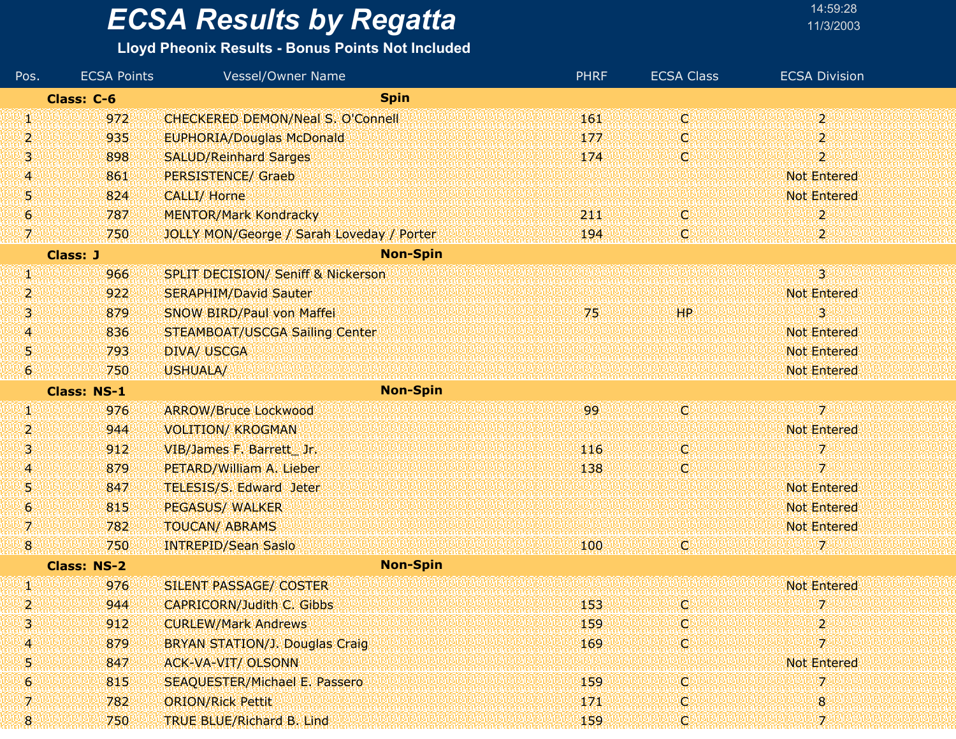#### **Lloyd Pheonix Results - Bonus Points Not Included**

| Pos. | <b>ECSA Points</b> | Vessel/Owner Name                             | <b>PHRF</b> | <b>ECSA Class</b> | <b>ECSA Division</b>      |
|------|--------------------|-----------------------------------------------|-------------|-------------------|---------------------------|
|      | Class: C-6         | <b>Spin</b>                                   |             |                   |                           |
| W    | 972                | <b>CHECKERED DEMON/Neal S. O'Connell</b>      | 161         | <b>Q</b>          | $\overline{2}$            |
| 2    | 935                | <b>EUPHORIA/Douglas McDonald</b>              | 177         | C                 | 2                         |
| 3    | 898                | <b>SALUD/Reinhard Sarges</b>                  | 174         | O                 | $\overline{2}$            |
| 4    | 861                | <b>PERSISTENCE/ Graeb</b>                     |             |                   | <b>Not Entered</b>        |
| 5    | 824                | <b>CALLI/ Horne</b>                           |             |                   | <b>Not Entered</b>        |
| 6    | 787                | <b>MENTOR/Mark Kondracky</b>                  | 211         | O.                | 2                         |
| 7    | 750                | JOLLY MON/George / Sarah Loveday / Porter     | 194         | O                 | $\mathbf{2}^{\mathrm{r}}$ |
|      | <b>Class: J</b>    | <b>Non-Spin</b>                               |             |                   |                           |
| W    | 966                | <b>SPLIT DECISION/ Seniff &amp; Nickerson</b> |             |                   | $\overline{3}$            |
| 2    | 922                | <b>SERAPHIM/David Sauter</b>                  |             |                   | <b>Not Entered</b>        |
| з    | 879                | SNOW BIRD/Paul von Maffei                     | 75          | HP                | з                         |
| 4    | 836                | STEAMBOAT/USCGA Sailing Center                |             |                   | <b>Not Entered</b>        |
| 5    | 793                | <b>DIVA/ USCGA</b>                            |             |                   | <b>Not Entered</b>        |
| 6    | 750                | <b>USHUALA/</b>                               |             |                   | <b>Not Entered</b>        |
|      | <b>Class: NS-1</b> | <b>Non-Spin</b>                               |             |                   |                           |
| W    | 976                | <b>ARROW/Bruce Lockwood</b>                   | 99          | Ø                 | $\overline{\mathcal{L}}$  |
| 2    | 944                | <b>VOLITION/ KROGMAN</b>                      |             |                   | <b>Not Entered</b>        |
| 3    | 912                | VIB/James F. Barrett Jr.                      | 116         | ņ.                | 7                         |
| 4    | 879                | PETARD/William A. Lieber                      | 138         | O                 | 7                         |
| 5    | 847                | <b>TELESIS/S. Edward Jeter</b>                |             |                   | <b>Not Entered</b>        |
| 6    | 815                | <b>PEGASUS/ WALKER</b>                        |             |                   | <b>Not Entered</b>        |
| 7    | 782                | <b>TOUCAN/ ABRAMS</b>                         |             |                   | <b>Not Entered</b>        |
| 8    | 750                | <b>INTREPID/Sean Saslo</b>                    | 100         | IQ.               | 7.                        |
|      | <b>Class: NS-2</b> | <b>Non-Spin</b>                               |             |                   |                           |
| W    | 976                | <b>SILENT PASSAGE/ COSTER</b>                 |             |                   | <b>Not Entered</b>        |
| 2    | 944                | <b>CAPRICORN/Judith C. Gibbs</b>              | 153         | C                 | 7                         |
| 3    | 912                | <b>CURLEW/Mark Andrews</b>                    | 159         | <b>C</b>          | 2                         |
| 4    | 879                | <b>BRYAN STATION/J. Douglas Craig</b>         | 169         | O.                | 7                         |
| 5    | 847                | <b>ACK-VA-VIT/ OLSONN</b>                     |             |                   | <b>Not Entered</b>        |
| 6    | 815                | <b>SEAQUESTER/Michael E. Passero</b>          | 159         | O                 | 7                         |
| 7    | 782                | <b>ORION/Rick Pettit</b>                      | 171         | O.                | 8                         |
| 8    | 750                | TRUE BLUE/Richard B. Lind                     | 159         | C,                | 7                         |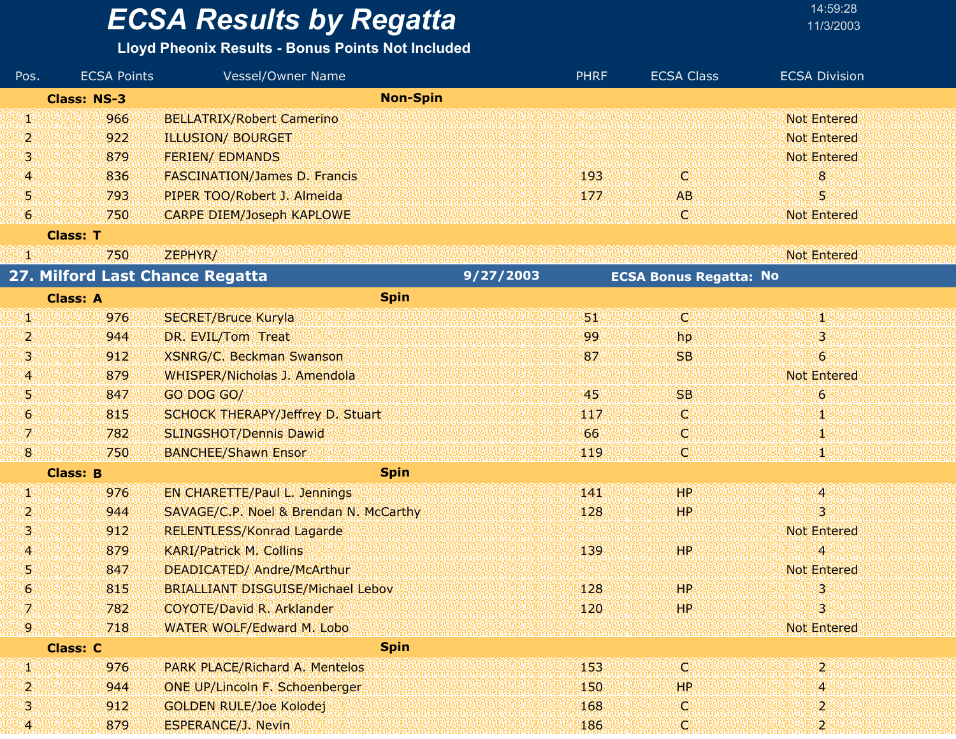### **Lloyd Pheonix Results - Bonus Points Not Included**

| Pos.                  | <b>ECSA Points</b> | Vessel/Owner Name                        |           | <b>PHRF</b> | <b>ECSA Class</b>             | <b>ECSA Division</b> |
|-----------------------|--------------------|------------------------------------------|-----------|-------------|-------------------------------|----------------------|
|                       | <b>Class: NS-3</b> | <b>Non-Spin</b>                          |           |             |                               |                      |
| W                     | 966                | <b>BELLATRIX/Robert Camerino</b>         |           |             |                               | <b>Not Entered</b>   |
| 2                     | 922                | <b>ILLUSION/ BOURGET</b>                 |           |             |                               | <b>Not Entered</b>   |
| 31                    | 879                | <b>FERIEN/ EDMANDS</b>                   |           |             |                               | <b>Not Entered</b>   |
| 4                     | 836                | <b>FASCINATION/James D. Francis</b>      |           | 193         | ω                             | 8                    |
| 51                    | 793                | PIPER TOO/Robert J. Almeida              |           | 177         | <b>AB</b>                     | 5                    |
| Ю                     | 750                | <b>CARPE DIEM/Joseph KAPLOWE</b>         |           |             | ΙQΙ                           | <b>Not Entered</b>   |
|                       | <b>Class: T</b>    |                                          |           |             |                               |                      |
| VN.                   | 750                | ZEPHYR/                                  |           |             |                               | <b>Not Entered</b>   |
|                       |                    | 27. Milford Last Chance Regatta          | 9/27/2003 |             | <b>ECSA Bonus Regatta: No</b> |                      |
|                       | <b>Class: A</b>    | <b>Spin</b>                              |           |             |                               |                      |
| 90                    | 976                | <b>SECRET/Bruce Kuryla</b>               |           | 31          | Ø                             | Ψ                    |
| 2                     | 944                | DR. EVIL/Tom Treat                       |           | 99          | hp                            | 3                    |
| 31                    | 912                | <b>XSNRG/C. Beckman Swanson</b>          |           | 87          | <b>SB</b>                     | $\epsilon$           |
| 41                    | 879                | WHISPER/Nicholas J. Amendola             |           |             |                               | <b>Not Entered</b>   |
| 51                    | 847                | GO DOG GO/                               |           | 45          | <b>SB</b>                     | 6                    |
| $\boldsymbol{\theta}$ | 815                | SCHOCK THERAPY/Jeffrey D. Stuart         |           | 147         | O                             | Ψ                    |
| V)                    | 782                | <b>SLINGSHOT/Dennis Dawid</b>            |           | 66          | O                             | Ф                    |
| 8.                    | 750                | <b>BANCHEE/Shawn Ensor</b>               |           | 119         | c                             |                      |
|                       | <b>Class: B</b>    | <b>Spin</b>                              |           |             |                               |                      |
| Ø                     | 976                | <b>EN CHARETTE/Paul L. Jennings</b>      |           | 141         | HP                            | 4                    |
| 2                     | 944                | SAVAGE/C.P. Noel & Brendan N. McCarthy   |           | 128         | HP                            | 3                    |
| З                     | 912                | <b>RELENTLESS/Konrad Lagarde</b>         |           |             |                               | <b>Not Entered</b>   |
| 41                    | 879                | <b>KARI/Patrick M. Collins</b>           |           | 139         | HP.                           | $\overline{4}$       |
| 51                    | 847                | DEADICATED/ Andre/McArthur               |           |             |                               | <b>Not Entered</b>   |
| 6                     | 815                | <b>BRIALLIANT DISGUISE/Michael Lebov</b> |           | 128         | <b>HP</b>                     | з                    |
|                       | 782                | COYOTE/David R. Arklander                |           | 120         | AHP.                          | 3                    |
| 19.                   | 718                | WATER WOLF/Edward M. Lobo                |           |             |                               | <b>Not Entered</b>   |
|                       | <b>Class: C</b>    | <b>Spin</b>                              |           |             |                               |                      |
| W                     | 976                | <b>PARK PLACE/Richard A. Mentelos</b>    |           | 153         | ω                             | $\overline{2}$       |
| 2,                    | 944                | <b>ONE UP/Lincoln F. Schoenberger</b>    |           | 150         | HP                            | 4                    |
| 3                     | 912                | <b>GOLDEN RULE/Joe Kolodej</b>           |           | 168         | c                             | 2                    |
| 41                    | 879                | <b>ESPERANCE/J. Nevin</b>                |           | 186         | ω                             | $\overline{2}$       |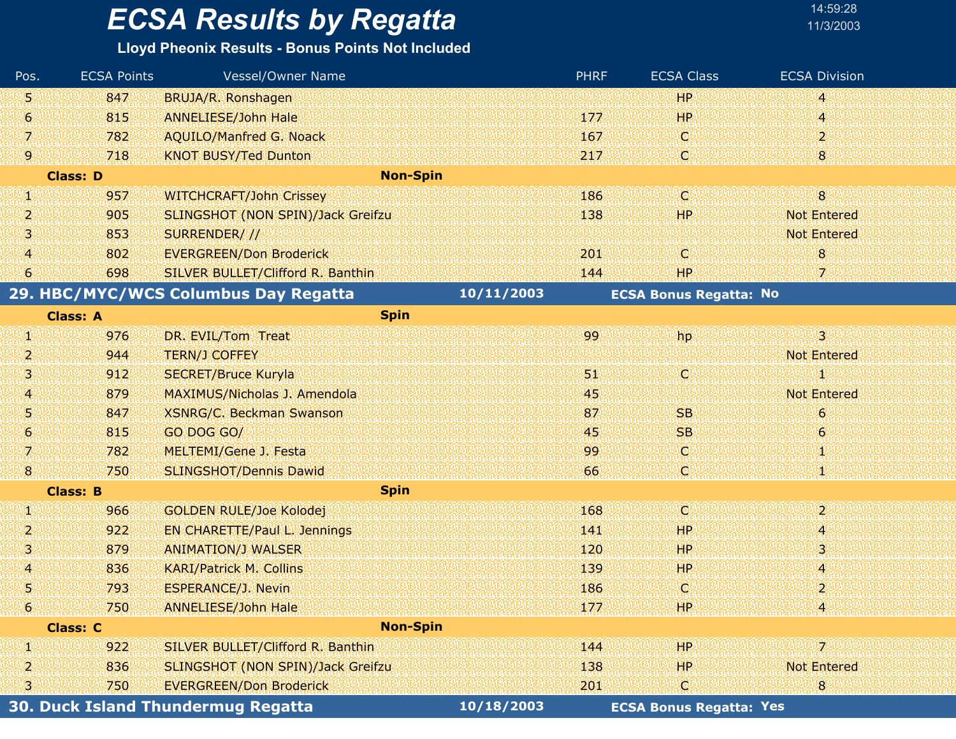| Pos.           | <b>ECSA Points</b> | <b>Vessel/Owner Name</b>                 |            | <b>PHRF</b> | <b>ECSA Class</b>              | <b>ECSA Division</b> |
|----------------|--------------------|------------------------------------------|------------|-------------|--------------------------------|----------------------|
| 5              | 847                | BRUJA/R. Ronshagen                       |            |             | <b>HP</b>                      | 4                    |
| 6              | 815                | <b>ANNELIESE/John Hale</b>               |            | 177         | 'HP                            | 4                    |
| V.             | 782                | <b>AQUILO/Manfred G. Noack</b>           |            | 167         | Q                              | $\overline{2}$       |
| 9.             | 718                | <b>KNOT BUSY/Ted Dunton</b>              |            | 217         | C.                             | 8                    |
|                | <b>Class: D</b>    | <b>Non-Spin</b>                          |            |             |                                |                      |
| W              | 957                | <b>WITCHCRAFT/John Crissey</b>           |            | 186         | W                              | $\bf{8}$             |
| 2              | 905                | <b>SLINGSHOT (NON SPIN)/Jack Greifzu</b> |            | 138         | HР                             | <b>Not Entered</b>   |
| 3              | 853                | SURRENDER///                             |            |             |                                | <b>Not Entered</b>   |
| 4              | 802                | <b>EVERGREEN/Don Broderick</b>           |            | 201         | C                              | 8                    |
| 6              | 698                | SILVER BULLET/Clifford R. Banthin        |            | 144         | <b>HP</b>                      | 7                    |
|                |                    | 29. HBC/MYC/WCS Columbus Day Regatta     | 10/11/2003 |             | <b>ECSA Bonus Regatta: No</b>  |                      |
|                | <b>Class: A</b>    | <b>Spin</b>                              |            |             |                                |                      |
| W              | 976                | DR. EVIL/Tom Treat                       |            | 99          | hp.                            | 31                   |
| 2              | 944                | <b>TERN/J COFFEY</b>                     |            |             |                                | <b>Not Entered</b>   |
| 3              | 912                | <b>SECRET/Bruce Kuryla</b>               |            | 91          | (C)                            | 1                    |
| 4              | 879                | MAXIMUS/Nicholas J. Amendola             |            | 45          |                                | <b>Not Entered</b>   |
| 5              | 847                | <b>XSNRG/C. Beckman Swanson</b>          |            | 87          | <b>SB</b>                      | 6                    |
| 6              | 815                | GO DOG GO/                               |            | 45          | <b>SB</b>                      | $\boldsymbol{6}$     |
| 呶              | 782                | MELTEMI/Gene J. Festa                    |            | 99          | ω                              | 1                    |
| 8              | 750                | <b>SLINGSHOT/Dennis Dawid</b>            |            | 66          | C                              |                      |
|                | <b>Class: B</b>    | <b>Spin</b>                              |            |             |                                |                      |
| W              | 966                | <b>GOLDEN RULE/Joe Kolodej</b>           |            | 168         | O                              | $\mathbf{z}$         |
| 2              | 922                | <b>EN CHARETTE/Paul L. Jennings</b>      |            | 141         | HР                             | 4                    |
| з              | 879                | <b>ANIMATION/J WALSER</b>                |            | 120         | 'HP                            | 3                    |
| 4              | 836                | <b>KARI/Patrick M. Collins</b>           |            | 139         | <b>HP</b>                      | 4                    |
| 5              | 793                | <b>ESPERANCE/J. Nevin</b>                |            | 186         | C                              | $\overline{2}$       |
| 6 <sup>1</sup> | 750                | ANNELIESE/John Hale                      |            | 177         | HP.                            |                      |
|                | <b>Class: C</b>    | <b>Non-Spin</b>                          |            |             |                                |                      |
| W              | 922                | SILVER BULLET/Clifford R. Banthin        |            | 144         | HP                             | $7^{\circ}$          |
| 2              | 836                | SLINGSHOT (NON SPIN)/Jack Greifzu        |            | 138         | HP.                            | <b>Not Entered</b>   |
| 3              | 750                | <b>EVERGREEN/Don Broderick</b>           |            | 201         | Ω                              | 8                    |
|                |                    | 30. Duck Island Thundermug Regatta       | 10/18/2003 |             | <b>ECSA Bonus Regatta: Yes</b> |                      |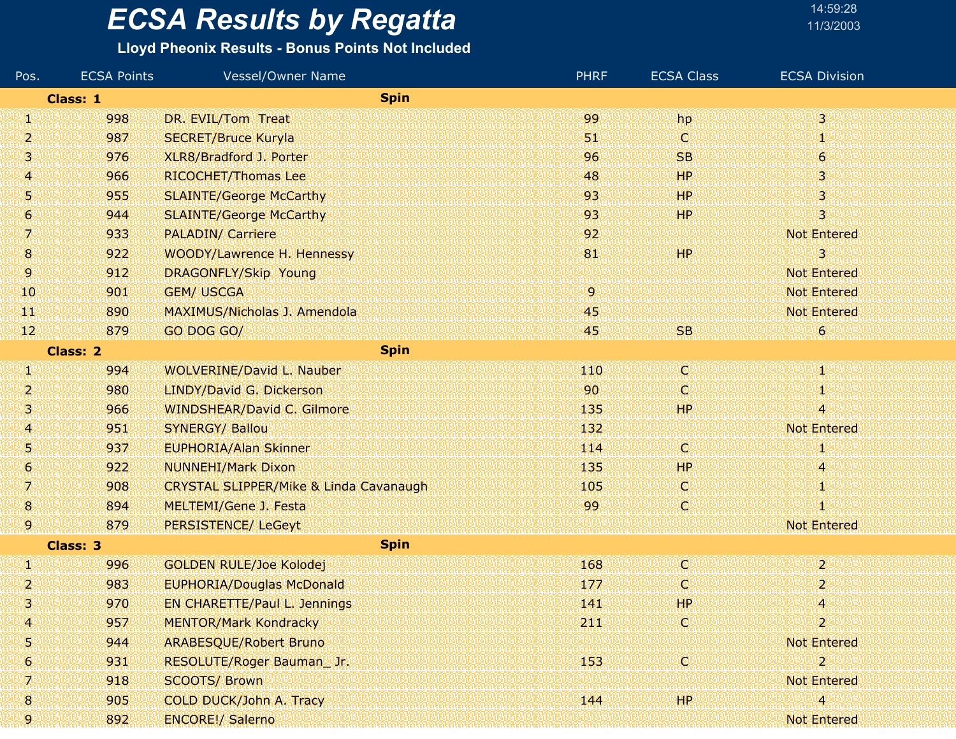| 14:59:28  |  |
|-----------|--|
| 11/3/2003 |  |

| Pos.                           | <b>ECSA Points</b> | Vessel/Owner Name                                 | <b>PHRF</b> | <b>ECSA Class</b> | <b>ECSA Division</b>      |
|--------------------------------|--------------------|---------------------------------------------------|-------------|-------------------|---------------------------|
| <b>Spin</b><br><b>Class: 1</b> |                    |                                                   |             |                   |                           |
| W                              | 998                | DR. EVIL/Tom Treat                                | 99          | hp                | $3^{\circ}$               |
| 2                              | 987                | <b>SECRET/Bruce Kuryla</b>                        | 51          | o                 | 饗                         |
| 3                              | 976                | XLR8/Bradford J. Porter                           | 96          | <b>SB</b>         | $\epsilon$                |
| $\overline{A}$                 | 966                | RICOCHET/Thomas Lee                               | 48          | HP                | 3.                        |
| 5                              | 955                | <b>SLAINTE/George McCarthy</b>                    | 93          | HP                | 3                         |
| 6                              | 944                | <b>SLAINTE/George McCarthy</b>                    | 93          | WP.               | 3                         |
| 7.                             | 933                | <b>PALADIN/ Carriere</b>                          | 92          |                   | <b>Not Entered</b>        |
| $\bf{8}$                       | 922                | WOODY/Lawrence H. Hennessy                        | 81          | HP                | 3                         |
| 9.                             | 912                | DRAGONFLY/Skip Young                              |             |                   | <b>Not Entered</b>        |
| 10                             | 901                | <b>GEM/ USCGA</b>                                 | 9           |                   | <b>Not Entered</b>        |
| WГ                             | 890                | <b>MAXIMUS/Nicholas J. Amendola</b>               | 45          |                   | <b>Not Entered</b>        |
| 12 <sup>1</sup>                | 879                | GO DOG GO/                                        | 45          | SB.               | 6                         |
| <b>Spin</b><br><b>Class: 2</b> |                    |                                                   |             |                   |                           |
| W                              | 994                | WOLVERINE/David L. Nauber                         | 110         | C)                | 40                        |
| 2                              | 980                | LINDY/David G. Dickerson                          | 90          | C                 | 14                        |
| 3                              | 966                | <b>WINDSHEAR/David C. Gilmore</b>                 | 135         | HP                | 4                         |
| $\overline{A}$                 | 951                | <b>SYNERGY/ Ballou</b>                            | 132         |                   | Not Entered               |
| 5                              | 937                | <b>EUPHORIA/Alan Skinner</b>                      | 114         | C                 | 1                         |
| 6                              | 922                | <b>NUNNEHI/Mark Dixon</b>                         | 135         | <b>HP</b>         | 4                         |
| 7                              | 908                | <b>CRYSTAL SLIPPER/Mike &amp; Linda Cavanaugh</b> | 105         | C                 | 郯                         |
| 8                              | 894                | <b>MELTEMI/Gene J. Festa</b>                      | 99          | C                 | 31.                       |
| 9                              | 879                | PERSISTENCE/ LeGeyt                               |             |                   | <b>Not Entered</b>        |
| <b>Spin</b><br><b>Class: 3</b> |                    |                                                   |             |                   |                           |
| И                              | 996                | <b>GOLDEN RULE/Joe Kolodej</b>                    | 168         | d                 | $\overline{2}$            |
| 2                              | 983                | <b>EUPHORIA/Douglas McDonald</b>                  | 177         | O                 | 2                         |
| 3                              | 970                | EN CHARETTE/Paul L. Jennings                      | 141         | <b>HP</b>         | 4                         |
| $\overline{\mathcal{A}}$       | 957                | <b>MENTOR/Mark Kondracky</b>                      | 211         | C                 | $\mathbf{2}^{\mathbb{R}}$ |
| 5                              | 944                | <b>ARABESQUE/Robert Bruno</b>                     |             |                   | <b>Not Entered</b>        |
| 6                              | 931                | RESOLUTE/Roger Bauman_Jr.                         | 153         | C                 | $\overline{2}$            |
| 7                              | 918                | <b>SCOOTS/ Brown</b>                              |             |                   | <b>Not Entered</b>        |
| 8                              | 905                | <b>COLD DUCK/John A. Tracy</b>                    | 144         | <b>HP</b>         | 4                         |
| 9                              | 892                | <b>ENCORE!/ Salerno</b>                           |             |                   | Not Entered               |